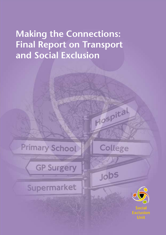# **Making the Connections: Final Report on Transport and Social Exclusion**



**GP Surgery** 

Supermarket



Hospital



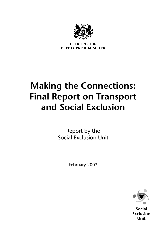

**OFFICE OF THE** DEPUTY PRIME MINISTER

# **Making the Connections: Final Report on Transport and Social Exclusion**

Report by the Social Exclusion Unit

February 2003



**Social Exclusion Unit**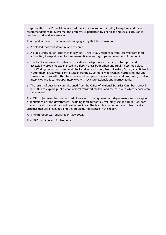In spring 2001, the Prime Minister asked the Social Exclusion Unit (SEU) to explore, and make recommendations to overcome, the problems experienced by people facing social exclusion in reaching work and key services.

This report is the outcome of a wide-ranging study that has drawn on:

- A detailed review of literature and research.
- A public consultation, launched in July 2001. Nearly 800 responses were received from local authorities, transport operators, representative interest groups and members of the public.
- Five local area research studies, to provide an in-depth understanding of transport and accessibility problems experienced in different areas both urban and rural. These took place in East Worlington in mid Devon and Stockland in east Devon; North Huyton, Merseyside; Bulwell in Nottingham; Broadwater Farm Estate in Haringey, London; Moor Park in North Tyneside; and Lemington, Newcastle. The studies involved mapping services, housing and bus routes; resident interviews and focus groups; interviews with local professionals and journey audits.
- The results of questions commissioned from the Office of National Statistics Omnibus Survey in late 2001 to explore public views of local transport facilities and the ease with which services can be accessed.

The SEU project team has also worked closely with other government departments and a range of organisations beyond government, including local authorities, voluntary sector bodies, transport operators and local and national service providers. The team has carried out a number of visits to schemes that are already tackling the problems highlighted in this report.

An interim report was published in May 2002.

The SEU's remit covers England only.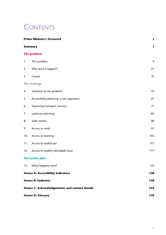## **CONTENTS**

| <b>Prime Minister's foreword</b>              |                                        | V   |
|-----------------------------------------------|----------------------------------------|-----|
| <b>Summary</b>                                |                                        | 1   |
|                                               | <b>The problem</b>                     |     |
| 1.                                            | The problem                            | 9   |
| 2.                                            | Why does it happen?                    | 21  |
| 3.                                            | Causes                                 | 39  |
|                                               | <b>The strategy</b>                    |     |
| 4.                                            | Solutions to the problem               | 47  |
| 5.                                            | Accessibility planning: a new approach | 61  |
| 6.                                            | Improving transport services           | 71  |
| 7.                                            | Land-use planning                      | 83  |
| 8.                                            | Safer streets                          | 89  |
| 9.                                            | Access to work                         | 97  |
| 10.                                           | Access to learning                     | 103 |
| 11.                                           | Access to healthcare                   | 111 |
| 12.                                           | Access to healthy affordable food      | 117 |
|                                               | The action plan                        |     |
|                                               | 13. What happens next?                 | 123 |
| <b>Annex A: Accessibility indicators</b>      |                                        | 128 |
| <b>Annex B: Endnotes</b>                      |                                        | 130 |
| Annex C: Acknowledgements and contact details | 135                                    |     |
| <b>Annex D: Glossary</b>                      | 139                                    |     |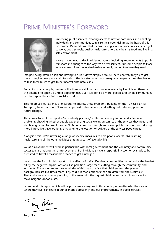## PRIME MINISTER'S FOREWORD



Improving public services, creating access to new opportunities and enabling individuals and communities to realise their potential are at the heart of this Government's ambitions. That means making sure everyone in society can get to work, good schools, quality healthcare, affordable healthy food and live in a safe environment.

We've made great strides in widening access, including improvements to public transport and changes to the way we deliver services. But some people still face what can seem insurmountable barriers in simply getting to where they need to go.

Imagine being offered a job and having to turn it down simply because there's no way for you to get there. Imagine being too afraid to walk to the bus stop after dark. Imagine an expectant mother having to take three buses to get to her nearest ante-natal clinic.

For all too many people, problems like these are still part and parcel of everyday life. Solving them has the potential to open up untold opportunities. But if we don't do more, people and whole communities can be trapped in a spiral of social exclusion.

This report sets out a series of measures to address these problems, building on the 10 Year Plan for Transport, Local Transport Plans and improved public services, and setting out a starting point for future change.

The cornerstone of the report – 'accessibility planning' – offers a new way to find and solve local problems, checking whether people experiencing social exclusion can reach the services they need, and identifying action to take if they can't. Action could be through improving public transport, introducing more innovative travel options, or changing the location or delivery of the services people need.

Alongside this, we're unveiling a range of specific measures to help people access jobs, learning, healthcare and all the other activities that are a part of everyday life.

We as a Government will work in partnership with local government and the voluntary and community sector to start making these improvements. But individuals have a responsibility too, for example to be prepared to travel a reasonable distance to get a new job.

I welcome the focus in this report on the effects of traffic. Deprived communities can often be the hardest hit by the negative impacts of traffic like pollution, large roads cutting through the community, and accidents. There is no more stark reminder of this than the fact that children from the poorest backgrounds are five times more likely to die in road accidents than children from the wealthiest. That's why we are boosting funding in the areas with the highest child pedestrian accident rates to make neighbourhoods safe.

I commend this report which will help to ensure everyone in this country, no matter who they are or where they live, can share in our economic prosperity and our improvements in public services.

Tony Bloir

Tony Blair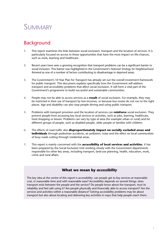## SUMMARY

### Background

- **1.** This report examines the links between social exclusion, transport and the location of services. It is particularly focused on access to those opportunities that have the most impact on life-chances, such as work, learning and healthcare.
- **2.** Recent years have seen a growing recognition that transport problems can be a significant barrier to social inclusion. This barrier was highlighted in the Government's *National Strategy for Neighbourhood Renewal* as one of a number of factors contributing to disadvantage in deprived areas.
- **3.** The Government's 10 Year Plan for Transport has already set out the overall investment framework for public transport. This document explains specifically how the Government will address transport and accessibility problems that affect social exclusion. It will form a vital part of the Government's programme to build successful and sustainable communities.
- **4.** People may not be able to access services as a **result** of social exclusion. For example, they may be restricted in their use of transport by low incomes, or because bus routes do not run to the right places. Age and disability can also stop people driving and using public transport.
- **5.** Problems with transport provision and the location of services can **reinforce** social exclusion. They prevent people from accessing key local services or activities, such as jobs, learning, healthcare, food shopping or leisure. Problems can vary by type of area (for example urban or rural) and for different groups of people, such as disabled people, older people or families with children.
- **6.** The effects of road traffic also **disproportionately impact on socially excluded areas and individuals** through pedestrian accidents, air pollution, noise and the effect on local communities of busy roads cutting through residential areas.
- **7.** This report is mainly concerned with the **accessibility of local services and activities**. It has been prepared by the Social Exclusion Unit working closely with the Government departments responsible for other key areas, including transport, land-use planning, health, education, work, crime and rural affairs.

#### **What we mean by** *accessibility*

The key idea at the centre of this report is accessibility: can people get to key services at reasonable cost, in reasonable time and with reasonable ease? Accessibility depends on several things: does transport exist between the people and the service? Do people know about the transport, trust its reliability and feel safe using it? Are people physically and financially able to access transport? Are the services and activities within a reasonable distance? Solving accessibility problems may be about transport but also about locating and delivering key activities in ways that help people reach them.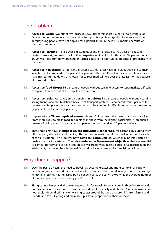### The problem

- **8. Access to work:** Two out of five jobseekers say lack of transport is a barrier to getting a job. One in four jobseekers say that the cost of transport is a problem getting to interviews. One in four young people have not applied for a particular job in the last 12 months because of transport problems.
- **9. Access to learning:** 16–18-year-old students spend on average £370 a year on educationrelated transport, and nearly half of them experience difficulty with this cost. Six per cent of all 16–24-year-olds turn down training or further education opportunities because of problems with transport.
- **10. Access to healthcare:** 31 per cent of people without a car have difficulties travelling to their local hospital, compared to 17 per cent of people with a car. Over 1.4 million people say they have missed, turned down, or chosen not to seek medical help over the last 12 months because of transport problems.
- **11. Access to food shops:** 16 per cent of people without cars find access to supermarkets difficult, compared to 6 per cent of the population as a whole.
- **12. Access to social, cultural, and sporting activities:** 18 per cent of people without a car find seeing friends and family difficult because of transport problems, compared with 8 per cent for car owners. People without cars are also twice as likely to find it difficult getting to leisure centres (9 per cent) and libraries (7 per cent).
- **13. Impact of traffic on deprived communities:** Children from the lowest social class are five times more likely to die in road accidents than those from the highest social class. More than a quarter of child pedestrian casualties happen in the most deprived 10 per cent of wards.
- **14.** These problems have an **impact on the individuals concerned**, for example by cutting them off from jobs, education and training. This in turn prevents them from breaking out of the cycle of social exclusion. The problems have **costs for communities**, which may be left isolated or unable to attract investment. They also **undermine Government objectives** that are essential to combat poverty and social exclusion like welfare to work, raising educational participation and attainment, narrowing health inequalities, and reducing crime and antisocial behaviour.

### Why does it happen?

- **15.** Over the past 50 years, the need to travel has become greater and more complex as society became organised around the car and facilities became concentrated in larger units. The average length of a journey has increased by 42 per cent since the early 1970s while the average number of journeys per person has risen by just 8 per cent.
- **16.** Rising car use has provided greater opportunity for travel. But nearly one in three households do not have access to a car, for reasons that include cost, disability and choice. People in low-income households depend primarily on walking to get around, but also on buses, lifts from family and friends, and taxis. Cycling and rail make up a small proportion of their journeys.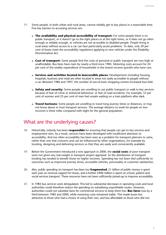- **17.** Some people, in both urban and rural areas, cannot reliably get to key places in a reasonable time. Five key barriers to accessing services are:
	- **The availability and physical accessibility of transport:** For some people there is no public transport, or it doesn't go to the right places or at the right times, or it does not go often enough or reliably enough, or vehicles are not accessible to disabled people. People living in rural areas without access to a car can face particularly acute problems. To date, only 29 per cent of buses meet the accessibility regulations applying to new vehicles under the Disability Discrimination Act.
	- **Cost of transport:** Some people find the costs of personal or public transport are very high or unaffordable. Bus fares have risen by nearly a third since 1985. Motoring costs account for 24 per cent of the weekly expenditure of households in the lowest income quintile who have cars.
	- **Services and activities located in inaccessible places:** Developments including housing, hospitals, business and retail are often located in areas not easily accessible to people without a car. Between 1986 and 1997, the number of out-of-town shopping centres increased four-fold.
	- **Safety and security:** Some people are unwilling to use public transport or walk to key services because of fear of crime or antisocial behaviour, or fear of road accidents. For example, 53 per cent of women and 23 per cent of men feel unsafe waiting on a train platform after dark.
	- **Travel horizons:** Some people are unwilling to travel long journey times or distances, or may not know about or trust transport services. The average distance to work for people on low incomes is three miles compared with eight for the general population.

### What are the underlying causes?

- **18.** Historically, nobody has been **responsible** for ensuring that people can get to key services and employment sites. As a result, services have been developed with insufficient attention to accessibility. And too often accessibility has been seen as a problem for transport planners to solve, rather than one that concerns and can be influenced by other organisations, for example by locating, designing and delivering services so that they are easily and conveniently available.
- **19.** Before the Government introduced a new approach in 2000, the **social costs** of poor transport were not given any real weight in transport project appraisal. So the distribution of transport funding has tended to benefit those on higher incomes. Spending has not been tied sufficiently to outcomes such as improved journey times, accessible vehicles, punctuality or customer satisfaction.
- **20.** Also, public spending on transport has been too **fragmented**. £1 billion of public money is spent each year on revenue support for buses, and a further £900 million is spent on school, patient and social services transport. These resources have not been sufficiently joined-up to improve accessibility.
- **21.** In 1985 bus services were deregulated. This led to substantial decreases in operating costs and local authorities could therefore reduce the spending on subsidising unprofitable routes. However, authorities could not subsidise fares for commercial services to keep them low. **Bus fares** rose by a third between 1985 and 2000, while motoring costs remained stable. This made buses less attractive to those who had a choice of using their cars, and less affordable to those who did not.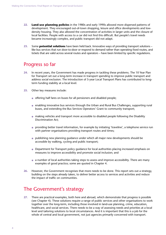- **22. Land-use planning policies** in the 1980s and early 1990s allowed more dispersed patterns of development. They encouraged out-of-town shopping, leisure and office developments and lowdensity housing. They also allowed the concentration of activities in larger units and the closure of local facilities. People with access to a car did not find this difficult. But people's travel needs became increasingly complex, and public transport did not adapt.
- **23.** Some **potential solutions** have been held back. Innovative ways of providing transport solutions like bus services that run door-to-door or respond to demand rather than operating fixed routes, and tickets that are valid across several routes and operators – have been limited by specific regulations.

### Progress so far

- **24.** In recent years, the Government has made progress in tackling these problems. The 10 Year Plan for Transport set out a long-term increase in transport spending to improve public transport and address social exclusion. The introduction of 5-year Local Transport Plans has contributed to longterm funding stability at a local level.
- **25.** Other key measures include:
	- offering half fares on buses for all pensioners and disabled people;
	- enabling innovative bus services through the Urban and Rural Bus Challenges, supporting rural buses, and extending the Bus Services Operators' Grant to community transport;
	- making vehicles and transport more accessible to disabled people following the Disability Discrimination Act;
	- providing better travel information, for example by initiating 'traveline', a telephone service run with partner organisations providing transport routes and times;
	- publishing new planning guidance under which all major new developments should be accessible by walking, cycling and public transport;
	- Department for Transport policy quidance for local authorities placing increased emphasis on measures to improve accessibility and promote social inclusion; and
	- a number of local authorities taking steps to assess and improve accessibility. There are many examples of good practice; some are quoted in Chapter 4.
- **26.** However, the Government recognises that more needs to be done. This report sets out a strategy, building on the steps already taken, to deliver better access to services and activities and reduce the impact of traffic on communities.

### The Government's strategy

**27.** There are practical examples, both here and abroad, which demonstrate that progress is possible (see Chapter 4). These solutions require a range of public services and other organisations to work together over the long-term, including those involved in land-use planning, crime, education, healthcare, and social services. There needs to be a way of assessing needs and priorities at a local level and tailoring solutions to local circumstances. And it is important that this is a job for the whole of central and local government, not just agencies primarily concerned with transport.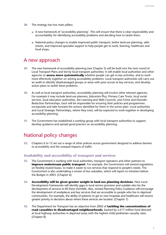- **28.** The strategy has two main pillars:
	- A new framework of 'accessibility planning'. This will ensure that there is clear responsibility and accountability for identifying accessibility problems and deciding how to tackle them.
	- National policy changes to enable improved public transport, better land-use planning, safer streets, and improved specialist support to help people get to work, learning, healthcare and food shops.

### A new approach

- **29.** The new framework of accessibility planning (see Chapter 5) will be built into the next round of Local Transport Plans and led by local transport authorities. It will enable local authorities and other agencies to **assess more systematically** whether people can get to key activities, and to work more effectively together on solving accessibility problems. Local transport authorities will carry out an audit to identify disadvantaged groups or areas with poor access to key services, and develop action plans to tackle these problems.
- **30.** As well as local transport authorities, accessibility planning will involve other relevant agencies. For example it may include land-use planners, Jobcentre Plus, Primary Care Trusts, local social services, local education authorities, the Learning and Skills Councils, and Crime and Disorder Reduction Partnerships. Each will be responsible for ensuring their policies and programmes incorporate and take forward the actions identified for them in the action plan. Local authorities and Local Strategic Partnerships, where they exist, will be expected to work together in developing accessibility planning.
- **31.** The Government has established a working group with local transport authorities to support, develop guidance and spread good practice on accessibility planning.

### National policy changes

**32.** Chapters 6 to 12 set out a range of other policies across government designed to address barriers to accessibility and the unequal impacts of traffic.

#### **Availability and accessibility of transport and services**

- **33.** The Government is working with local authorities, transport operators and other partners to **improve mainstream public transport**. For example, the Government will amend regulations on flexibly-routed buses, to make it easier to run services that respond to people's needs. The Government is also undertaking a review of bus subsidies, which will report to ministers before the Budget in 2003. (Chapter 6)
- **34. Accessibility will be given greater weight in land-use planning decisions.** New Local Development Frameworks will identify gaps in local service provision and suitable sites for the development of services to fill these shortfalls. Also, revised Planning Policy Guidance will encourage the development of workplaces and key services that are accessible to people who live in deprived communities. For example, the ability of patients to get to new hospitals and healthcare will receive greater priority in decisions about where these services are located. (Chapter 7)
- **35.** The Department for Transport has an objective from 2002 of **tackling the concentrations of road casualties in disadvantaged neighbourhoods**, backed by a £17 million fund directed at local highway authorities in deprived areas with the highest child pedestrian casualty rates. (Chapter 8)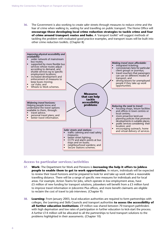**36.** The Government is also working to create safer streets through measures to reduce crime and the fear of crime when walking to, waiting for and travelling on public transport. The Home Office will **encourage those developing local crime reduction strategies to tackle crime and fear of crime around transport routes and hubs.** A 'transport toolkit' will suggest methods of tackling the problem with evaluated good practice examples, and transport issues will be built into other crime reduction toolkits. (Chapter 8)



#### **Access to particular services/activities**

- **37. Work:** The Department for Work and Pensions is **increasing the help it offers to jobless people to enable them to get to work opportunities**. In return, individuals will be expected to review their travel horizons and be prepared to look for and take up work within a reasonable travelling distance. There will be a range of specific new measures for individuals and for local areas. For example, Action Teams for Jobs, which operate in low employment areas, have £5 million of new funding for transport solutions, jobseekers will benefit from a £3 million fund to improve travel information in Jobcentre Plus offices, and more benefit claimants are eligible to reclaim the cost of travel to job interviews. (Chapter 9)
- **38. Learning:** From January 2003, local education authorities are required to form partnerships with colleges, the Learning and Skills Councils and transport authorities **to assess the accessibility of all further education institutions**. £9 million was shared between 70 transport pathfinders with high deprivation and low rates of participation in further education to kick-start the process. A further  $E14$  million will be allocated to all the partnerships to fund transport solutions to the problems highlighted in their assessments. (Chapter 10)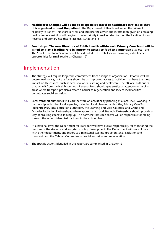- **39. Healthcare: Changes will be made to specialist travel to healthcare services so that it is organised around the patient.** The Department of Health will widen the criteria for eligibility to Patient Transport Services and increase the advice and information given on accessing healthcare. Accessibility will be given greater priority in making decisions on the location of new hospital and primary healthcare facilities. (Chapter 11)
- **40. Food shops: The new Directors of Public Health within each Primary Care Trust will be asked to play a leading role in improving access to food and nutrition** at a local level. The Small Firms Loan Guarantee will be extended to the retail sector, providing extra finance opportunities for small retailers. (Chapter 12)

### Implementation

- **41.** The strategy will require long-term commitment from a range of organisations. Priorities will be determined locally, but the focus should be on improving access to activities that have the most impact on life-chances such as access to work, learning and healthcare. The 88 local authorities that benefit from the Neighbourhood Renewal Fund should give particular attention to helping areas where transport problems create a barrier to regeneration and lack of local facilities perpetuates social exclusion.
- **42.** Local transport authorities will lead the work on accessibility planning at a local level, working in partnership with other local agencies, including local planning authorities, Primary Care Trusts, Jobcentre Plus, local education authorities, the Learning and Skills Councils, and Crime and Disorder Reduction Partnerships. Where appropriate, Local Strategic Partnerships should provide a way of ensuring effective joining up. The partners from each sector will be responsible for taking forward the actions identified for them in the action plan.
- **43.** At a national level, the Department for Transport will have overall responsibility for monitoring the progress of the strategy, and long-term policy development. The Department will work closely with other departments and report to a ministerial steering group on social exclusion and transport, and the Cabinet Committee on social exclusion and regeneration.
- **44.** The specific actions identified in this report are summarised in Chapter 13.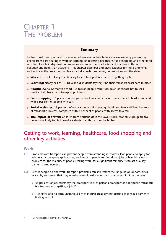## CHAPTER 1 THE PROBLEM

#### **Summary**

Problems with transport and the location of services contribute to social exclusion by preventing people from participating in work or learning, or accessing healthcare, food shopping and other local activities. People in deprived communities also suffer the worst effects of road traffic through pollution and pedestrian accidents. This chapter describes and gives evidence for these problems, and indicates the costs they can have for individuals, businesses, communities and the state.

- **Work:** Two out of five jobseekers say lack of transport is a barrier to getting a job.
- **Learning:** Nearly half of 16–18-year-old students say they find their transport costs hard to meet.
- **Health:** Over a 12-month period, 1.4 million people miss, turn down or choose not to seek medical help because of transport problems.
- **Food shopping:** 16 per cent of people without cars find access to supermarkets hard, compared with 6 per cent of people with cars.
- **Social activities:** 18 per cent of non-car owners find seeing friends and family difficult because of transport problems, compared with 8 per cent of people with access to a car.
- **The impact of traffic:** Children from households in the lowest socio-economic group are five times more likely to die in road accidents than those from the highest.

### Getting to work, learning, healthcare, food shopping and other key activities

#### **Work**

- **1.1** Problems with transport can prevent people from attending interviews, lead people to apply for jobs in a narrow geographical area, and result in people turning down jobs. While this is not a problem for the majority of people seeking work, for a significant minority it can act as a key barrier to employment.
- **1.2** Even if people do find work, transport problems can still restrict the range of job opportunities available, and mean that they remain unemployed longer than otherwise might be the case.
	- 38 per cent of jobseekers say that transport (lack of personal transport or poor public transport) is a key barrier to getting a job.<sup>1\*</sup>
	- Two-fifths of long-term unemployed men in rural areas say that getting to jobs is a barrier to finding work.2

Full references are provided at Annex B.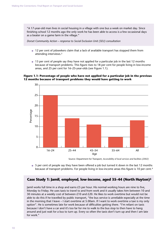"A 17-year-old man lives in social housing in a village with one bus a week on market day. Since finishing school 12 months ago the only work he has been able to access is a few occasional days as a beater on a game farm in the village."

*Dorset Community Action – response to Social Exclusion Unit (SEU) consultation*

- 12 per cent of jobseekers claim that a lack of available transport has stopped them from attending interviews.3
- 13 per cent of people say they have not applied for a particular job in the last 12 months because of transport problems. This figure rises to 18 per cent for people living in low-income areas, and 25 per cent for 16–25-year-olds (see Figure 1.1).





Source: Department for Transport, *Accessibility of local services and facilities (2002)*

● 5 per cent of people say they have been offered a job but turned it down in the last 12 months because of transport problems. For people living in low-income areas this figure is 10 per cent.4

#### **Case Study 1: Jamil, employed, low-income, aged 35–44 (North Huyton)5**

Jamil works full time in a shop and earns £5 per hour. His normal working hours are nine to five, Monday to Friday. He uses taxis to travel to and from work and it usually takes him between 10 and 30 minutes at a weekly cost of between  $£10$  and  $£20$ . He likes to work overtime but would not be able to do this if he travelled by public transport, "the bus service is unreliable especially at the time in the morning that I leave – I start overtime at 5.00am. If I want to work overtime a taxi is my only option". He is sometimes late for work because of difficulties getting there. "I'm reliant on taxis because I don't have a car and it's too far for me to walk to the bus stop to then have to hang around and just wait for a bus to turn up. Every so often the taxis don't turn up and then I am late for work."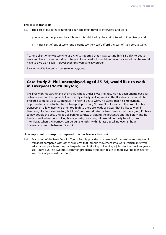#### **The cost of transport**

**1.3** The cost of bus fares or running a car can affect travel to interviews and work:

- $\bullet$  one in four people say their job search is inhibited by the cost of travel to interviews;<sup>6</sup> and
- 14 per cent of out-of-work lone parents say they can't afford the cost of transport to work.7

" ... one client who was working as a chef ... reported that it was costing him  $E4$  a day to get to work and back. He was not due to be paid for at least a fortnight and was concerned that he would have to give up his job ... travel expenses were a heavy burden."

*Newton Aycliffe Jobcentre – consultation response*

#### **Case Study 2: Phil, unemployed, aged 25–34, would like to work in Liverpool (North Huyton)**

Phil lives with his partner and their child who is under 5 years of age. He has been unemployed for between one and two years but is currently actively seeking work in the IT industry. He would be prepared to travel up to 30 minutes in order to get to work. He stated that his employment opportunities are restricted by his transport provision, "I haven't got a car and the cost of public transport on a low income is often too high ... there are loads of places that I'd like to work in Liverpool, like Bootle or Walton, but I can't as it would take me two buses to get there [and] I'd have to pay double the cost". His job searching consists of visiting the Jobcentre and the library and he tends to walk while undertaking his day-to-day searching. He would normally travel by bus to interviews, when the journeys can be quite lengthy, with his last trip taking over an hour. The average cost is between £3 and £5.

#### **How important is transport compared to other barriers to work?**

**1.4** Evaluation of the New Deal for Young People provides an example of the *relative* importance of transport compared with other problems that impede movement into work. Participants were asked about problems they had experienced in finding or keeping a job over the previous year – see Figure 1.2. The two most common problems cited both relate to mobility: "no jobs nearby" and "lack of personal transport".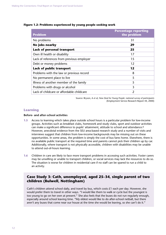| <b>Problem</b>                            | <b>Percentage reporting</b><br>the problem |
|-------------------------------------------|--------------------------------------------|
| No problems                               | 31                                         |
| No jobs nearby                            | 29                                         |
| Lack of personal transport                | 25                                         |
| Own ill health or disability              | 17                                         |
| Lack of references from previous employer | 15                                         |
| Debt or money problems                    | 12                                         |
| Lack of public transport                  | 12                                         |
| Problems with the law or previous record  | 8                                          |
| No permanent place to live                | 5                                          |
| Illness of another member of the family   | 5                                          |
| Problems with drugs or alcohol            | 3                                          |
| Lack of childcare or affordable childcare | 2                                          |

#### **Figure 1.2: Problems experienced by young people seeking work**

Source: Bryson, A *et al*, *New Deal for Young People: national survey of participants* (Employment Service Research Report 44, 2000)

#### **Learning**

#### **Before- and after-school activities**

- **1.5** Access to learning which takes place outside school hours is a particular problem for low-income groups. Activities such as breakfast clubs, homework and study clubs, sport and outdoor activities can make a significant difference to pupils' attainment, attitude to school and attendance.<sup>8</sup> However, anecdotal evidence from the SEU area-based research study and a number of visits and interviews suggest that children from low-income backgrounds may be missing out on these opportunities. In some areas, the problem is simply the cost of bus fares home. Elsewhere, there is no available public transport at the required time and parents cannot pick their children up by car. Additionally, where transport is not physically accessible, children with disabilities may be unable to attend out-of-hours learning.
- **1.6** Children in care are likely to face more transport problems in accessing such activities. Foster carers may be unwilling or unable to transport children, or social services may lack the resources to do so. The situation is worse for children in residential care if no staff can be spared to run a child to an activity.

#### **Case Study 3: Cath, unemployed, aged 25–34, single parent of two children (Bulwell, Nottingham)**

Cath's children attend school daily, and travel by bus, which costs £1 each per day. However, she would prefer them to travel in other ways. "I would like them to walk or cycle but the youngest is too young to go on her own at present." She also feels that the buses do not run regularly enough, especially around school leaving time. "My eldest would like to do after-school netball, but there aren't any buses that come near our house at the time she would be leaving, so she can't do it."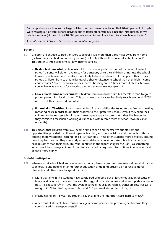"A comprehensive school with a large isolated rural catchment area found that 40–45 per cent of pupils were missing out on after-school activities due to transport constraints. Since the introduction of two late bus services (at the cost of £10,000 per year) no child was forced to miss after-school activities."

*Central Council of Physical Recreation – consultation response*

#### **Schools**

- **1.7** Children are entitled to free transport to school if it is more than three miles away from home (or two miles for children under 8 years old) but only if this is their 'nearest suitable school'. This presents three problems for low-income families:
	- **Restricted parental preference:** If their school of preference is not the 'nearest suitable school' parents will either have to pay for transport, drive their children or not use the school. Low-income families are therefore more likely to have no choice but to apply to their closest school. Children from such families travel a shorter distance to school than their high-income counterparts.9 Parents who live in social sector housing are 1.5 times more likely to cite travel convenience as a reason for choosing a school than owner-occupiers.10
	- **Low educational achievement:** Children from low-income families therefore tend to go to poorer performing local schools. This can mean that they are less likely to achieve good GCSEs or to meet their expected potential.<sup>11</sup>
	- **Financial difficulties:** Parents may get into financial difficulties trying to pay fares or meeting motoring costs in order to get their children to their preferred school. Even if they send their children to the nearest school, parents may have to pay for transport if they live beyond what they consider a reasonable walking distance but within three miles of school (two miles for under 8s).
- **1.8** This means that children from low-income families can find themselves cut off from the opportunities provided by different types of learning, such as specialist or faith schools or those offering more vocational learning for 14–19-year-olds. These offer students more flexibility around how they learn so that they can study more work-based courses or take subjects at schools or colleges other than their own. This was identified in the report *Bridging the Gap*<sup>12</sup> as something which would encourage children from disadvantaged backgrounds to continue in education and achieve more highly.

#### **Post–16 participation**

- **1.9** Whereas most schoolchildren receive concessionary fares or tend to travel relatively small distances to school, young people entering further education or training usually do not receive travel discounts and often travel longer distances.13
	- More than one in five students have considered dropping out of further education because of financial difficulties. Transport costs are the biggest expenditure associated with participation in post–16 education.14 In 1999, the average annual (education-related) transport cost was £319, rising to £371 for 16–18-year-olds (around £10 per week during term time).<sup>15</sup>
	- Nearly half of 16–18-year-old students say they find their transport costs hard to meet.<sup>16</sup>
	- 6 per cent of students have missed college at some point in the previous year because they could not afford transport costs.17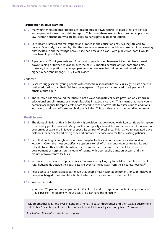#### **Participation in adult learning**

- **1.10** Many further educational facilities are located outside town centres, in places that are difficult and expensive to reach by public transport. This makes them inaccessible to some people from low-income households, who are less likely to participate in adult education.
- **1.11** Low-income families can feel trapped and limited in the education activities they are able to pursue. One study, for example, cites the case of a woman who could only take part in an evening class located in another village because she had access to a car – with public transport it would have been impossible.18
- **1.12** 3 per cent of 25–44-year-olds and 2 per cent of people aged between 45 and 64 have turned down training or further education over the past 12 months because of transport problems. However, the proportion of younger people who have rejected training or further education is higher: 6 per cent amongst 16–24-year-olds.19

#### **Childcare**

- **1.13** Research suggests that young people with childcare responsibilities are less likely to participate in further education than their childless counterparts – 11 per cent compared to 68 per cent for others of that age.20
- **1.14** The research has also found that there is not always adequate childcare provision on campus in educational establishments or enough flexibility in attendance rules. This means that many young parents face higher transport costs or are forced to miss or arrive late to classes due to additional journeys to and from off-campus childcare facilities. This can also be a barrier to taking up work.

#### **Healthcare**

- **1.15** The siting of National Health Service (NHS) provision has developed with little consideration given to access by public transport. Many smaller cottage-style hospitals have been closed for reasons of economies of scale and in favour of specialist centres of excellence. This has led to increased travel distances for accident and emergency and outpatient services and for those visiting patients.
- **1.16** Sites that are large enough for new major hospital facilities are not always available in ideal locations. Often the most cost-effective option is to sell off an existing town-centre facility and relocate to another health site, where there is room for expansion. The result has been the development of hospitals on the edge of towns, with poor public transport access, and the closure of town centre facilities.
- **1.17** In rural areas, access to hospital services can involve very lengthy trips. More than ten per cent of rural households outside the south east live over 7.5 miles away from their nearest hospital.<sup>21</sup>
- **1.18** Poor access to health facilities can mean that people miss health appointments or suffer delays in being discharged from hospital – both of which incur significant costs to the NHS.
- **1.19** Key facts include:
	- Around 20 per cent of people find it difficult to travel to hospital. A much higher proportion (31 per cent) of people without access to a car have this difficulty.22

"My stepmother is 83 and lives in London. She has to catch three buses and then walk a quarter of a mile to her 'local' hospital. Her total journey time is 13 ⁄4 hours, by car it only takes 20 minutes."

*Cheltenham Resident – consultation response*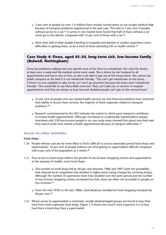- 3 per cent of people (or over 1.4 million) have missed, turned down or not sought medical help because of transport problems experienced in the past year. This rises to 7 per cent of people without access to a car.<sup>23</sup> A survey in one market town found that half of those without a car never go to the dentist, compared with 15 per cent of those with a car.24
- More than half of older people travelling to hospitals and dentists in London experience some difficulties in getting there, as do a third of those attending GPs or health centres.<sup>25</sup>

#### **Case Study 4: Fiona, aged 45–54, long-term sick, low-income family (Bulwell, Nottingham)**

Fiona has problems walking and now spends most of her time in a wheelchair. She visits the doctor at least once a week and the medical centre every week. She is driven by her husband to all appointments and has to rely on him, as she is not able to get out of the house alone. She cannot use public transport as she feels it is not wheelchair friendly. "You can't get wheelchairs on the buses ... if there's no one available to take me by car I can't go anywhere because the buses aren't wheelchair friendly." She would like to use Dial-a-Ride more but "they can't take you to doctors or hospital appointments and they are always so busy because disabled people can't get on the normal buses".

- 23 per cent of people who use mental health services say that financial problems have restricted their ability to access these services; the majority of these responses related to transport problems.26
- Research commissioned by the SEU indicates the extent to which poor transport contributes to missed health appointments. Although not based on a statistically representative sample, interviews with 230 low-income people in six case study areas showed that about one-third said they had at some time missed a health appointment because of transport difficulties.27

#### **Access to other activities**

#### **Food shops**

- **1.20** People without cars are far more likely to find it difficult to access reasonably priced food shops and supermarkets. 16 per cent of people without cars find getting to supermarkets difficult compared with 6 per cent of the population as a whole.<sup>28</sup>
- **1.21** Poor access to food shops reflects the growth of out-of-town shopping centres and supermarkets at the expense of smaller, more local shops:
	- The number of small shops fell by 40 per cent between 1986 and 1997 (with the probability that reduced local competition has resulted in higher prices being charged by surviving shops). Although the number of superstores more than doubled over the same period and the number of out-of-town shopping centres increased four-fold, these are often not accessible to people on low incomes 29
	- From the mid 1970s to the late 1980s, total distances travelled for food shopping increased by 60 per cent.30
- **1.22** Where access to supermarkets is restricted, socially disadvantaged groups are forced to buy their food from more expensive local shops. Figure 1.3 shows how much more expensive it is to buy food from a local shop than a supermarket.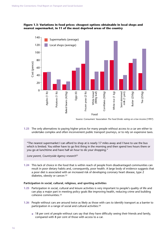#### **Figure 1.3: Variations in food prices: cheapest options obtainable in local shops and nearest supermarket, in 11 of the most deprived areas of the country**



Source: Consumers' Association *The Food Divide: eating on a low income* (1997)

**1.23** The only alternatives to paying higher prices for many people without access to a car are either to undertake complex and often inconvenient public transport journeys, or to rely on expensive taxis.

"The nearest supermarket I can afford to shop at is nearly 17 miles away and I have to use the bus which is limited. You either have to go first thing in the morning and then spend two hours there or you go at lunchtime and have half an hour to do your shopping."

*Lone parent, Countryside Agency research*<sup>31</sup>

**1.24** This lack of choice in the food that is within reach of people from disadvantaged communities can result in poor dietary habits and, consequently, poor health. A large body of evidence suggests that a poor diet is associated with an increased risk of developing coronary heart disease, type 2 diabetes, obesity or cancer.32

#### **Participation in social, cultural, religious, and sporting activities**

- **1.25** Participation in social, cultural and leisure activities is very important to people's quality of life and can play a major part in meeting policy goals like improving health, reducing crime and building cohesive communities.33
- **1.26** People without cars are around twice as likely as those with cars to identify transport as a barrier to participation in a range of social and cultural activities: 34
	- 18 per cent of people without cars say that they have difficulty seeing their friends and family, compared with 8 per cent of those with access to a car.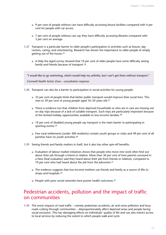- 9 per cent of people without cars have difficulty accessing leisure facilities compared with 4 per cent for people with car access.
- 7 per cent of people without cars say they have difficulty accessing libraries compared with 3 per cent on average.
- **1.27** Transport is a particular barrier to older people's participation in activities such as leisure, day centres, caring, and volunteering. Research has shown the importance to older people of simply getting out of the house.35
	- A Help the Aged survey showed that 10 per cent of older people have some difficulty seeing family and friends because of transport.36

"I would like to go swimming, which would help my arthritis, but I can't get there without transport." *Cornwall Health Action Zone – consultation response*

- **1.28** Transport can also be a barrier to participation in social activities for young people:
	- 33 per cent of people think that better public transport would improve their social lives. This rises to 39 per cent of young people aged 16–24 years old.37
	- There is evidence too that children from deprived households or who are in care are missing out on day trips because of a lack of suitable transport. Such trips are particularly important because of the limited holiday opportunities available to low-income families.<sup>38</sup>
	- 10 per cent of disabled young people say transport is the main barrier to participating in sporting events.<sup>39</sup>
	- Few rural settlements (under 300 residents) contain youth groups or clubs and 49 per cent of all parishes have no youth activities.40
- **1.29** Seeing friends and family matters in itself, but it also has other spin-off benefits:
	- Evaluation of labour market initiatives shows that people who move into work often find out about their job through a friend or relative. More than 30 per cent of lone parents surveyed in a New Deal evaluation said they heard about their job from friends or relatives, compared to 10 per cent who had heard about the job from the Jobcentre.<sup>41</sup>
	- The evidence suggests that low-income mothers use friends and family as a source of lifts to shops and hospitals.42
	- $\bullet$  People with poor social networks have poorer health outcomes.<sup>43</sup>

### Pedestrian accidents, pollution and the impact of traffic on communities

**1.30** The worst impacts of road traffic – namely pedestrian accidents, air and noise pollution and busy roads cutting through communities – disproportionately affect deprived areas and people facing social exclusion. This has damaging effects on individuals' quality of life and can also restrict access to local services by reducing the extent to which people walk and cycle.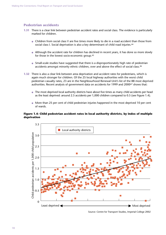#### **Pedestrian accidents**

- **1.31** There is a clear link between pedestrian accident rates and social class. The evidence is particularly marked for children.
	- Children from social class V are five times more likely to die in a road accident than those from social class I. Social deprivation is also a key determinant of child road injuries.<sup>44</sup>
	- Although the accident rate for children has declined in recent years, it has done so more slowly for those in the lowest socio-economic group.45
	- Small-scale studies have suggested that there is a disproportionately high rate of pedestrian accidents amongst minority ethnic children, over and above the effect of social class.<sup>46</sup>
- **1.32** There is also a clear link between area deprivation and accident rates for pedestrians, which is again much stronger for children. Of the 25 local highway authorities with the worst child pedestrian casualty rates, 23 are in the Neighbourhood Renewal Unit's list of the 88 most deprived authorities. Recent analysis of government data on accidents for 1999 and 200047 shows that:
	- The most deprived local authority districts have about five times as many child accidents per head as the least deprived: around 2.5 accidents per 1,000 children compared to 0.5 (see Figure 1.4).
	- More than 25 per cent of child pedestrian injuries happened in the most deprived 10 per cent of wards.

#### **Figure 1.4: Child pedestrian accident rates in local authority districts, by index of multiple deprivation**



Source: Centre for Transport Studies, Imperial College 2002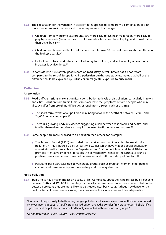- **1.33** The explanation for the variation in accident rates appears to come from a combination of both more dangerous environments and greater exposure to that danger.
	- Children from low-income backgrounds are more likely to live near main roads, more likely to play by or in roads (because they do not have safe alternative places to play) and to walk rather than travel by car.48
	- Children from families in the lowest income quartile cross 50 per cent more roads than those in the highest quartile.49
	- Lack of access to a car doubles the risk of injury for children, and lack of a play area at home increases it by five times.<sup>50</sup>
- **1.34** In contrast with its relatively good record on road safety overall, Britain has a poor record compared to the rest of Europe for child pedestrian deaths; one study estimates that half of the difference could be explained by British children's greater exposure to busy roads.51

#### **Pollution**

#### **Air pollution**

- **1.35** Road traffic emissions make a significant contribution to levels of air pollution, particularly in towns and cities. Pollution from traffic fumes can exacerbate the symptoms of some people who may already suffer from breathing difficulties or respiratory diseases such as asthma:
	- The short-term effects of air pollution may bring forward the deaths of between 12,000 and 24,000 vulnerable people.<sup>52</sup>
	- There is a growing body of evidence suggesting a link between road traffic and health, and families themselves perceive a strong link between traffic volume and asthma.<sup>53</sup>
- **1.36** Some people are more exposed to air pollution than others, for example:
	- The Acheson Report (1998) concluded that deprived communities suffer the worst traffic pollution.54 This is backed up by at least two studies which have mapped social deprivation against air quality: research for the Department for Environment Food and Rural Affairs has provided "tentative evidence" for a positive correlation;<sup>55</sup> Friends of the Earth also found a positive correlation between levels of deprivation and traffic in a study of Bradford.56
	- Pollutants pose particular risks to vulnerable groups such as pregnant women, older people, children and those suffering from respiratory and coronary illnesses.

#### **Noise pollution**

**1.37** Traffic noise has a major impact on quality of life. Complaints about traffic noise rose by 64 per cent between 1982 and 1993/94.57 It is likely that socially deprived areas suffer more noise pollution than better-off areas, as they are more likely to be situated near busy roads. Although evidence for the health effects of noise is inconclusive, the adverse effects include stress and sleep deprivation.

"Houses in close proximity to traffic noise, danger, pollution and severance are ... more likely to be occupied by lower-income groups ... A traffic study carried out on one radial corridor [in Northamptonshire] identified high noise and air pollution in an area traditionally associated with lower income groups."

*Northamptonshire County Council – consultation response*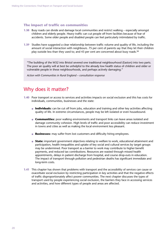#### **The impact of traffic on communities**

- **1.38** Busy roads can divide and damage local communities and restrict walking especially amongst children and elderly people. Heavy traffic can cut people off from facilities because of fear of accidents. Some older people and disabled people can feel particularly intimidated by traffic.
- **1.39** Studies have suggested a clear relationship between traffic volume and quality of life, including the amount of social interaction with neighbours. 75 per cent of parents say that they let their children play outside less than they used to; and 43 per cent are concerned about busy roads.58

"The building of the M32 into Bristol severed one traditional neighbourhood (Easton) into two parts. The poor air quality will at best be unhelpful to the already low health status of children and older or vulnerable people in these neighbourhoods, and perhaps actively damaging."

*Action with Communities in Rural England – consultation response*

### Why does it matter?

- **1.40** Poor transport or access to services and activities impacts on social exclusion and this has costs for individuals, communities, businesses and the state:
	- **Individuals:** can be cut off from jobs, education and training and other key activities affecting quality of life. In extreme circumstances, people may be left isolated or even housebound.
	- **Communities:** poor walking environments and transport links can leave areas isolated and damage community cohesion. High levels of traffic and poor accessibility can reduce investment in towns and cities as well as making the local environment less pleasant.
	- **Businesses:** may suffer from lost customers and difficulty hiring employees.
	- **State:** important government objectives relating to welfare to work, educational attainment and participation, health inequalities and uptake of key social and cultural services by target groups may be undermined. Poor transport as a barrier to work may contribute to higher benefit payments, and reduced tax contributions. Resources are wasted through missed health appointments, delays in patient discharge from hospital, and course drop-outs in education. The impact of transport through pollution and pedestrian deaths has significant immediate and long-term costs.
- **1.41** This chapter has shown that problems with transport and the accessibility of services can cause or exacerbate social exclusion by restricting participation in key activities and that the negative effects of traffic disproportionately affect poorer communities. The next chapter discusses the types of transport used by people experiencing social exclusion, the barriers they face in accessing services and activities, and how different types of people and areas are affected.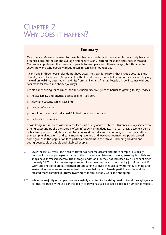## CHAPTER 2 WHY DOES IT HAPPEN?

#### **Summary**

Over the last 50 years the need to travel has become greater and more complex as society became organised around the car and average distances to work, learning, hospitals and shops increased. Car ownership allowed the majority of people to keep pace with these changes, but this chapter shows how and why people without access to cars have not kept up.

Nearly one in three households do not have access to a car, for reasons that include cost, age and disability, as well as choice. 63 per cent of the lowest income households do not have a car. They rely instead on walking, buses, taxis, and lifts from families and friends. People on low incomes without cars make far fewer and shorter journeys.

People experiencing, or at risk of, social exclusion face five types of barrier to getting to key services:

- the availability and physical accessibility of transport;
- safety and security while travelling;
- the cost of transport;
- poor information and individuals' limited travel horizons; and
- the location of services.

Those living in rural areas without a car face particularly acute problems. Distances to key services are often greater and public transport is often infrequent or inadequate. In urban areas, despite a dense public transport network, buses tend to be focused on radial routes entering town centres rather than peripheral locations, and early morning, evening and weekend journeys are poorly served. Some groups in the population face particular problems in their travel, including children and young people, older people and disabled people.

- **2.1** Over the last 50 years, the need to travel has become greater and more complex as society became increasingly organised around the car. Average distances to work, learning, hospitals and shops have increased sharply. The average length of a journey has increased by 42 per cent since the early 1970s while the average number of journeys per person has risen by just 8 per cent.<sup>59</sup> Work and shopping are less focused around a nine-to-five schedule; early morning, evening and weekend journeys are more important than ever before, and female participation in work has created more complex journeys involving childcare, school, work and shopping.
- **2.2** While the majority of people have successfully adapted to the rising need to travel through greater car use, for those without a car the ability to travel has failed to keep pace in a number of respects.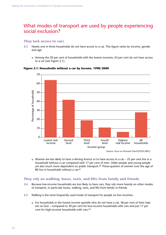### What modes of transport are used by people experiencing social exclusion?

#### **They lack access to cars**

- **2.3** Nearly one in three households do not have access to a car. This figure varies by income, gender and age.
	- Among the 20 per cent of households with the lowest incomes, 63 per cent do not have access to a car (see Figure 2.1).



#### **Figure 2.1: Households without a car by income, 1998/2000**

#### **They rely on walking, buses, taxis, and lifts from family and friends**

- **2.4** Because low-income households are less likely to have cars, they rely more heavily on other modes of transport, in particular buses, walking, taxis, and lifts from family or friends.
- **2.5** Walking is the most frequently used mode of transport for people on low incomes:
	- For households in the lowest income quintile who do not have a car, 58 per cent of their trips are on foot – compared to 30 per cent for low-income households with cars and just 17 per cent for high-income households with cars.62

 $\bullet$  Women are less likely to have a driving licence or to have access to a car  $-$  25 per cent live in a household without a car compared with 17 per cent of men. Older people and young people are also much more dependent on public transport.<sup>60</sup> Three-quarters of women over the age of 80 live in households without a car.61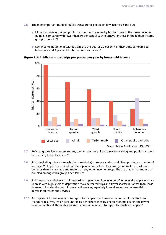- **2.6** The most important mode of public transport for people on low incomes is the bus:
	- More than nine out of ten public transport journeys are by bus for those in the lowest income quintile, compared with fewer than 30 per cent of such journeys for those in the highest income group (Figure 2.2).
	- Low-income households without cars use the bus for 20 per cent of their trips, compared to between 2 and 4 per cent for households with cars.<sup>63</sup>

100 80 Trips per person per year Trips per person per year 60 40 20 0 Lowest real Second Third Fourth Highest real income quintile quintile quintile income Local bus All rail Taxi/minicab Cher public transport Source: National Travel Survey (1998/2000)

**Figure 2.2: Public transport trips per person per year by household income**

- **2.7** Reflecting their lower access to cars, women are more likely to rely on walking and public transport in travelling to local services.<sup>64</sup>
- **2.8** Taxis (including private hire vehicles or minicabs) make up a rising and disproportionate number of journeys.<sup>65</sup> Despite the cost of taxi fares, people in the lowest income group make a third more taxi trips than the average and more than any other income group. The use of taxis has more than doubled amongst this group since 1985.66
- **2.9** Rail is used by a relatively small proportion of people on low incomes.<sup>67</sup> In general, people who live in areas with high levels of deprivation make fewer rail trips and travel shorter distances than those in areas of low deprivation. However, rail services, especially in rural areas, can be essential to access local towns and services.
- **2.10** An important further means of transport for people from low-income households is lifts from friends or relatives, which account for 13 per cent of trips by people without a car in the lowest income quintile.<sup>68</sup> This is also the most common means of transport for disabled people.<sup>69</sup>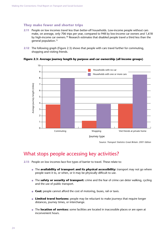#### **They make fewer and shorter trips**

- **2.11** People on low incomes travel less than better-off households. Low-income people without cars make, on average, only 706 trips per year, compared to 948 by low-income car owners and 1,618 by high-income car owners.<sup>70</sup> Research estimates that disabled people travel a third less than the general population.71
- **2.12** The following graph (Figure 2.3) shows that people with cars travel further for commuting, shopping and visiting friends.



#### **Figure 2.3: Average journey length by purpose and car ownership (all income groups)**

Source: *Transport Statistics Great Britain: 2001 Edition*

### What stops people accessing key activities?

- **2.13** People on low incomes face five types of barrier to travel. These relate to:
	- The **availability of transport and its physical accessibility:** transport may not go where people want it to, or when, or it may be physically difficult to use.
	- The **safety or security of transport:** crime and the fear of crime can deter walking, cycling and the use of public transport.
	- **Cost:** people cannot afford the cost of motoring, buses, rail or taxis.
	- **Limited travel horizons:** people may be reluctant to make journeys that require longer distances, journey times, or interchange.
	- The **location of services:** some facilities are located in inaccessible places or are open at inconvenient hours.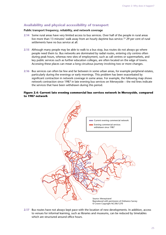#### **Availability and physical accessibility of transport**

#### **Public transport frequency, reliability, and network coverage**

- **2.14** Some rural areas have very limited access to bus services. Over half of the people in rural areas live more than 13 minutes' walk away from an hourly daytime bus service.72 29 per cent of rural settlements have no bus service at all.
- **2.15** Although many people may be able to walk to a bus stop, bus routes do not always go where people need them to. Bus networks are dominated by radial routes, entering city centres often during peak hours, whereas new sites of employment, such as call centres or supermarkets, and key public services such as further education colleges, are often located on the edge of towns. Accessing these places can mean a long circuitous journey involving two or more changes.
- **2.16** Bus services can often be few and far between in some urban areas, for example peripheral estates, particularly during the evenings or early mornings. This problem has been exacerbated by significant contraction in network coverage in some areas. For example, the following map shows network contraction since 1987 in late evening bus services on Merseyside – the red lines indicate the services that have been withdrawn during this period.

#### **Figure 2.4: Current late evening commercial bus services network in Merseyside, compared to 1987 network**



**2.17** Bus routes have not always kept pace with the location of new developments. In addition, access to venues for informal learning, such as libraries and museums, can be reduced by timetables which are structured around office hours.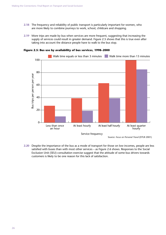- **2.18** The frequency and reliability of public transport is particularly important for women, who are more likely to combine journeys to work, school, childcare and shopping.
- **2.19** More trips are made by bus when services are more frequent, suggesting that increasing the supply of services could result in greater demand. Figure 2.5 shows that this is true even after taking into account the distance people have to walk to the bus stop.



#### **Figure 2.5: Bus use by availability of bus services, 1998–2000**

**<sup>2.20</sup>** Despite the importance of the bus as a mode of transport for those on low incomes, people are less satisfied with buses than with most other services – as Figure 2.6 shows. Responses to the Social Exclusion Unit (SEU) consultation exercise suggest that the attitude of some bus drivers towards customers is likely to be one reason for this lack of satisfaction.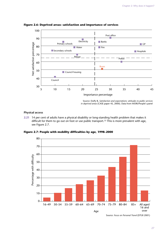

**Figure 2.6: Deprived areas: satisfaction and importance of services**

Source: Duffy B, *Satisfaction and expectations: attitudes to public services in deprived areas* (CASE paper 45, 2000). Data from MORI/People's panel

#### **Physical access**

**2.21** 14 per cent of adults have a physical disability or long-standing health problem that makes it difficult for them to go out on foot or use public transport.<sup>73</sup> This is more prevalent with age, see Figure 2.7.

**Figure 2.7: People with mobility difficulties by age, 1998–2000**



Source: *Focus on Personal Travel* (DTLR 2001)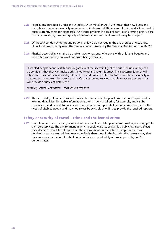- **2.22** Regulations introduced under the Disability Discrimination Act 1995 mean that new buses and trains have to meet accessibility requirements. Only around 10 per cent of trains and 29 per cent of buses currently meet the standards.74 A further problem is a lack of controlled crossing points close to many bus stops, plus poor quality of pedestrian environment around many bus stops.<sup>75</sup>
- **2.23** Of the 275 London Underground stations, only 40 do not require the use of steps or escalators. No rail stations currently meet the design standards issued by the Strategic Rail Authority in 2002.<sup>76</sup>
- **2.24** Physical accessibility can also be problematic for parents who travel with children's buggies and who often cannot rely on low-floor buses being available.

"Disabled people cannot catch buses regardless of the accessibility of the bus itself unless they can be confident that they can make both the outward and return journey. The successful journey will rely as much as on the accessibility of the street and bus stop infrastructure as on the accessibility of the bus. In many cases, the absence of a safe road crossing to allow people to access the bus stops will provide a sufficient deterrent."

*Disability Rights Commission – consultation response*

**2.25** The accessibility of public transport can also be problematic for people with sensory impairment or learning disabilities. Timetable information is often in very small print, for example, and can be complicated and difficult to understand. Furthermore, transport staff are sometimes unaware of the needs of disabled people and may not always be available or willing to provide the required support.

#### **Safety or security of travel – crime and the fear of crime**

**2.26** Fear of crime while travelling is important because it can deter people from walking or using public transport services. The environment in which people walk to, or wait for, public transport affects their decisions about travel more than the environment on the vehicle. People in the most deprived areas are around five times more likely than those in the least deprived areas to say that they are concerned about levels of crime in their area and safety at bus stops, as Figure 2.8 demonstrates.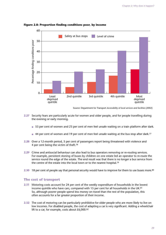

#### **Figure 2.8: Proportion finding conditions poor, by income**

- **2.27** Security fears are particularly acute for women and older people, and for people travelling during the evening or early morning.
	- 53 per cent of women and 23 per cent of men feel unsafe waiting on a train platform after dark.
	- 44 per cent of women and 19 per cent of men feel unsafe waiting at the bus stop after dark.<sup>77</sup>
- **2.28** Over a 12-month period, 5 per cent of passengers report being threatened with violence and 4 per cent being the victim of theft.78
- **2.29** Crime and antisocial behaviour can also lead to bus operators removing or re-routing services. For example, persistent stoning of buses by children on one estate led an operator to re-route the service round the edge of the estate. The end result was that there is no longer a bus service from the centre of the estate into the local town or to the nearest hospital.79
- **2.30** 18 per cent of people say that personal security would have to improve for them to use buses more.<sup>80</sup>

#### **The cost of transport**

- **2.31** Motoring costs account for 24 per cent of the weekly expenditure of households in the lowest income quintile who have cars, compared with 15 per cent for all households in the UK.81 So, although poorer people spend less money on travel than the rest of the population, this often accounts for a far greater proportion of their income.
- **2.32** The cost of motoring can be particularly prohibitive for older people who are more likely to live on low incomes. For disabled people, the cost of adapting a car is very significant. Adding a wheelchair lift to a car, for example, costs about  $£6,000$ .<sup>82</sup>

Source: Department for Transport *Accessibility of local services and facilities* (2002)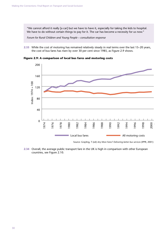"We cannot afford it really [a car] but we have to have it, especially for taking the kids to hospital. We have to do without certain things to pay for it. The car has become a necessity for us now."

*Forum for Rural Children and Young People – consultation response*

**2.33** While the cost of motoring has remained relatively steady in real terms over the last 15–20 years, the cost of bus fares has risen by over 30 per cent since 1985, as Figure 2.9 shows.

**Figure 2.9: A comparison of local bus fares and motoring costs**



Source: Grayling, T (ed) *Any More Fares? Delivering better bus services* (IPPR, 2001)

**2.34** Overall, the average public transport fare in the UK is high in comparison with other European countries, see Figure 2.10.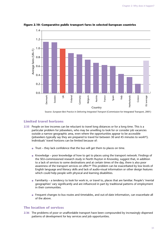

**Figure 2.10: Comparative public transport fares in selected European countries**

Source: *European Best Practice in Delivering Integrated Transport* (Commission for Integrated Transport, 2001)

#### **Limited travel horizons**

- **2.35** People on low incomes can be reluctant to travel long distances or for a long time. This is a particular problem for jobseekers, who may be unwilling to look for or consider job vacancies outside a narrow geographic area, even where the opportunities appear to be accessible (jobseekers typically say they are prepared to travel for between 30 and 45 minutes to work $83$ ). Individuals' travel horizons can be limited because of:
	- Trust they lack confidence that the bus will get them to places on time.
	- Knowledge poor knowledge of how to get to places using the transport network. Findings of the SEU-commissioned research study in North Huyton in Knowsley, suggest that, in addition to a lack of services to some destinations and at certain times of the day, there is also poor awareness of the transport services on offer.<sup>84</sup> This problem can be exacerbated by low levels of English language and literacy skills and lack of audio-visual information or other design features which could help people with physical and learning disabilities.
	- Familiarity a tendency to look for work in, or travel to, places that are familiar. People's 'mental geographies' vary significantly and are influenced in part by traditional patterns of employment in their communities.
	- Frequent changes to bus routes and timetables, and out-of-date information, can exacerbate all of the above.

#### **The location of services**

**2.36** The problems of poor or unaffordable transport have been compounded by increasingly dispersed patterns of development for key services and job opportunities.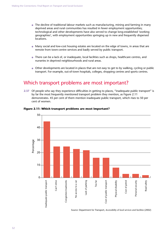- The decline of traditional labour markets such as manufacturing, mining and farming in many deprived areas and rural communities has resulted in fewer employment opportunities; technological and other developments have also served to change long-established 'working geographies', with employment opportunities springing up in new and frequently dispersed locations.
- Many social and low-cost housing estates are located on the edge of towns, in areas that are remote from town-centre services and badly served by public transport.
- There can be a lack of, or inadequate, local facilities such as shops, healthcare centres, and nurseries in deprived neighbourhoods and rural areas.
- Other developments are located in places that are not easy to get to by walking, cycling or public transport. For example, out-of-town hospitals, colleges, shopping centres and sports centres.

### Which transport problems are most important?

**2.37** Of people who say they experience difficulties in getting to places, "inadequate public transport" is by far the most frequently mentioned transport problem they mention, as Figure 2.11 demonstrates. 45 per cent of them mention inadequate public transport, which rises to 50 per cent of women.



#### **Figure 2.11: Which transport problems are most important?**

Source: Department for Transport, *Accessibility of local services and facilities* (2002)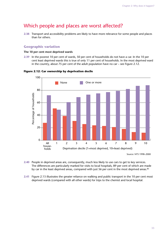# Which people and places are worst affected?

**2.38** Transport and accessibility problems are likely to have more relevance for some people and places than for others.

## **Geographic variation**

#### **The 10 per cent most deprived wards**

**2.39** In the poorest 10 per cent of wards, 50 per cent of households do not have a car. In the 10 per cent least deprived wards this is true of only 11 per cent of households. In the most deprived ward in the country, about 75 per cent of the adult population have no car – see Figure 2.12.

**Figure 2.12: Car ownership by deprivation decile**



Source: NTS 1998–2000

- **2.40** People in deprived areas are, consequently, much less likely to use cars to get to key services. The differences are particularly marked for visits to local hospitals, 89 per cent of which are made by car in the least deprived areas, compared with just 56 per cent in the most deprived areas.<sup>85</sup>
- **2.41** Figure 2.13 illustrates the greater reliance on walking and public transport in the 10 per cent most deprived wards (compared with all other wards) for trips to the chemist and local hospital.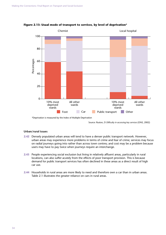

#### **Figure 2.13: Usual mode of transport to services, by level of deprivation\***

\*Deprivation is measured by the Index of Multiple Deprivation

Source: Ruston, D *Difficulty in accessing key services* (ONS, 2002)

#### **Urban/rural issues**

- **2.42** Densely populated urban areas will tend to have a denser public transport network. However, urban areas may experience more problems in terms of crime and fear of crime; services may focus on radial journeys going into rather than across town centres; and cost may be a problem because users may have to pay twice when journeys require an interchange.
- **2.43** People experiencing social exclusion but living in relatively affluent areas, particularly in rural locations, can also suffer acutely from the effects of poor transport provision. This is because demand for public transport services has often declined in these areas as a direct result of high car use.
- **2.44** Households in rural areas are more likely to need and therefore own a car than in urban areas. Table 2.1 illustrates the greater reliance on cars in rural areas.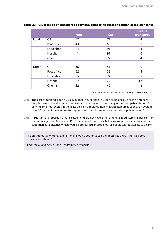|       |             |      |     | <b>Public</b>  |
|-------|-------------|------|-----|----------------|
|       |             | Foot | Car | transport      |
| Rural | GP          | 17   | 77  | 4              |
|       | Post office | 43   | 53  | 1              |
|       | Food shop   | 4    | 91  | $\overline{4}$ |
|       | Hospital    | 1    | 91  | 6              |
|       | Chemist     | 21   | 72  | 4              |
|       |             |      |     |                |
| Urban | GP          | 38   | 51  | 9              |
|       | Post office | 62   | 33  | 3              |
|       | Food shop   | 15   | 74  | 9              |
|       | Hospital    | 7    | 72  | 17             |
|       | Chemist     | 52   | 40  | 4              |

## **Table 2.1: Usual mode of transport to services, comparing rural and urban areas (per cent)**

Source: Ruston, D *Difficulty in accessing key services* (ONS, 2002)

- **2.45** The cost of running a car is usually higher in rural than in urban areas because of the distances people have to travel to access services and the higher cost of many non-urban petrol stations.86 Low-income households in the least densely populated non-metropolitan areas spend, on average, over 30 per cent more on motoring per week than those in more densely populated areas.<sup>87</sup>
- **2.46** A substantial proportion of rural settlements do not have either a general food store (78 per cent) or a small village shop (72 per cent). 21 per cent of rural households live more than 2.5 miles from a supermarket; a distance which would pose particular problems for people without access to a car.88

"I don't go out any more, even if I'm ill I won't bother to see the doctor as there is no transport available out there."

*Cornwall Health Action Zone – consultation response*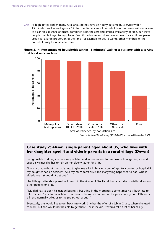**2.47** As highlighted earlier, many rural areas do not have an hourly daytime bus service within 13 minutes' walk – see Figure 2.14. For the 16 per cent of households in rural areas without access to a car, this absence of buses, combined with the cost and limited availability of taxis, can leave people unable to get to key places. Even if the household does have access to a car, if one person uses it for a large proportion of the time (for example to get to work), other members of the household may be unable to travel.



## **Figure 2.14: Percentage of households within 13 minutes' walk of a bus stop with a service of at least once an hour**

# **Case study 7: Alison, single parent aged about 35, who lives with her daughter aged 4 and elderly parents in a rural village (Devon)**

Being unable to drive, she feels very isolated and worries about future prospects of getting around especially since she has to rely on her elderly father for a lift.

"I worry that without my dad's help to give me a lift in his car I couldn't get to a doctor or hospital if my daughter had an accident. Also my mum can't drive and if anything happened to dad, who is elderly, we just couldn't get out."

Her little girl attends a pre-school group in the village of Stockland, but again she is totally reliant on other people for a lift.

"My dad has to open his garage business first thing in the morning so sometimes he is back late to take me and Stella to pre-school. That means she misses an hour at the pre-school group. Otherwise a friend normally takes us to the pre-school group."

Eventually, she would like to get back into work. She has the offer of a job in Chard, where she used to work, but she would not be able to get there – or if she did, it would take a lot of her salary.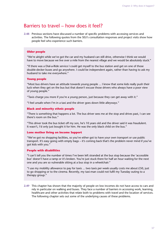# Barriers to travel – how does it feel?

2.48 Previous sections have discussed a number of specific problems with accessing services and activities. The following quotes from the SEU's consultation responses and project visits show how people feel who experience such barriers.

## **Older people**

"We're alright while we've got the car and my husband can still drive, otherwise I think we would have to move because we live over a mile from the nearest village and we would be absolutely stuck."

"If there was a Dial-a-Ride service I could get myself to the bus station and get on one of those double-decker buses and go anywhere. I could be independent again, rather than having to ask my husband to take me everywhere."

#### **Young people**

"Most bus drivers have an attitude towards young people ... I know that some kids really push their luck when they get on the bus but that doesn't excuse those drivers who always have a poor view of young people."

"Taxis charge you more if you're a young person, just because they can get away with it."

"I feel unsafe when I'm in a taxi and the driver goes down little alleyways."

## **Black and minority ethnic people**

"There is something that happens a lot. The bus driver sees me at the stop and drives past, I can see there's room on the bus."

"This driver took the bus ticket off my son, he's 10 years old and the driver said it was fraudulent. It wasn't, I'd only just bought it for him. He was the only black child on the bus."

#### **Lone mother living on Income Support**

"We've got no shopping facilities, so you've either got to have your own transport or use public transport. It's easy going with empty bags – it's coming back that's the problem never mind if you've got kids with you."

#### **People with disabilities**

"I can't tell you the number of times I've been left stranded at the bus stop because the 'accessible bus' doesn't have a ramp or it's broken. You're just stuck there for half an hour waiting for the next one and you are so vulnerable sitting at a bus stop in a wheelchair."

"I use my mobility allowance to pay for taxis  $\ldots$  two taxis per week usually costs me about £50, just to go shopping or to the cinema. Recently, my taxi-man could not fulfil my Tuesday outing to a therapy group."

**2.49** This chapter has shown that the majority of people on low incomes do not have access to cars and rely in particular on walking and buses. They face a number of barriers in accessing work, learning, healthcare and other activities that relate both to problems with travel and the location of services. The following chapter sets out some of the underlying causes of these problems.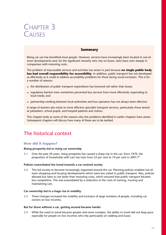# CHAPTER 3 **CAUSES**

# **Summary**

Rising car use has benefited most people. However, services have increasingly been located in out-oftown developments and, for the significant minority who rely on buses, fares have risen steeply in comparison with motoring costs.

The problem of inaccessible services and activities has arisen in part because **no single public body has had overall responsibility for accessibility**. In addition, public transport has not developed as effectively as it could to address accessibility problems for those facing social exclusion. This is for a number of reasons:

- the distribution of public transport expenditure has favoured rail rather than buses;
- regulatory barriers have sometimes prevented bus services from more effectively responding to local needs; and
- partnership working between local authorities and bus operators has not always been effective.

A range of barriers also exists to more effective specialist transport services, particularly those aimed at jobseekers, school pupils, and hospital patients and visitors.

This chapter looks at some of the reasons why the problems identified in earlier chapters have arisen. Subsequent chapters will discuss how many of these are to be tackled.

# The historical context

# **How did it happen?**

## **Rising prosperity led to rising car ownership**

**3.1** Over the past 50 years, rising prosperity has caused a sharp rise in the car. Since 1970, the proportion of households with cars has risen from 52 per cent to 74 per cent in 2001.<sup>89</sup>

#### **Policies exacerbated the trend towards a car-centred society**

**3.2** This led society to become increasingly organised around the car. Planning policies enabled out-oftown shopping and housing developments which were less suited to public transport. Also, policies allowed bus fares to rise faster than motoring costs, which ensured that public transport became less competitive. This was exacerbated by a reduction in the costs of owning, insuring and maintaining cars.

#### **Car ownership led to a huge rise in mobility**

**3.3** These changes increased the mobility and inclusion of large numbers of people, including car owners on low incomes.

## **But for those without a car, getting around became harder**

**3.4** While the need to travel became greater and more complex, the ability to travel did not keep pace especially for people on low incomes who rely particularly on walking and buses.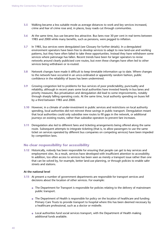- **3.5** Walking became a less suitable mode as average distances to work and key services increased, crime and fear of crime rose and, in places, busy roads cut through communities.
- **3.6** At the same time, bus use became less attractive. Bus fares rose 30 per cent in real terms between 1985 and 2000 while many benefits, such as pensions, were pegged to inflation.
- **3.7** In 1985, bus services were deregulated (see Glossary for further details). In a deregulated environment operators have been free to develop services to adapt to new land-use and working patterns, but they have often failed to take these opportunities. Instead they have withdrawn some services where patronage has fallen. Recent trends have been for larger operators to revise networks around clearly publicised core routes, but even these changes have often led to other services being withdrawn or re-routed.
- **3.8** Network changes have made it difficult to keep timetable information up to date. Where changes to the network have occurred in an unco-ordinated or apparently random fashion, public confidence in the reliability of buses has been undermined.
- **3.9** Growing congestion led to problems for bus services of poor predictability, punctuality and reliability, although in recent years some local authorities have invested heavily in bus lanes and priority measures. Bus privatisation and deregulation did lead to some improvements, notably through sharply falling operating costs. At the same time, local authority spending on buses fell by a third between 1985 and 2000.
- **3.10** However, in a climate of under-investment in public services and restrictions on local authority spending, local authorities did not reinvest these savings in public transport. Deregulation meant that local authorities could only subsidise new routes to fill gaps in the network, or additional journeys on existing routes, rather than subsidise operators to prevent fare increases.
- **3.11** Deregulation also led to different fares and ticketing arrangements being offered along the same route. Subsequent attempts to integrate ticketing (that is, to allow passengers to use the same ticket on services operated by different bus companies on competing services) have been impeded by competition laws.

# **No clear responsibility for accessibility**

**3.12** Historically, nobody has been responsible for ensuring that people can get to key services and employment sites. As a result, services have developed with insufficient attention to accessibility. In addition, too often access to services has been seen as merely a transport issue rather than one that can be solved by, for example, better land-use planning, or through policies to enable safer streets and stations.

#### **At the national level**

- **3.13** At present a number of government departments are responsible for transport services and decisions about the location of other services. For example:
	- The Department for Transport is responsible for policies relating to the delivery of mainstream public transport.
	- The Department of Health is responsible for policy on the location of healthcare and funding Primary Care Trusts to provide transport to hospital where this has been deemed necessary by a healthcare professional, such as a doctor or midwife.
	- Local authorities fund social services transport, with the Department of Health making additional funds available.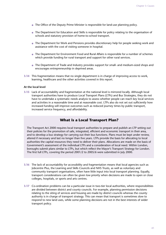- The Office of the Deputy Prime Minister is responsible for land-use planning policy.
- The Department for Education and Skills is responsible for policy relating to the organisation of schools and statutory provision of home-to-school transport.
- The Department for Work and Pensions provides discretionary help for people seeking work and assistance with the cost of visiting someone in hospital.
- The Department for Environment Food and Rural Affairs is responsible for a number of schemes which provide funding for rural transport and support for other rural services.
- The Department of Trade and Industry provides support for small- and medium-sized shops and encourages entrepreneurship in deprived areas.
- **3.14** This fragmentation means that no single department is in charge of improving access to work, learning, healthcare and the other activities covered in this report.

#### **At the local level**

**3.15** Lack of accountability and fragmentation at the national level is mirrored locally. Although local transport authorities have to produce Local Transport Plans (LTPs) and Bus Strategies, they do not have to undertake a systematic needs analysis to assess whether people can reach key local services and activities in a reasonable time and at reasonable cost. LTPs also do not set out sufficiently how increased funding will improve outcomes such as reduced journey times by public transport, increased service frequency, and affordability.

# **What is a Local Transport Plan?**

The Transport Act 2000 requires local transport authorities to prepare and publish an LTP setting out their policies for the promotion of safe, integrated, efficient and economic transport in their area, and to develop a bus strategy for carrying out their bus functions. Plans must be kept under review, altered if necessary and last no longer than five years. LTPs provide the basis for allocating to local authorities the capital resources they need to deliver their plans. Allocations are made on the basis of Government's assessment of the individual LTPs and a consideration of local need. Within London, boroughs submit plans similar to LTPs, but which reflect the Mayor's Transport Strategy for London. The first full LTPs, covering the period 2001/2 to 2005/6 were submitted in July 2000.

- **3.16** The lack of accountability for accessibility and fragmentation means that local agencies such as Jobcentre Plus, the Learning and Skills Councils and NHS Trusts, as well as voluntary and community transport organisations, often have little input into local transport planning. Equally, transport considerations can often be given low priority when decisions are made to open or close colleges, hospitals, or sports and arts centres.
- **3.17** Co-ordination problems can be a particular issue in two-tier local authorities, where responsibilities are divided between district and county councils. For example, planning permission decisions relating to the siting of services and housing are made by district councils whereas the county authority is in charge of transport strategy. This can mean that transport is sometimes slow to respond to new land uses, while some planning decisions are not in the best interests of wider transport policy.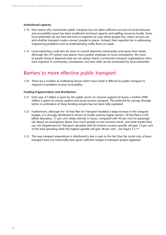#### **Institutional capacity**

- **3.18** One reason why mainstream public transport has not taken sufficient account of social exclusion and accessibility issues has been insufficient technical capacity and staffing resources locally. Some local authorities do not have the time or expertise to map where people live, where services are and whether transport routes connect people to places. Instead, their expertise lies in addressing engineering problems such as understanding traffic flows on roads.
- **3.19** Local authorities could also do more to consult deprived communities and assess their needs. Although the LTP system now places much greater emphasis on local consultation, the views of people living in deprived areas are not always heard. Community transport organisations often have expertise in community consultation, but their skills can be overlooked by local authorities.

# Barriers to more effective public transport

**3.20** There are a number of underlying factors which have made it difficult for public transport to respond to problems of poor accessibility.

#### **Funding fragmentation and distribution**

- **3.21** Each year, £1 billion is spent by the public sector on revenue support for buses; a further £900 million is spent on school, patient and social services transport. The potential for savings through better co-ordination of these funding streams has not been fully exploited.
- **3.22** Furthermore, although the 10 Year Plan for Transport heralded a large increase in the transport budget, it is strongly distributed in favour of modes used by higher earners. Of the Plan's £120 billion allocation, 11 per cent relates directly to buses, compared with 40 per cent for passenger rail. Based on assumptions about how much people on low incomes travel, and what modes they use, the Department for Transport calculates that the bottom income quintile will gain 12 per cent of the total spending while the highest quintile will gain 38 per cent – see Figure 3.1.90
- **3.23** The way transport expenditure is distributed is due in part to the fact that the social costs of poor transport have not historically been given sufficient weight in transport project appraisal.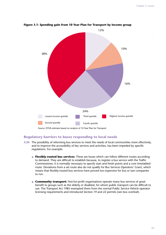

**Figure 3.1: Spending gain from 10 Year Plan for Transport by income group**

Source: DTLR estimate based on analysis of 10 Year Plan for Transport

# **Regulatory barriers to buses responding to local needs**

- **3.24** The possibility of reforming bus services to meet the needs of local communities more effectively, and to improve the accessibility of key services and activities, has been impeded by specific regulations. For example:
	- **Flexibly-routed bus services:** These are buses which can follow different routes according to demand. They are difficult to establish because, to register a bus service with the Traffic Commissioner, it is normally necessary to specify start and finish points and a core timetabled route. Deviations from a set route also do not qualify for Bus Services Operators' Grant, which means that flexibly-routed bus services have proved too expensive for bus or taxi companies to run.
	- **Community transport:** Not-for-profit organisations operate many bus services of great benefit to groups such as the elderly or disabled, for whom public transport can be difficult to use. The Transport Act 1985 exempted them from the normal Public Service Vehicle operator licensing requirements and introduced Section 19 and 22 permits (see box overleaf).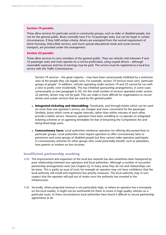#### **Section 19 permits**

These allow services for particular social or community groups, such as older or disabled people, but not for the general public. Buses normally have 9 to 16 passenger seats, but can be larger in certain circumstances. If they fulfil certain criteria, drivers are exempted from the normal requirement of driver licensing. Dial-a-Ride services, and much special educational needs and social services transport, are provided under this arrangement.

#### **Section 22 permits**

These allow services to carry members of the general public. They use vehicles with between 9 and 16 passenger seats and must operate on a not-for-profit basis, using unpaid drivers – although reasonable expenses and loss of earnings may be paid. The service must be registered as a local bus service with the Traffic Commissioner.

Section 19 services – the great majority – may have been unnecessarily inhibited by a restrictive view of the people they can legally carry. For example, section 19 services must carry 'particular groups of people'. In addition, vehicles operating under sections 19 and 22 cannot be run with a view to profit, even incidentally. This has inhibited sponsorship arrangements, in some cases unnecessarily so (see paragraph 6.10). On the small number of services operated under section 22 permits, drivers may not be paid. This can make it more difficult for organisations to recruit drivers and sustain services that are used by the general public.

- **Integrated ticketing and timetabling:** Travelcards, and through-tickets which can be used on more than one operator's service, are cheaper and more convenient for the passenger. Similarly, buses which come at regular intervals, rather than within minutes of each other, provide a better service. However, operators have been unwilling to co-operate on integrated ticketing schemes or on agreeing timetables for fear of breaching the Competition Act and being fined large sums.
- **Concessionary fares:** Local authorities reimburse operators for offering discounted fares to particular groups. Local authorities must require operators to offer concessionary fares to pensioners and some groups of disabled people but they cannot make operators participate in concessionary schemes for other groups who could potentially benefit, such as jobseekers, lone parents or workers on low incomes.

### **Insufficient partnership working**

- **3.25** The improvement and expansion of the local bus network has also sometimes been hampered by poor relationships between bus operators and local authorities. Although a number of successful partnership arrangements exist (see Chapter 6), in many areas they do not and relationships can be tense. This is partly an issue of trust; for example an operator may not have confidence that the local authority will install and implement bus priority measures. The local authority may in turn suspect that the operator will pull out of routes once the authority has invested in the infrastructure.
- **3.26** Secondly, where projected revenue is not particularly high, or where an operator has a monopoly on the local market, it might not be worthwhile for them to invest in high quality vehicles on a particular route. In these circumstances local authorities have found it difficult to secure partnership agreements at all.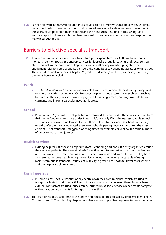**3.27** Partnership working *within* local authorities could also help improve transport services. Different departments which provide transport, such as social services, education and mainstream public transport, could pool both their expertise and their resources, resulting in cost savings and improved quality of service. This has been successful in some areas but has not been explored by many local authorities.

# Barriers to effective specialist transport

**3.28** As noted above, in addition to mainstream transport expenditure over £900 million of public money is spent on specialist transport services for jobseekers, pupils, patients and social services clients. As well as the problems of fragmentation and efficiency already highlighted, the entitlement rules for some specialist transport also contribute to continuing accessibility difficulties. These are discussed in detail in Chapters 9 (work), 10 (learning) and 11 (healthcare). Some key problems however include:

#### **Work**

● The *Travel to Interview Scheme* is now available to all benefit recipients for distant journeys and for some local trips costing over  $E4$ . However, help with longer-term travel problems, such as free fares in the early weeks of work or payment for driving lessons, are only available to some claimants and in some particular geographic areas.

# **School**

● Pupils under 16 years old are eligible for free transport to school if it is three miles or more from their home (two miles for those under 8 years old), but only if it is the nearest suitable school. This can cause low-income families to send their children to their nearest school even if they would prefer them to be educated elsewhere. School opening hours can also limit the most efficient use of transport – staggered opening times for example could allow the same number of buses to make more journeys.

## **Health services**

● Existing help for patients and hospital visitors is confusing and not sufficiently organised around the needs of patients. The current criteria for entitlement to free patient transport services are open to local interpretation and as a consequence have restricted access for some. They have also resulted in some people using the service who would otherwise be capable of using mainstream public transport. Insufficient publicity is given to the hospital travel costs scheme and the help available to visitors.

# **Social services**

- In some places, local authorities or day centres own their own minibuses which are used to transport clients to and from activities but have spare capacity between these times. Where external contractors are used, prices can be pushed up as social services departments compete with education departments for transport at peak times.
- **3.29** This chapter has discussed some of the underlying causes of the accessibility problems identified in Chapters 1 and 2. The following chapter considers a range of possible responses to these problems.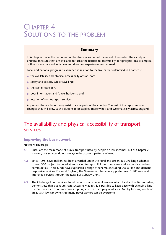# CHAPTER 4 SOLUTIONS TO THE PROBLEM

# **Summary**

This chapter marks the beginning of the strategy section of the report. It considers the variety of practical measures that are available to tackle the barriers to accessibility. It highlights local examples, outlines some national initiatives and draws on experience from abroad.

Local and national progress is examined in relation to the five barriers identified in Chapter 2:

- the availability and physical accessibility of transport;
- safety and security while travelling;
- the cost of transport;
- poor information and 'travel horizons'; and
- location of non-transport services.

At present these solutions only exist in some parts of the country. The rest of the report sets out changes that will allow such solutions to be applied more widely and systematically across England.

# The availability and physical accessibility of transport services

#### **Improving the bus network**

#### **Network coverage**

- **4.1** Buses are the main mode of public transport used by people on low incomes. But as Chapter 2 showed, bus services do not always reflect current patterns of need.
- **4.2** Since 1998, £123 million has been awarded under the Rural and Urban Bus Challenge schemes to over 300 projects targeted at improving transport links for rural areas and for deprived urban communities. These funds have supported a range of schemes including Dial-a-Ride and demandresponsive services. For rural England, the Government has also supported over 1,900 new and improved services through the Rural Bus Subsidy Grant.
- **4.3** The Challenge Fund services, together with many general services which local authorities subsidise, demonstrate that bus routes can successfully adapt. It is possible to keep pace with changing landuse patterns such as out-of-town shopping centres or employment sites. And by focusing on those areas with low car ownership many travel barriers can be overcome.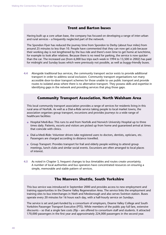# **Trent and Barton buses**

Having built up a core urban base, the company has focused on developing a range of inter-urban and rural services – a frequently neglected part of the network.

The Spondon Flyer has reduced the journey time from Spondon to Derby (about four miles) from around 25 minutes to less than 10. People have commented that they can now get a job because their working day is not lengthened by the bus ride and there's even time to get home at lunchtime, for example to look after relatives. Because there is no need for parking, the service is now quicker than the car. The increased use (from 6,000 bus trips each week in 1994 to 13,500 in 2002) has paid for midnight and Sunday buses which were previously not possible, as well as buggy-friendly buses.

**4.4** Alongside traditional bus services, the community transport sector exists to provide additional transport in order to address social exclusion. Community transport organisations run many accessible door-to-door transport schemes for those unable to use public transport and provide routes to isolated areas where there is no alternative transport. They possess skills and expertise in identifying gaps in the network and providing services that plug those gaps.

# **Community Transport Association, North Walsham Area**

This local community transport association provides a range of services for residents living in this rural area of Norfolk. As well as a Dial-a-Ride service taking people to local market towns, the association organises group transport, excursions and provides journeys to a wide range of healthcare facilities:

- Hospital Medi-Bus: This runs to and from Norfolk and Norwich University Hospital up to three times daily. Patients, escorts and visitors are picked up from home and guaranteed arrival at times that coincide with clinics.
- Dial-a-Medi-Ride: Volunteer drivers take registered users to doctors, dentists, opticians, etc. Passengers are charged according to distance travelled.
- Group Transport: Provides transport for frail and elderly people wishing to attend group meetings, lunch clubs and similar social events. Excursions are often arranged to local places of interest.
- **4.5** As noted in Chapter 3, frequent changes to bus timetables and routes create uncertainty. A number of local authorities and bus operators have concentrated resources on ensuring a simple, memorable and stable pattern of services.

# **The Manvers Shuttle, South Yorkshire**

This bus service was introduced in September 2000 and provides access to new employment and training opportunities in the Dearne Valley Regeneration Area. The service links the employment and training sites to bus interchanges in Wath and Mexborough and also serves Swinton station. Buses operate every 20 minutes for 16 hours each day, with a half-hourly service on Sundays.

The service is set and part-funded by a consortium of employers, Dearne Valley College and South Yorkshire Passenger Transport Executive (PTE). While members of the public pay full fare, extensive discounts – so that a single fare costs 20p – are offered to consortium staff and students. It attracted 170,000 passengers in the first year and approximately 224,000 passengers in the second year.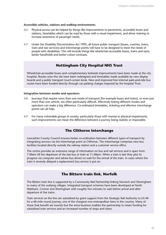#### **Accessible vehicles, stations and walking environments**

- **4.6** Physical access can be helped by things like improvements to pavements, accessible buses and stations, timetables which can be read by those with a visual impairment, and driver training to increase awareness of passenger needs.
- **4.7** Under the Disability Discrimination Act 1995, all future public transport (buses, coaches, trains, tram and taxi services) and interchange points will have to be designed to meet the needs of people with disabilities. This will include things like wheelchair-accessible buses, trains and taxis, better handholds and better colour contrasts.

# **Nottingham City Hospital NHS Trust**

Wheelchair-accessible buses and complementary kerbside improvements have been made at the city hospital. Routes onto the site have been redesigned and timetables made available by new display boards and a public transport touch-screen kiosk. New and improved free internal park-and-ride bus routes have been funded directly through car parking charges imposed by the hospital Trust.

#### **Integration between modes and operators**

- **4.8** Journeys that require more than one mode of transport (for example buses and trains), or even just more than one vehicle, are often particularly difficult. Effectively linking different modes and operators can make a big difference. Co-ordinated timetables, ticketing and effective interchange points can all help.
- **4.9** For many vulnerable groups in society, particularly those with mental or physical impairments, such improvements can mean the difference between a journey being realistic or impossible.

# **The Clitheroe interchange**

Lancashire County Council ensures better co-ordination between different types of transport by integrating services via the interchange point at Clitheroe. The interchange comprises new bus facilities located directly outside the railway station and a customer service office.

The centre provides an extensive range of information on bus and rail services and is open from 7.00am till the departure of the last bus or train at 11.00pm. When a train is late they plot its progress via computer and advise bus drivers to wait for the arrival of the train. In cases where the train is severely delayed a replacement bus service is put on.

# **The Bittern train link, Norfolk**

The Bittern train line is supported by a Community Rail Partnership linking Norwich and Sheringham to many of the outlying villages. Integrated transport schemes have been developed at North Walsham, Cromer and Sheringham with roughly five minutes to wait before arrival and after departure of the trains.

Train services on the line are subsidised by grant support from the Strategic Rail Authority to  $E4.40$ for a 60-mile round journey, one of the cheapest non-metropolitan fares in the country. Many of those that benefit are tourists but the extra business enables the partnership to retain funding for subsidised train services and an increased number of stops and trains.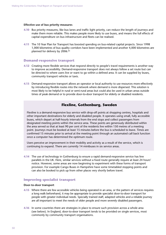#### **Effective use of bus priority measures**

- **4.10** Bus priority measures, like bus lanes and traffic light priority, can reduce the length of journeys and make them more reliable. This makes people more likely to use buses, and means the full effects of capital expenditure on bus infrastructure and fleets can be realised.
- **4.11** The 10 Year Plan for Transport has boosted spending on bus-related capital projects. Since 1998 1,000 kilometres of bus quality corridors have been implemented and another 4,000 kilometres are planned for delivery by 2006.91

## **Demand-responsive transport**

- **4.12** Creating more flexible services that respond directly to people's travel requirements is another way to improve accessibility. Demand-responsive transport does not always follow a set route but can be directed to where users live or want to go within a defined area. It can be supplied by buses, community transport vehicles or taxis.
- **4.13** Demand-responsive transport allows an operator or local authority to use resources more effectively by introducing flexible routes into the network where demand is more dispersed. This solution is most likely to be helpful in rural or semi-rural areas but could also be used in urban areas outside times of peak demand or to provide door-to-door transport for elderly or disabled residents.

# **Flexline, Gothenburg, Sweden**

Flexline is a demand-responsive bus service with drop-off points at shopping centres, hospitals and other important destinations for elderly and disabled people. It operates using small, fully accessible buses, which depart at half-hourly intervals from the end stops and collect passengers from designated meeting points within the service area. These points are generously distributed within the area served so that at least 90 per cent of the residents live within 150 metres of a meeting point. Journeys must be booked at least 15 minutes before the bus is scheduled to leave. Times are confirmed 15 minutes prior to arrival at the meeting point through an automated call back function once a computer has determined the optimum route.

Users perceive an improvement in their mobility and activity as a result of the service, which is continuing to expand. There are currently 14 minibuses in six service areas.

**4.14** The use of technology in Gothenburg to ensure a rapid demand-responsive service has few parallels in the UK. Here, similar services without a fixed route generally require at least 24 hours' notice. However, some areas are now beginning to experiment with these forms of transport provision. For example Cango Buses in Hampshire have some timetabled stopping points and can also be booked to pick up from other places very shortly before travel.

# **Improving specialist transport**

## **Door-to-door transport**

- **4.15** Where there are few accessible vehicles being operated in an area, or the pattern of services requires a long walk beforehand, it may be appropriate to provide specialist door-to-door transport for people with greater individual needs. Specially trained staff, adapted vehicles and a reliable journey are all important to meet the needs of older people and more severely disabled passengers.
- **4.16** In some countries there are strategies in place to ensure such provision across a whole area (see below). In England, door-to-door transport tends to be provided on single services, most commonly by community transport organisations.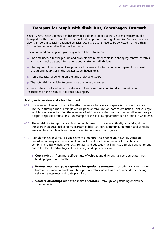# **Transport for people with disabilities, Copenhagen, Denmark**

Since 1979 Greater Copenhagen has provided a door-to-door alternative to mainstream public transport for those with disabilities. The disabled people who are eligible receive 24 hour, door-todoor transport in specially designed vehicles. Users are guaranteed to be collected no more than 15 minutes before or after their booking time.

The automated booking and planning system takes into account:

- The time needed for the pick-up and drop-off; the number of stairs in shopping centres, theatres and other public places; information about customers' disabilities.
- The required driving times. A map holds all the relevant information about speed limits, road layouts and addresses in the Greater Copenhagen area.
- Traffic intensity, depending on the time of day and week.
- The potential for vehicles to carry more than one passenger.

A route is then produced for each vehicle and itineraries forwarded to drivers, together with instructions on the needs of individual passengers.

#### **Health, social services and school transport**

- **4.17** In a number of areas in the UK the effectiveness and efficiency of specialist transport has been improved through use of a 'single vehicle pool' or through transport co-ordination units. A 'single vehicle pool' works by using the same set of vehicles and drivers for transporting different groups of people to specific destinations – an example of this in Nottinghamshire can be found in Chapter 5.
- **4.18** The model of a transport co-ordination unit is based on the local authority organising all the transport in an area, including mainstream public transport, community transport and specialist services. An example of how this works in Devon is set out at Figure 4.1.
- **4.19** A single vehicle pool may be one element of transport co-ordination. However, transport co-ordination may also include joint contracts for driver training or vehicle maintenance or combining routes which serve social services and education facilities into a single contract to put out to tender. The advantages of these integrated approaches are:
	- **Cost savings** from more efficient use of vehicles and different transport purchasers not bidding against one another.
	- **Professional transport expertise for specialist transport** ensuring value for money from vehicles and contracts with transport operators, as well as professional driver training, vehicle maintenance and route planning.
	- **Good relationships with transport operators**  through long standing operational arrangements.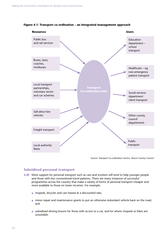

#### **Figure 4.1: Transport co-ordination – an integrated management approach**

Source: Transport Co-ordination Service, Devon County Council

# **Subsidised personal transport**

- **4.20** More support for personal transport such as cars and scooters will tend to help younger people and those with less conventional travel patterns. There are many instances of successful programmes across the country that make a variety of forms of personal transport cheaper and more available to those on lower incomes. For example:
	- mopeds, bicycles and cars leased at a discounted rate;
	- minor repair and maintenance grants to put an otherwise redundant vehicle back on the road; and
	- subsidised driving lessons for those with access to a car, and for whom mopeds or bikes are unsuitable.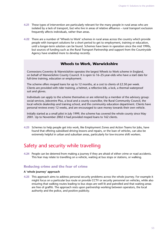- **4.21** These types of intervention are particularly relevant for the many people in rural areas who are isolated by a lack of transport, but who live in areas of relative affluence – rural transport exclusion frequently affects individuals, rather than areas.
- **4.22** There are a number of 'Wheels to Work' schemes in rural areas across the country which provide people with transport solutions for a short period to get to employment, training or education, until a longer-term solution can be found. Schemes have been in operation since the mid 1990s, but sources of funding such as the Rural Transport Partnership and support from the Countryside Agency have enabled more to develop recently.

# **Wheels to Work, Warwickshire**

Connexions Coventry & Warwickshire operates the largest Wheels to Work scheme in England, on behalf of Warwickshire County Council. It is open to 16–25-year-olds who have a start date for full-time training, education or employment.

The scheme offers moped loans for up to 12 months, at a cost to clients of £2.50 per week. Clients are provided with rider training, a helmet, a reflective bib, a lock, a thermal waterproof suit and gloves.

Individuals can apply to the scheme themselves or are referred by a member of the advisory group: social services, Jobcentre Plus, a local and a county councillor, the Rural Community Council, the local vehicle dealership and training school, and the community education department. Clients have personal reviews every 12 weeks, and are encouraged to save money towards their own vehicle.

Initially started as a small pilot in July 1999, the scheme has covered the whole county since May 2001. Up to November 2002 it had provided moped loans to 162 clients.

**4.23** Schemes to help people get into work, like Employment Zones and Action Teams for Jobs, have found that offering subsidised driving lessons and repairs, or the loan of vehicles, can also be extremely helpful in urban and suburban areas, particularly for low-income shift workers.

# Safety and security while travelling

**4.24** People can be deterred from making a journey if they are afraid of either crime or road accidents. This fear may relate to travelling on a vehicle, waiting at bus stops or stations, or walking.

# **Reducing crime and the fear of crime**

## **A 'whole journey' approach**

**4.25** This approach aims to address personal security problems across the whole journey. For example it might focus on a particular bus route or provide CCTV or security personnel on vehicles, while also ensuring that walking routes leading to bus stops are well lit and patrolled and that waiting areas are free of graffiti. The approach rests upon partnership working between operators, the local authority and the police, and positive publicity.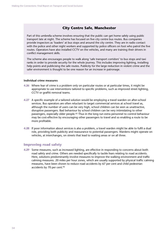# **City Centre Safe, Manchester**

Part of this umbrella scheme involves ensuring that the public can get home safely using public transport late at night. The scheme has focused on five city centre bus routes. Bus companies provide inspectors as 'loaders' at bus stops and around the city centre. They are in radio contact with the police and other night workers and supported by police officers on foot who patrol the five routes. Operators have also installed CCTV on the vehicles, and many are training their drivers in conflict management skills.

The scheme also encourages people to walk along 'safe transport corridors' to bus stops and taxi ranks in order to provide security for the whole journey. This includes improving lighting, installing help points and publicising the safe routes. Publicity for the large reduction in violent crime and the safer environment is thought to be one reason for an increase in patronage.

#### **Individual crime measures**

- **4.26** Where fear of crime is a problem only on particular routes or at particular times, it might be appropriate to use interventions tailored to specific problems, such as improved street lighting, CCTV or graffiti removal teams.
- **4.27** A specific example of a tailored solution would be employing a travel warden on after-school services. Bus operators are often reluctant to target commercial services at school travel as, although the number of users can be very high, school children can be seen as unattractive, disruptive passengers. Bad behaviour by school children can be very intimidating to other passengers, especially older people.<sup>92</sup> Thus in the long run extra personnel to control behaviour may be cost-effective by encouraging other passengers to travel and so enabling a route to be more profitable.
- **4.28** If poor information about services is also a problem, a travel warden might be able to fulfil a dual role, providing both publicity and reassurance to potential passengers. Wardens might operate on vehicles, at interchanges, on streets that lead to waiting areas or on all three.

## **Improving road safety**

**4.29** Some measures, such as increased lighting, are effective in responding to concerns about both road safety and crime. Others are needed specifically to tackle fears relating to road accidents. Here, solutions predominantly involve measures to improve the walking environment and traffic calming measures. 20 miles per hour zones, which are usually supported by physical traffic calming measures, have been shown to reduce road accidents by 67 per cent and child pedestrian accidents by 70 per cent.93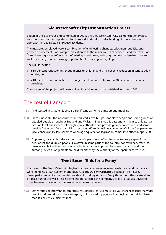# **Gloucester Safer City Demonstration Project**

Begun in the late 1990s and completed in 2001, the Gloucester Safer City Demonstration Project was sponsored by the Department for Transport to develop understanding of how a strategic approach to road safety can reduce accidents.

The measures employed were a combination of engineering changes, education, publicity and greater enforcement. For example: education as to the major causes of accidents and the effects of drink driving; greater enforcement of existing speed limits; reducing the time pedestrians have to wait at crossings; and improving opportunities for walking and cycling.

The results include:

- a 36 per cent reduction in serious injuries to children and a 14 per cent reduction in serious adult injuries; and
- a 10 miles per hour reduction in average speed on one route, with a 38 per cent reduction in casualties.

The success of the project will be examined in a full report to be published in spring 2003.

# The cost of transport

- **4.30** As discussed in Chapter 2, cost is a significant barrier to transport and mobility.
- **4.31** From June 2001, the Government introduced a free bus pass for older people and some groups of disabled people throughout England and Wales. In England, this pass entitles them to at least half fares on local bus services, although local authorities can provide greater concessions and some provide free travel. An extra million men aged 60 to 64 will be able to benefit from free passes and local concessionary fare schemes when age equalisation legislation comes into effect in April 2003.
- **4.32** At present, local authorities cannot compel operators to offer discounts to groups apart from pensioners and disabled people. However, in some parts of the country, concessionary travel has been available to other groups on a voluntary partnership basis between operators and the authority. Such arrangements are paid for either by the authority or the operator themselves.

# **Trent Buses, 'Kids for a Penny'**

In an area of the Trent Valley with higher than average unemployment levels, fares and frequency were identified as key customer priorities. As a Bus Quality Partnership initiative, Trent Buses developed a range of experimental fare deals including *Kids for a Penny* throughout the weekend and off-peak during the week. This scheme has not affected the company's profits, as adults travelling more frequently have offset the loss in revenue from children.

**4.33** Other forms of intervention can tackle cost barriers, for example taxi vouchers or tokens; the wider use of subsidised door-to-door transport; or increased support and grants/loans for driving lessons, road tax or vehicle maintenance.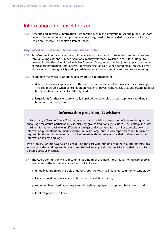# Information and travel horizons

**4.34** Accurate and accessible information is important in enabling everyone to use the public transport network. Information, and support where necessary, need to be provided in a variety of forms which are sensitive to people's different needs.

## **Improved mainstream transport information**

- **4.35** *Traveline* provides national route and timetable information on bus, train, tram and ferry services through a single phone number. Additional money was made available in the 2002 Budget to develop further the wider linked initiative *Transport Direct*, which involves joining up all the sources of transport information from different operators electronically. When completed, this service will also include a booking facility and up-to-date information on how different services are running.
- **4.36** In addition many local authorities already provide information in:
	- different languages appropriate to the area, perhaps on a targeted basis at specific bus stops. This could be used when consultation on residents' travel needs reveals that understanding local bus timetables is a particular difficulty; and
	- larger fonts for those who are visually impaired, for example at a bus stop near a residential home or community centre.

# **Information provision, Lewisham**

In Lewisham, a 'Beacon Council' for better access and mobility, consultation efforts are designed to encourage maximum participation, especially by groups traditionally excluded. The strategy includes making information available in different languages and alternative formats. For example, Lewisham information publications are made available in Braille, large print, audio tape and computer disk on request. Residents who require translated information about services provided to them can request information in any language.

Two Mobility Forums have taken place during the past year, bringing together Council officers, local service providers and representatives from disabled, elderly and other socially excluded groups to discuss accessibility issues.

- **4.37** The Audit Commission94 also recommends a number of different techniques to increase people's awareness of the bus services on offer in a local area:
	- timetables and maps available at travel shops, the town hall, libraries, community centres, etc;
	- leaflets issued on new services to homes in the catchment area;
	- route numbers, destination maps and timetables displayed at stops and bus stations; and
	- local telephone help-lines.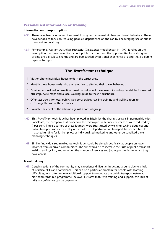# **Personalised information or training**

#### **Information on transport options**

- **4.38** There have been a number of successful programmes aimed at changing travel behaviour. These have tended to focus on reducing people's dependence on the car, by encouraging use of public transport and walking.
- **4.39** For example, Western Australia's successful *TravelSmart* model began in 1997. It relies on the assumption that pre-conceptions about public transport and the opportunities for walking and cycling are difficult to change and are best tackled by personal experience of using these different types of transport.

# **The** *TravelSmart* **technique**

- 1. Visit or phone individual households in the target area.
- 2. Identify those households who are receptive to altering their travel behaviour.
- 3. Provide personalised information based on individual travel needs including timetables for nearest bus stop, cycle maps and a local walking guide to these households.
- 4. Offer test tickets for local public transport services, cycling training and walking tours to encourage the use of these modes.
- 5. Evaluate the effect of the scheme against a control group.
- **4.40** This *TravelSmart* technique has been piloted in Britain by the charity Sustrans in partnership with Socialdata, the company that pioneered the technique. In Gloucester, car trips were reduced by 9 per cent. Three-quarters of these journeys were substituted by walking; cycling doubled; and public transport use increased by one-third. The Department for Transport has invited bids for matched funding for further pilots of individualised marketing and other personalised travel planning techniques.
- **4.41** Similar 'individualised marketing' techniques could be aimed specifically at people on lower incomes from deprived communities. The aim would be to increase their use of public transport, walking and cycling, and so widen the number of services and job opportunities to which they have access.

## **Travel training**

**4.42** Certain sections of the community may experience difficulties in getting around due to a lack of practical skills and confidence. This can be a particular problem for people with learning difficulties, who often require additional support to negotiate the public transport network. Northamptonshire's programme (below) illustrates that, with training and support, this lack of skills or confidence can be overcome.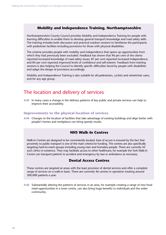# **Mobility and Independence Training, Northamptonshire**

Northamptonshire County Council provides Mobility and Independence Training for people with learning difficulties to enable them to develop general transport knowledge and road safety skills. The training includes both discussion and practical outdoor sessions to familiarise the participants with pedestrian facilities including provisions for those with physical disabilities.

The scheme provides people with mobility and independence that opens up opportunities from which they had previously been excluded. Feedback has shown that 96 per cent of the clients reported increased knowledge of road safety issues, 87 per cent reported increased independence, and 84 per cent reported improved levels of confidence and self-esteem. Feedback from training sessions is also helping the Council to identify specific difficulties faced by people with disabilities and adapt the design of provisions accordingly.

Mobility and Independence Training is also suitable for all pedestrians, cyclists and wheelchair users, and for any age group.

# The location and delivery of services

**4.43** In many cases a change in the delivery patterns of key public and private services can help to improve their accessibility.

### **Improvements to the physical location of services**

**4.44** Changes to the location of facilities that take advantage of existing buildings and align better with people's homes and workplaces can bring speedy results.

# **NHS Walk-In Centres**

Walk-In Centres are designed to be conveniently located. Ease of access is ensured by the fact that proximity to public transport is one of the main criteria for funding. The centres are also specifically targeting hard-to-reach groups including young men and homeless people. There are currently 42 such clinics in existence. They may facilitate access to other healthcare; for example the York Walk-In Centre can transport patients to accident and emergency by taxi or ambulance as necessary.

# **Dental Access Centres**

These centres are targeted at areas with the least provision of dental services and offer a complete range of services on a walk-in basis. There are currently 46 centres in operation treating around 300,000 patients a year.

**4.45** Substantially altering the patterns of services in an area, for example creating a range of new food retail opportunities in a town centre, can also bring huge benefits to individuals and the wider community.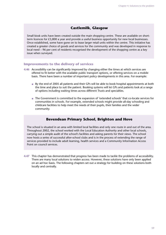# **Castlemilk, Glasgow**

Small kiosk units have been created outside the main shopping centre. These are available on shortterm licences for £3,800 a year and provide a useful business opportunity for new local businesses. Once established, some have gone on to lease larger retail units within the centre. This initiative has created a greater choice of goods and services for the community and was developed in response to local need – 96 per cent of residents recognised the development of the shopping centre as a key issue when surveyed.

### **Improvements to the delivery of services**

- **4.46** Accessibility can be significantly improved by changing either the times at which services are offered to fit better with the available public transport options, or offering services on a mobile basis. There have been a number of important policy developments in this area. For example:
	- By the end of 2005 all patients and their GPs will be able to book hospital appointments at both the time and place to suit the patient. Booking systems will let GPs and patients look at a range of options including waiting times across different Trusts and specialties.
	- The Government is committed to the expansion of 'extended schools' that co-locate services for communities in schools. For example, extended schools might provide all-day schooling and childcare facilities to help meet the needs of their pupils, their families and the wider community.

# **Bevendean Primary School, Brighton and Hove**

The school is situated in an area with limited local facilities and only one route in and out of the area. Throughout 2002, the school worked with the Local Education Authority and other local schools, carrying out a simple audit of the school's facilities and asking parents for their views. The school now hosts a series of successful after-school clubs and is in the process of extending the range of services provided to include adult learning, health services and a Community Information Access Point on council services.

**4.47** This chapter has demonstrated that progress has been made to tackle the problems of accessibility. There are many local solutions to widen access. However, these solutions have only been applied on an ad hoc basis. The following chapters set out a strategy for building on these solutions both locally and centrally.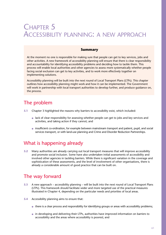# CHAPTER 5 ACCESSIBILITY PLANNING: A NEW APPROACH

# **Summary**

At the moment no one is responsible for making sure that people can get to key services, jobs and other activities. A new framework of accessibility planning will ensure that there is clear responsibility and accountability for identifying accessibility problems and deciding how to tackle them. This process will enable local authorities and other agencies to assess more systematically whether people facing social exclusion can get to key activities, and to work more effectively together on implementing solutions.

Accessibility planning will be built into the next round of Local Transport Plans (LTPs). This chapter outlines how accessibility planning might work and how it can be implemented. The Government will work in partnership with local transport authorities to develop further, and produce guidance on, the process.

# The problem

- **5.1** Chapter 3 highlighted the reasons why barriers to accessibility exist, which included:
	- lack of clear responsibility for assessing whether people can get to jobs and key services and activities, and taking action if they cannot; and
	- insufficient co-ordination, for example between mainstream transport and patient, pupil, and social services transport, or with land-use planning and Crime and Disorder Reduction Partnerships.

# What is happening already

**5.2** Many authorities are already carrying out local transport measures that will improve accessibility and promote social inclusion. Some have also undertaken initial assessments of accessibility and involved other agencies in tackling barriers. While there is significant variation in the coverage and sophistication of these assessments, and the level of involvement of other organisations, there is already a considerable amount of good practice that can be built on.

# The way forward

- **5.3** A new approach accessibility planning will be built into the next round of Local Transport Plans (LTPs). This framework should facilitate wider and more targeted use of the practical measures illustrated in Chapter 4, depending on the particular needs and priorities of local areas.
- **5.4** Accessibility planning aims to ensure that:
	- there is a clear process and responsibility for identifying groups or areas with accessibility problems;
	- in developing and delivering their LTPs, authorities have improved information on barriers to accessibility and the areas where accessibility is poorest; and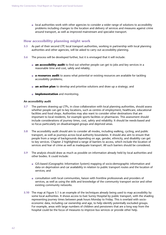● local authorities work with other agencies to consider a wider range of solutions to accessibility problems including changes to the location and delivery of services and measures against crime around transport, as well as improved mainstream and specialist transport.

# **How accessibility planning might work**

- **5.5** As part of their second LTP, local transport authorities, working in partnership with local planning authorities and other agencies, will be asked to carry out accessibility planning.
- **5.6** The process will be developed further, but it is envisaged that it will include:
	- **an accessibility audit** to find out whether people can get to jobs and key services in a reasonable time and cost, safely and reliably;
	- **a resources audit** to assess what potential or existing resources are available for tackling accessibility problems;
	- **an action plan** to develop and prioritise solutions and draw up a strategy; and
	- *•* **implementation** and monitoring.

#### **An accessibility audit**

- **5.7** The partners drawing up LTPs, in close collaboration with local planning authorities, should assess whether people can get to key locations, such as centres of employment, healthcare, educational facilities and food shops. Authorities may also want to consider other destinations that are important to local residents, for example sports facilities or pharmacies. This assessment should include considerations of journey times, cost, safety and reliability. It should be needs-based and so focus particularly on disadvantaged groups and deprived areas.
- **5.8** The accessibility audit should aim to consider all modes, including walking, cycling, and public transport, as well as journeys across local authority boundaries. It should also aim to ensure that people from a range of backgrounds depending on age, gender, ethnicity, and disability can get to key services. Chapter 2 highlighted a range of barriers to access, which include the location of services and fear of crime as well as inadequate transport. All such barriers should be considered.
- **5.9** The analysis should draw as much as possible on information already held by local authorities and other bodies. It could include:
	- GIS-based (Geographic Information System) mapping of socio-demographic information and data on deprivation and car availability in relation to public transport routes and the location of services; and
	- consultation with local communities, liaison with frontline professionals and providers of services, as well as using the skills and knowledge of the community transport sector and other existing community networks.
- **5.10** The map at Figure 5.1 is an example of the techniques already being used to map accessibility by some local authorities. It shows access to East Surrey Hospital by public transport, with the shading representing journey times between peak hours Monday to Friday. This is overlaid with socioeconomic data, including car ownership and age, to help identify potentially excluded groups. For example, areas with large numbers of children and pensioners that are a long way from the hospital could be the focus of measures to improve bus services or provide other help.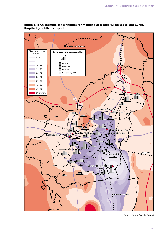

**Figure 5.1: An example of techniques for mapping accessibility: access to East Surrey Hospital by public transport**

Source: Surrey County Council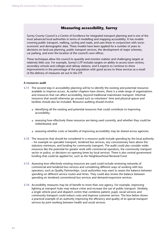# **Measuring accessibility, Surrey**

Surrey County Council is a Centre of Excellence for integrated transport planning and is one of the most advanced local authorities in terms of modelling and mapping accessibility. It has models covering public transport, walking, cycling and roads, and uses these in conjunction with socioeconomic and demographic data. These models have been applied for a number of years to decisions on land-use planning, public transport services, the development of major schemes, car parking, and even the location of the council's own offices.

These techniques allow the council to quantify and monitor realistic and challenging targets at relatively little cost. For example, Surrey's LTP includes targets on ability to access town centres, secondary schools and colleges and railway stations, and it expects to continue to show improvements in the percentage of the population with good access to these services as a result of the delivery of measures set out in the LTP.

#### **A resources audit**

- **5.11** The second step in accessibility planning will be to identify the existing and potential resources available to improve access. As earlier chapters have shown, there is a wide range of organisations and resources that can affect accessibility, beyond traditional mainstream transport. Informal resources that would otherwise go unused such as volunteers' time and physical spaces and facilities should also be included. Resource auditing should involve:
	- identifying all the existing and potential resources that could contribute to improving accessibility;
	- assessing how effectively these resources are being used currently, and whether they could be redistributed; and
	- assessing whether costs or benefits of improving accessibility may be shared across agencies.
- **5.12** The resources that should be considered in a resource audit include spending by the local authority – for example on specialist transport, tendered bus services, any concessionary fares above the statutory minimum, and funding for community transport. The audit could also consider wider resources like the potential for greater work with commercial operators, the community transport sector or police, or decisions on opening times by local services. There is also central government funding that could be applied for, such as the Neighbourhood Renewal Fund.
- **5.13** Assessing how effectively existing resources are used could include reviewing networks of commercial and tendered bus services and considering different ways of working with bus operators, such as Quality Partnerships. Local authorities may want to assess the balance between spending on different service routes and times. They could also review the balance between spending on tendered conventional bus services and demand-responsive services.
- **5.14** Accessibility measures may be of benefit to more than one agency. For example, improving lighting at transport hubs may reduce crime and increase the use of public transport. Similarly, a single vehicle pool and dispatch centre that combines patient, pupil, social services and community transport could reduce costs and improve customer service. The box below shows a practical example of an authority improving the efficiency and quality of its special transport services by joint working between health and social services.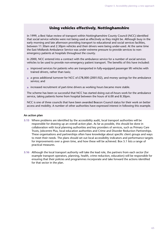# **Using vehicles effectively, Nottinghamshire**

In 1999, a Best Value review of transport within Nottinghamshire County Council (NCC) identified that social service vehicles were not being used as effectively as they might be. Although busy in the early morning and late afternoon providing transport to educational and social services facilities, between 11.30am and 2.30pm vehicles and their drivers were being under-used. At the same time the East Midlands Ambulance Service was under extreme pressure to provide services to nonemergency patients at hospitals throughout the county.

In 2000, NCC entered into a contract with the ambulance service for a number of social services vehicles to be used to provide non-emergency patient transport. The benefits of this have included:

- improved services for patients who are transported in fully-equipped passenger lift vehicles with trained drivers, rather than taxis;
- a gross additional turnover for NCC of £78,000 (2001/02), and money savings for the ambulance service; and
- increased recruitment of part-time drivers as working hours became more stable.

The scheme has been so successful that NCC has started doing out-of-hours work for the ambulance service, taking patients home from hospital between the hours of 6.00 and 8.30pm.

NCC is one of three councils that have been awarded Beacon Council status for their work on better access and mobility. A number of other authorities have expressed interest in following this example.

#### **An action plan**

- **5.15** Where problems are identified by the accessibility audit, local transport authorities will be responsible for drawing up an overall action plan. As far as possible, this should be done in collaboration with local planning authorities and key providers of services, such as Primary Care Trusts, Jobcentre Plus, local education authorities and Crime and Disorder Reduction Partnerships. These organisations and partnerships often have knowledge about specific client groups and ways to meet their needs. The plans should set out local accessibility indicators and performance targets for improvements over a given time, and how these will be achieved. Box 5.1 lists a range of practical measures.
- **5.16** Although the local transport authority will take the lead role, the partners from each sector (for example transport operators, planning, health, crime reduction, education) will be responsible for ensuring that their policies and programmes incorporate and take forward the actions identified for that sector in the plan.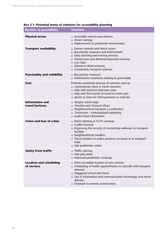| <b>Barriers to accessibility</b>              | <b>Solutions</b>                                                                                                                                                                                                                                                            |
|-----------------------------------------------|-----------------------------------------------------------------------------------------------------------------------------------------------------------------------------------------------------------------------------------------------------------------------------|
| <b>Physical access</b>                        | $\bullet$ Accessible vehicles and stations<br>Driver training<br>$\bullet$<br>Improvement to pedestrian environment                                                                                                                                                         |
| <b>Transport availability</b>                 | Denser network and direct routes<br>Bus priority measures and enforcement<br>Early morning and evening services<br>Shared taxis and demand-responsive services<br>Car clubs<br>Wheels to Work schemes<br>Community transport schemes                                        |
| <b>Punctuality and reliability</b>            | • Bus priority measures<br>• Performance incentives relating to punctuality                                                                                                                                                                                                 |
| Cost                                          | Promote awareness and use of schemes such as:<br>concessionary fares or travel vouchers<br>help with travel-to-interview costs<br>help with first month of travel-to-work costs<br>grants or loans for driving lessons or road tax                                          |
| <b>Information and</b><br>travel horizons     | Simpler travel maps<br>Traveline and Transport Direct<br>Neighbourhood transport co-ordinators<br>Travelsmart - individualised marketing<br>Audio-visual information                                                                                                        |
| <b>Crime and fear of crime</b>                | Better lighting or CCTV cameras<br>$\bullet$<br>Graffiti removal<br>• Improving the security of connecting walkways to transport<br>facilities<br>• Neighbourhood wardens<br>• Travel wardens or police presence on buses or at transport<br>hubs<br>Safe pedestrian routes |
| <b>Safety from traffic</b>                    | $\bullet$ Traffic calming<br>Safe play areas<br>• Improved pedestrian crossings                                                                                                                                                                                             |
| <b>Location and scheduling</b><br>of services | More accessible location of new services<br>Scheduling of health appointments to coincide with transport<br>network<br>Staggered school start times<br>• Use of information and communication technology and home<br>delivery<br>Outreach to remote communities             |

#### **Box 5.1: Potential menu of solutions for accessibility planning**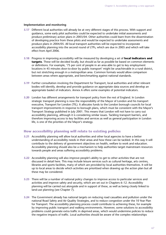#### **Implementation and monitoring**

- **5.17** Different local authorities will already be at very different stages of this process. With support and guidance, some early pilot authorities could be expected to undertake initial assessments and produce preliminary action plans in 2003/04. Other authorities could learn from the dissemination of developing practice from these pilots and would be expected to undertake assessments and produce plans in 2004/05. All local transport authorities will be expected to incorporate accessibility planning into the second round of LTPs, which are due in 2005 and which will take effect from April 2006.
- **5.18** Progress in improving accessibility will be measured by developing a set of **local indicators and targets**. These will be decided locally, but should as far as possible be based on common elements or definitions. For example, '75 per cent of people in an area able to get to key employment locations in 45 minutes door-to-door by public transport' might be unachievable in a rural district, but not stretching enough in a metropolitan area. Common formats would allow comparison between areas where appropriate, and benchmarking against national standards.
- **5.19** Further consultation involving the Department for Transport, local authorities and other relevant bodies will identify, develop and provide guidance on appropriate data sources and develop an appropriate basket of indicators. Annex A offers some examples of potential indicators.
- **5.20** London has different arrangements for transport policy from the rest of England. In London strategic transport planning is now the responsibility of the Mayor of London and his transport executive, Transport for London (TfL). It allocates funds to the London borough councils for local transport improvements in response to borough plans, which must be consistent with the Mayor's Transport Strategy published in July 2001. This means that London will not have to carry out accessibility planning, although it is considering similar issues. Tackling transport barriers, and therefore improving access to key facilities and services as well as general participation in London life, is one of the priorities of the Mayor's strategy.

# **How accessibility planning will relate to existing policies**

- **5.21** Accessibility planning will allow local authorities and other local agencies to have a better understanding of accessibility needs in their areas and how these can be tackled. In this way it will contribute to the delivery of government objectives on health, welfare to work and education. Accessibility planning should also be a mechanism to help authorities target mainstream resources towards people and areas suffering accessibility problems.
- **5.22** Accessibility planning will also improve people's ability to get to other activities that are not discussed in detail here. This may include leisure services such as cultural heritage, arts centres, libraries and sports facilities, many of which are provided by local authorities themselves. It will be up to local areas to decide which activities are prioritised when drawing up the action plan but all these may be considered.
- **5.23** There will be a number of national policy changes to improve access to particular services and activities and improve safety and security, which are set out in Chapters 6–12. Accessibility planning will be carried out alongside and in support of these, as well as being closely linked to land-use planning (see Chapter 7).
- **5.24** The Government already has national targets on reducing road casualties and pollution under the national Road Safety and Air Quality Strategies, and to reduce congestion under the 10 Year Plan for Transport. The accessibility planning process could contribute to achieving these, for example by improving public transport and walking environments. However, some solutions to accessibility problems could generate extra traffic in deprived areas, which would undermine policies to reduce the negative impacts of traffic. Local authorities should be aware of the complex relationships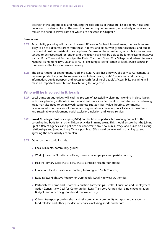between increasing mobility and reducing the side effects of transport like accidents, noise and pollution. This also reinforces the need to consider ways of improving accessibility of services that reduce the need to travel, some of which are discussed in Chapter 4.

#### **Rural areas**

- **5.25** Accessibility planning will happen in every LTP area in England. In rural areas, the problems are likely to be of a different order from those in towns and cities, with greater distances, and public transport almost non-existent in some places. Because of these problems, accessibility issues have tended to be recognised for longer, and the action plans will be able to build on existing initiatives such as Rural Transport Partnerships, the Parish Transport Grant, Vital Villages and Wheels to Work. National Planning Policy Guidance (PPG13) encourages identification of local service centres in rural areas as the focus for service delivery.
- **5.26** The Department for Environment Food and Rural Affairs has a new Public Service Agreement to 'increase productivity and to improve access to healthcare, post-16 education and training, information, public transport and access to cash for all rural people'. Accessibility planning will make an important contribution to achieving this objective.

#### **Who will be involved in it locally**

- **5.27** Local transport authorities will lead the process of accessibility planning, working in close liaison with local planning authorities. Within local authorities, departments responsible for the following areas may also need to be involved: corporate strategy, Best Value, housing, community development, economic development and regeneration, education, social services, environment and sustainable development, social exclusion/inclusion and leisure services.
- **5.28 Local Strategic Partnerships (LSPs)** are the basis of partnership working and act as the co-ordinating body for all other liaison activities in many areas. This should ensure that the joining up of different agencies and policies does not create any new bureaucracy, and builds on existing relationships and joint working. Where possible, LSPs should be involved in drawing up and agreeing the accessibility action plan.
- **5.29** Other partners could include:
	- Local residents, community groups;
	- Work: Jobcentre Plus district offices, major local employers and parish councils;
	- Health: Primary Care Trusts, NHS Trusts, Strategic Health Authorities;
	- Education: local education authorities, Learning and Skills Councils;
	- Road safety: Highways Agency for trunk roads, Local Highways Authorities;
	- Partnerships: Crime and Disorder Reduction Partnerships; Health, Education and Employment Action Zones; New Deal for Communities; Rural Transport Partnerships; Single Regeneration Budget; and other neighbourhood renewal activity;
	- Others: transport providers (bus and rail companies, community transport organisations), food retailers and other providers of services including sports and leisure.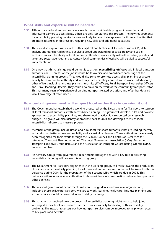# **What skills and expertise will be needed?**

- **5.30** Although some local authorities have already made considerable progress in assessing and addressing barriers to accessibility, others are only just starting this process. The new requirements for accessibility planning detailed above are likely to be a challenge even for those authorities that are more advanced in this respect, requiring new skills and additional capacities.
- **5.31** The expertise required will include both analytical and technical skills such as use of GIS, data analysis and transport planning, but also a broad understanding of social policy and social exclusion issues. The ability of local authority officials to work jointly with other public, private and voluntary sector agencies, and to consult local communities effectively, will be vital to successful implementation.
- **5.32** One way that this challenge could be met is to assign **accessibility officers** within local transport authorities or LTP areas, whose job it would be to oversee and co-ordinate each stage of the accessibility planning process. They would also serve to promote accessibility planning as a core activity both within the authority and with key partners. They could draw on work undertaken by other officers including land-use planners, technical/IT officers, Rural Transport Partnership Officers and Travel Planning Officers. They could also draw on the work of the community transport sector. This has many years of experience of tackling transport-related exclusion, and often has detailed local knowledge of travel needs.

# **How central government will support local authorities in carrying it out**

- **5.33** The Government has established a working group, led by the Department for Transport, to support all local transport authorities with accessibility planning. This group will develop, pilot and evaluate approaches to accessibility planning, and share good practice. It is supported by a research budget. The group will also identify appropriate data sources and develop a menu of local accessibility indicators to measure progress.
- **5.34** Members of the group include urban and rural local transport authorities that are leading the way in focusing on better access and mobility and accessibility planning. These authorities have already been recognised for their efforts through the Beacon Council and Centres of Excellence for Integrated Transport Planning schemes. The Local Government Association (LGA), Passenger Transport Executive Group (PTEG) and the Association of Transport Co-ordinating Officers (ATCO) are also members.
- **5.35** An Advisory Group from government departments and agencies with a key role in delivering accessibility planning will oversee this working group.
- **5.36** The Department for Transport, together with the working group, will work towards the production of guidance on accessibility planning for all transport authorities. Authorities will be issued with this guidance during 2004 for the preparation of their second LTPs, which are due in 2005. This guidance will encourage local authorities to show evidence of co-ordination between transport and other agencies.
- **5.37** The relevant government departments will also issue guidance on how local organisations, including those delivering transport, welfare to work, learning, healthcare, land-use planning and leisure services should be involved in accessibility planning.
- **5.38** This chapter has outlined how the process of accessibility planning might work to help joint working at a local level, and ensure that there is responsibility for dealing with accessibility problems. The next chapter sets out how transport services can be improved to help widen access to key places and activities.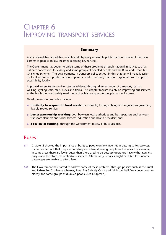# CHAPTER 6 IMPROVING TRANSPORT SERVICES

# **Summary**

A lack of available, affordable, reliable and physically accessible public transport is one of the main barriers to people on low incomes accessing key services.

The Government has begun to tackle some of these problems through national initiatives such as half-fare concessions for elderly and some groups of disabled people and the Rural and Urban Bus Challenge schemes. The developments in transport policy set out in this chapter will make it easier for local authorities, public transport operators and community transport organisations to improve accessibility locally.

Improved access to key services can be achieved through different types of transport, such as walking, cycling, cars, taxis, buses and trains. This chapter focuses mainly on improving bus services, as the bus is the most widely used mode of public transport for people on low incomes.

Developments in bus policy include:

- **flexibility to respond to local needs:** for example, through changes to regulations governing flexibly-routed services;
- **better partnership working:** both between local authorities and bus operators and between transport planners and social services, education and health providers; and
- **a review of funding:** through the Government review of bus subsidies.

# Buses

- **6.1** Chapter 2 showed the importance of buses to people on low incomes in getting to key services. It also pointed out that they are not always effective at linking people and services. For example, in some areas there are fewer buses than there used to be because operators have withdrawn less busy – and therefore less profitable – services. Alternatively, services might exist but low-income passengers are unable to afford fares.
- **6.2** The Government has started to address some of these problems through policies such as the Rural and Urban Bus Challenge schemes, Rural Bus Subsidy Grant and minimum half-fare concessions for elderly and some groups of disabled people (see Chapter 4).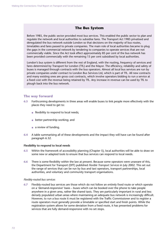# **The Bus System**

Before 1985, the public sector provided most bus services. This enabled the public sector to plan and regulate the network and local authorities to subsidise fares. The Transport Act 1985 privatised and deregulated the bus network outside London so that decisions on the majority of bus routes, timetables and fares passed to private companies. The main role of local authorities became to plug the gaps in the commercial network by tendering to companies to operate services that are not commercially viable. Since the Act took effect approximately 85 per cent of the bus network has been provided commercially with the remaining 15 per cent subsidised by local authorities.

London's bus system is different from the rest of England, with the routing, frequency of services and fares determined by Transport for London (TfL) and the Mayor. The efficiency, reliability and safety of buses is managed through contracts with the bus operators. Almost all local bus services are run by private companies under contract to London Bus Services Ltd, which is part of TfL. All new contracts and many existing ones are gross cost contracts, which involve operators bidding to run a service at a fixed cost with the revenue being retained by TfL. Any increase in revenue can be used by TfL to plough back into the bus network.

# **The way forward**

- **6.3** Forthcoming developments in three areas will enable buses to link people more effectively with the places they need to get to:
	- flexibility to respond to local needs;
	- $\bullet$  better partnership working; and
	- $\bullet$  a review of funding.
- **6.4** A table summarising all of these developments and the impact they will have can be found after paragraph 6.32.

#### **Flexibility to respond to local needs**

- **6.5** Within the framework of accessibility planning (Chapter 5), local authorities will be able to draw on some new or adapted tools to ensure that bus services can respond to local needs.
- **6.6** There is some flexibility within the law at present. Because some operators were unaware of this, the Department for Transport (DfT) published *Flexible Transport Services* in July 2002. This set out the range of services that can be run by bus and taxi operators, transport partnerships, local authorities, and voluntary and community transport organisations.

#### *Flexibly-routed bus services*

**6.7** Flexibly-routed bus services are those which do not follow an entirely fixed route or which operate on a 'demand-responsive' basis – buses which can be booked over the phone to take people anywhere in a given area, rather like shared taxis. They are particularly important in rural and less densely populated urban areas where maintaining an adequate bus network is increasingly difficult. However, to run a bus route it must be registered with the Traffic Commissioner and to register a route operators must generally provide a timetable or specified start and finish points. While the registration system allows for some deviation from a fixed route, it has presented problems for services that are fully demand-responsive with no set stops.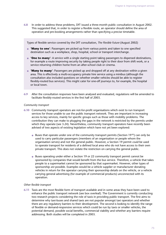**6.8** In order to address these problems, DfT issued a three-month public consultation in August 2002. This suggested that, in order to register a flexible route, an operator should define the area of operation and pre-booking arrangements rather than specifying a precise timetable.

Types of flexible service covered by the DfT consultation, *The Flexible Future* (August 2002)

- **'Many to one'**: Passengers are picked up from various points and taken to one specified destination such as a workplace, shop, hospital, school or transport interchange.
- **'One to many'**: A service with a single starting point taking passengers to dispersed destinations, for example a route improving security by taking people right to their door from shift work, or a service returning children home from an after-school club or cinema.
- **'Many to many'**: Passengers are picked up and dropped off at any destination within a given area. This is effectively a multi-occupancy private hire service using a minibus (although the consultation also included questions on whether smaller vehicles should be able to register flexibly-routed bus services). This might cater for one-off journeys to, for example, the hospital or local town.
- **6.9** After the consultation responses have been analysed and evaluated, regulations will be amended to facilitate flexibly-routed services in the first half of 2003.

#### *Community transport*

- **6.10** Community transport operators are not-for-profit organisations which exist to run transport services for those unable to use the public transport network. They are important in increasing access to key services, mainly for specific groups such as those with mobility problems. The contribution they can make to plugging the gaps in the network is restricted by the permits under which they operate (see 3.24). Nevertheless, community transport operators have recently been advised of two aspects of existing legislation which have not yet been explored:
	- **•** Buses that operate under one of the community transport permits (Section 19<sup>95</sup>) can only be used to carry particular passengers (members of an organisation or people whom the organisation serves) and not the general public. However, a Section 19 permit *could* be used to operate transport for residents of a defined local area who do not have access to their own private transport. This does not violate the restriction on carrying the general public.
	- Buses operating under either a Section 19 or 22 community transport permit cannot be sponsored by companies that would benefit from the bus service. Therefore, a vehicle that takes people to a supermarket cannot be sponsored by that supermarket. However, other types of sponsorship *are* possible. Examples would be a vehicle supplier or manufacturer donating vehicles in return for the operator carrying their sponsorship details on the vehicle, or a vehicle carrying general advertising (for example of commercial products) unconnected with its operation.

#### *Other flexible transport*

**6.11** Taxis are the most flexible form of transport available and in some areas they have been used to enhance the public transport network (see box overleaf). The Government is currently conducting two research projects considering the role of taxis in providing public transport. The first aims to determine why taxi-buses and shared taxis are not popular amongst taxi operators and whether there are any regulatory barriers to their development. The second is looking to identify the range of flexible or demand-responsive services which could be run by taxis or smaller vehicles, the potential demand, possible social benefits, commercial viability and whether any barriers require addressing. Both studies will be completed in 2003.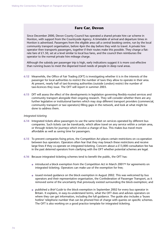## **Fare Car, Devon**

Since December 2000, Devon County Council has operated a shared private hire car scheme in Honiton, with support from the Countryside Agency. A timetable of arrival and departure times in Honiton is advertised. Passengers from the eligible area call a central booking centre, run by the local community transport organisation, before 4pm the day before they wish to travel. A private hire operator then transports passengers, together if their routes make this possible. They charge a flatrate fare of £1.50, set at a level similar to local bus fares, and the council then reimburses the operator to the normal private hire mileage charge.

Although the subsidy per passenger trip is high, early indications suggest it is more cost-effective than running buses to meet the dispersed travel needs of people in deep rural areas.

- **6.12** Meanwhile, the Office of Fair Trading (OFT) is investigating whether it is in the interests of the passenger for local authorities to restrict the number of taxis they allow to operate in their area. At present, nearly half of taxi-licensing authorities (outside London) restrict the number of taxi-licences they issue. The OFT will report in summer 2003.
- **6.13** DfT will assess the effect of the developments in legislation governing flexibly-routed services and community transport alongside their ongoing research. They will consider whether there are any further legislative or institutional barriers which may stop different transport providers (commercial, community transport or taxi operators) filling gaps in the network, and look at what might be done to address them.

#### *Integrated ticketing*

- **6.14** Integrated tickets allow passengers to use the same ticket on services operated by different bus companies. Such tickets can be travelcards, which allow travel on any service within a certain area, or through tickets for journeys which involve a change of bus. This makes bus travel more affordable as well as saving time for passengers.
- **6.15** To prevent companies fixing prices, the Competition Act places certain restrictions on co-operation between bus operators. Operators often fear that they may breach these restrictions and receive large fines if they co-operate on integrated ticketing. Concern about a £13,000 consultation fee has in the past deterred operators from clarifying with the OFT whether potential schemes are legal.
- **6.16** Because integrated ticketing schemes tend to benefit the public, the OFT has:
	- $\bullet$  introduced a block exemption from the Competition Act in March 2001<sup>96</sup> for agreements on integrated ticketing. Operators can make use of the exemption for free;
	- issued revised guidance on the block exemption in August 2002. This was welcomed by bus operators and their representative organisation, the Confederation of Passenger Transport, as it removed some of the uncertainty that previously existed surrounding the block exemption; and
	- published a *Brief Guide* to the block exemption in September 2002 for every bus operator in Britain. It explains, in easy-to-understand terms, what the OFT does and advises operators on where they can get information, including the full guidance. The guide also includes a 'buses hotline' telephone number that can be phoned free of charge with queries on specific schemes. The OFT is also working on a good practice template for integrated ticketing.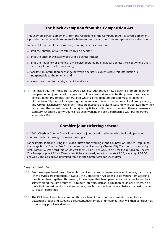## **The block exemption from the Competition Act**

This exempts certain agreements from the restrictions of the Competition Act. It covers agreements – provided certain conditions are met – between bus operators on various types of integrated tickets.

To benefit from the block exemption, ticketing schemes must not:

- limit the number of routes offered by an operator;
- limit the price or availability of a single-operator ticket;
- limit the frequency or timing of any service operated by individual operators (except where this is necessary for onward connections);
- facilitate an information exchange between operators, except where this information is indispensable to the scheme; and
- allow price fixing for tickets, except travelcards.
- **6.17** Alongside this, the Transport Act 2000 gave local authorities a new power to promote operator co-operation on joint ticketing agreements. If local authorities exercise this power, they have to consult operators, amongst others, after which all the operators affected must co-operate. Nottingham City Council is exploring the potential of this with the two main local bus operators, and Greater Manchester Passenger Transport Executive are also discussing with operators how they can extend the current range of multi-journey tickets, with the aim of making these agreements statutory. Cheshire County Council has been working in such a partnership with bus operators since July 2002.

## **Cheshire joint ticketing scheme**

In 2002, Cheshire County Council introduced a joint ticketing scheme with the local operators. This has resulted in savings for many passengers.

For example, someone living in Guilden Sutton and working at the Countess of Chester Hospital has to change bus at Chester Bus Exchange from a service run by Chester City Transport to one run by First. Without a smartcard this would cost them £14.50 per week (£7.50 for five returns on Chester City Transport plus £7 for a Weekly first ticket). A weekly smartcard costs £8.50, a saving of £6.50 per week, and also allows unlimited travel in the Chester area for seven days.

#### *Integrated timetables*

- **6.18** Bus passengers benefit from having bus services that run at reasonably even intervals, particularly when services are infrequent. However, the Competition Act stops bus operators from agreeing their timetables together. This means, for example, that two operators cannot agree to run their services along the same route at 15-minute intervals. Instead, a situation could arise where, on a route that has just two bus services an hour, one bus arrives two minutes before the next in order to 'poach' passengers.
- **6.19** The OFT is exploring how common this problem of 'bunching' is, consulting operators and passenger groups and studying a representative sample of timetables. They will then consider how to solve any problems identified.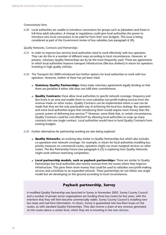#### *Concessionary fares*

**6.20** Local authorities are unable to introduce concessions for groups such as jobseekers and those in full-time adult education. A change in regulations could give local authorities the power to introduce new local concessions to be paid for from their own budgets. This issue is being considered as part of the Government review of bus subsidies (see paragraph 6.30).

#### *Quality Networks, Contracts and Partnerships*

- **6.21** In order to improve bus services local authorities need to work effectively with bus operators. They can do this in a number of different ways according to local circumstances. However, at present, voluntary Quality Partnerships are by far the most frequently used. These are agreements in which local authorities improve transport infrastructure (like bus shelters) in return for operators investing in high quality vehicles.
- **6.22** The Transport Act 2000 introduced two further options for local authorities to work with bus operators. However, neither of these has yet been tried:
	- **Statutory Quality Partnerships:** these make voluntary agreements legally binding so that there are penalties if either side does not fulfil their commitments.
	- **Quality Contracts:** these allow local authorities to specify network coverage, frequency and fare levels in an area and enable them to cross-subsidise non-profit-making services from the revenue made on other routes. Quality Contracts can be implemented where a case can be made that they are the only practicable way of achieving the local bus strategy. Bus operators and some local authorities argue that introducing them would require more money than the current system of delivering bus services.<sup>97</sup> However, some think that, in certain circumstances, Quality Contracts could be cost-effective98 by allowing local authorities to wrap up many contracts into one single contract. Local authorities would have to fund Quality Contracts from existing budgets.
- **6.23** Further alternatives for partnership working are also being explored:
	- **Quality Networks:** an evolving idea similar to Quality Partnerships but which also includes co-operation over network coverage. For example, in return for local authorities installing bus priority measures on commercial routes, operators might run more marginal services on other routes. The Bus Partnership Forum (see paragraph 6.25) is exploring how Quality Networks might work without restricting competition.
	- **Local partnership models, such as payback partnerships:** These are similar to Quality Partnerships but local authorities also receive revenue from the routes where they improve infrastructure. This gives them more money that could be used to subsidise non-profit-making services and contribute to an expanded network. These partnerships do not follow one single model but are developing on the ground according to local circumstances.

## **Payback partnership, Surrey**

A modified Quality Partnership was launched in Surrey in November 2002. Surrey County Council and a number of private sector organisations are funding three bus routes for five years, with the intention that they will then become commercially viable. Surrey County Council is installing new bus stops and real-time information. In return, Surrey is guaranteed new low-floor buses on the routes, as with standard Quality Partnerships. They also receive a share of any revenue generated on the routes above a certain level, which they are re-investing in the new services.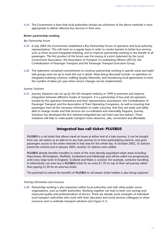**6.24** The Government is keen that local authorities should use whichever of the above methods is most appropriate to deliver effective bus services in their area.

#### **Better partnership working**

#### *Bus Partnership Forum*

- **6.25** In July 2002 the Government established a Bus Partnership Forum of operators and local authority representatives. This will meet on a regular basis in order to resolve barriers to better bus services, such as those around integrated ticketing, and to improve partnership working to the benefit of all passengers. The first product of the forum was the issuing of a joint statement by the Local Government Association, the Association of Transport Co-ordinating Officers (ATCO), the Confederation of Passenger Transport and the Passenger Transport Executive Group.
- **6.26** The statement contained commitments to continue partnership working in specific areas and eight task groups were set up to work this out in detail. Areas being discussed include: co-operation on integrated ticketing schemes; trialling Quality Networks; and introducing local agreements to limit the number of dates per year when service changes can be implemented.

#### *Journey Solutions*

**6.27** Journey Solutions was set up by the UK transport industry in 1999 to promote and improve integration between different modes of transport. It is a partnership of bus and rail operators, funded by the operators themselves and their representative associations: the Confederation of Passenger Transport and the Association of Train Operating Companies. As well as ensuring that passengers have all the necessary information to make a journey, that they are easily and safely able to change modes and that services are co-ordinated and reasonably frequent, Journey Solutions has developed the first national integrated bus-rail ticket (see box below). These initiatives will help to make public transport more attractive, safe, convenient and affordable.

## **Integrated bus-rail ticket: PLUSBUS**

*PLUSBUS* is a rail ticket that allows travel on buses at either end of a train journey. It can be bought from any rail station as an add-on to any train journey to or from participating stations, and gives passengers access to the entire network in that area for the whole day. In October 2002, 35 stations joined the scheme and in January 2003, another 55 stations were added.

*PLUSBUS* already benefits travellers in some of the most densely populated urban areas including Manchester, Birmingham, Sheffield, Sunderland and Edinburgh and will be rolled out progressively until every large town in England, Scotland and Wales is covered. For example, someone travelling to Manchester can now buy a *PLUSBUS* ticket for an extra £1.70 on top of their rail journey rather than paying £3.30 for an area bus ticket.

The potential to extend the benefits of *PLUSBUS* to rail season ticket holders is also being explored.

#### *Sharing information and resources*

**6.28** Partnership working is also important within local authorities and with other public sector organisations, such as health authorities. Working together can lead to both cost savings and improved quality and professionalism of service. There are already some examples of individual local transport authorities who work with their education and social services colleagues to share resources and co-ordinate transport solutions (see Figure 4.1).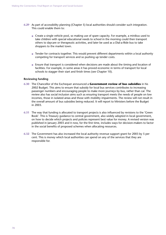- **6.29** As part of accessibility planning (Chapter 5) local authorities should consider such integration. This could enable them to:
	- Create a single vehicle pool, so making use of spare capacity. For example, a minibus used to take children with special educational needs to school in the morning could then transport others to daycare or therapeutic activities, and later be used as a Dial-a-Ride bus to take shoppers to the market town.
	- Tender for contracts together. This would prevent different departments within a local authority competing for transport services and so pushing up tender costs.
	- Ensure that transport is considered when decisions are made about the timing and location of facilities. For example, in some areas it has proved economic in terms of transport for local schools to stagger their start and finish times (see Chapter 10).

#### **Reviewing funding**

- **6.30** The Chancellor of the Exchequer announced a **Government review of bus subsidies** in his 2002 Budget. This aims to ensure that subsidy for local bus services contributes to increasing passenger numbers and encouraging people to make more journeys by bus, rather than car. The review also has social inclusion aims such as ensuring transport meets the needs of people on low incomes, those in isolated areas and those with mobility impairments. The review will not result in the overall amount of bus subsidies being reduced. It will report to Ministers before the Budget in 2003.
- **6.31** The way that funding is allocated to transport projects is also influenced by revisions to the 'Green' Book'. This is Treasury guidance to central government, also widely adopted in local government, on how to decide which projects and policies represent best value for money. A revised version was published in January 2003 and it now, for the first time, includes ways for decision-makers to factor in the social benefits of proposed schemes when allocating resources.
- **6.32** The Government has also increased the local authority revenue support grant for 2003 by 5 per cent. This is money which local authorities can spend on any of the services that they are responsible for.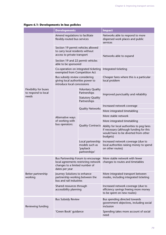|  |  |  | <b>Figure 6.1: Developments in bus policies</b> |
|--|--|--|-------------------------------------------------|
|  |  |  |                                                 |

|                                                       | <b>Developments</b>                                                                                   |                                                                                      | <b>Impact</b>                                                                                                                             |  |  |
|-------------------------------------------------------|-------------------------------------------------------------------------------------------------------|--------------------------------------------------------------------------------------|-------------------------------------------------------------------------------------------------------------------------------------------|--|--|
|                                                       | Amend regulations to facilitate<br>flexibly-routed bus services                                       |                                                                                      | Networks able to respond to more<br>dispersed work places and public<br>services                                                          |  |  |
| Flexibility for buses<br>to respond to local<br>needs | Section 19 permit vehicles allowed<br>to carry local residents without<br>access to private transport |                                                                                      | Networks able to expand                                                                                                                   |  |  |
|                                                       | Section 19 and 22 permit vehicles<br>able to be sponsored                                             |                                                                                      |                                                                                                                                           |  |  |
|                                                       | exempted from Competition Act                                                                         | Co-operation on integrated ticketing                                                 | Integrated ticketing                                                                                                                      |  |  |
|                                                       | Bus subsidy review considering<br>giving local authorities power to<br>introduce local concessions    |                                                                                      | Cheaper fares where this is a particular<br>local problem                                                                                 |  |  |
|                                                       | Alternative ways<br>of working with<br>bus operators:                                                 | <b>Voluntary Quality</b><br>Partnerships<br><b>Statutory Quality</b><br>Partnerships | Improved punctuality and reliability                                                                                                      |  |  |
|                                                       |                                                                                                       | <b>Quality Networks</b>                                                              | Increased network coverage                                                                                                                |  |  |
|                                                       |                                                                                                       |                                                                                      | More integrated timetabling                                                                                                               |  |  |
|                                                       |                                                                                                       | <b>Quality Contracts</b>                                                             | More stable network                                                                                                                       |  |  |
|                                                       |                                                                                                       |                                                                                      | More integrated timetabling                                                                                                               |  |  |
|                                                       |                                                                                                       |                                                                                      | Ability for local authorities to peg fares<br>if necessary (although funding for this<br>would have to be diverted from other<br>budgets) |  |  |
|                                                       |                                                                                                       | Local partnership<br>models such as<br>'payback<br>partnerships'                     | Increased network coverage (due to<br>local authorities raising money to spend<br>on other routes)                                        |  |  |
| Better partnership<br>working                         | changes to a limited number of<br>dates per year                                                      | Bus Partnership Forum to encourage<br>local agreements restricting network           | More stable network with fewer<br>changes to routes and timetables                                                                        |  |  |
|                                                       | Journey Solutions to enhance<br>partnership working between the<br>bus and rail industries            |                                                                                      | More integrated transport between<br>modes, including integrated ticketing                                                                |  |  |
|                                                       | Shared resources through<br>accessibility planning                                                    |                                                                                      | Increased network coverage (due to<br>efficiency savings freeing more money<br>to be spent on new routes)                                 |  |  |
| Reviewing funding                                     | <b>Bus Subsidy Review</b>                                                                             |                                                                                      | Bus spending directed towards<br>government objectives, including social<br>inclusion                                                     |  |  |
|                                                       | 'Green Book' guidance                                                                                 |                                                                                      | Spending takes more account of social<br>need                                                                                             |  |  |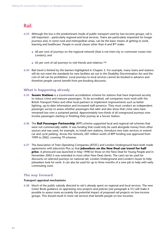## Rail

- **6.33** Although the bus is the predominant mode of public transport used by low-income groups, rail is still important – particularly regional and local services. Trains are particularly important for longer journeys and, in some rural and metropolitan areas, can be the basic means of getting to work, learning and healthcare. People in social classes other than A and B<sup>99</sup> make:
	- 60 per cent of journeys on the regional network (that is not inter-city or commuter routes into London); and
	- 65 per cent of rail journeys to visit friends and relatives.<sup>100</sup>
- **6.34** Rail travel is limited by the barriers highlighted in Chapter 2. For example, many trains and stations still do not meet the standards for new facilities set out in the Disability Discrimination Act and the cost of rail can be prohibitive. Local journeys to local services cannot be booked in advance and therefore people cannot benefit from pre-booking discounts.

### **What is happening already**

- **6.35 Secure Stations** is a Government accreditation scheme for stations that have improved security to reduce crime and reassure passengers. To be accredited, rail companies must work with the British Transport Police and other local partners to implement improvements such as better lighting, up-to-date information and increased staff presence. They must conduct an independent passenger survey to assess whether passengers feel safer and also show that crime rates have remained low over a sustained period. Approximately two-thirds of all overground journeys now involve passengers starting or finishing their journey at a Secure Station.
- **6.36** The **Rail Passenger Partnership** (RPP) scheme supported local and regional rail schemes that were not commercially viable. It was funding that could only be used alongside money from other sources and was used, for example, to install new stations, introduce new train services or extend car and cycle parking. Across the network,  $E87$  million worth of RPP funding was approved from 1999 to 2002, covering 79 schemes.
- **6.37** The Association of Train Operating Companies (ATOC) and London Underground have both made agreements with Jobcentre Plus so that **jobseekers on the New Deal can travel for half price**. A photocard was launched in May 1998 for those on the New Deal for Young People and in November 2002 it was extended to most other New Deal clients. The card can be used for discounts on selected journeys on national rail, London Underground and London's buses to help jobseekers look for work. It can also be used for up to three months of a new job to help with early commuting costs.

### **The way forward**

#### **Transport appraisal mechanisms**

**6.38** Much of the public subsidy directed to rail is already spent on regional and local services. The new Green Book guidance on appraising new projects and policies (see paragraph 6.31) will make it possible to assess more accurately the potential impact of proposed rail projects on low-income groups. This should result in more rail services that benefit people on low incomes.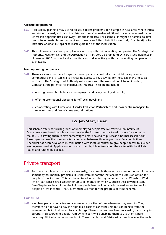#### **Accessibility planning**

- **6.39** Accessibility planning may use rail to solve access problems, for example in rural areas where tracks and stations already exist and the distance to services makes additional bus services unrealistic, or where job opportunities exist away from the local area. For example, it might be possible to alter bus or train timetables so that services connect (see Bittern train link case study, Chapter 4) or to introduce additional stops or to install cycle racks at the local station.
- **6.40** This will involve local transport planners working with train operating companies. The Strategic Rail Authority, Network Rail and the Association of Transport Co-ordinating Officers issued guidance in November 2002 on how local authorities can work effectively with train operating companies on such issues.

#### **Train operating companies**

- **6.41** There are also a number of steps that train operators could take that might have potential commercial benefits, while also increasing access to key activities for those experiencing social exclusion. The Strategic Rail Authority will explore with the Association of Train Operating Companies the potential for initiatives in this area. These might include:
	- offering discounted tickets for unemployed and newly employed people;
	- offering promotional discounts for off-peak travel; and
	- co-operating with Crime and Disorder Reduction Partnerships and town centre managers to reduce crime and fear of crime around stations.

### **c2c Job Start, Essex**

This scheme offers particular groups of unemployed people free rail travel to job interviews. Some newly employed people can also receive the first two months travel to work for a nominal fee of £10, allowing them to save some wages before having to purchase a normal season ticket. Passengers can use the ticket on c2c rail services between Shoeburyness and Fenchurch Street. The ticket has been developed in conjunction with local Jobcentres to give people access to a wider employment market. Application forms are issued by Jobcentres along the route, with the tickets issued and funded by c2c rail.

## Private transport

**6.42** For some people access to a car is a necessity, for example those in rural areas or households where somebody has mobility problems. It is therefore important that access to a car is an option for people on low incomes. This can be achieved in part through schemes such as Wheels to Work, which loan jobseekers a scooter for up to six months or which subsidise their driving lessons (see Chapter 4). In addition, the following initiatives could enable increased access to cars for people on low incomes. The Government will monitor the progress of these schemes.

#### **Car clubs**

**6.43** Members pay an annual fee and can use one of a fleet of cars whenever they need to. They therefore do not have to pay the high fixed costs of car ownership but can benefit from the increased mobility that access to a car brings. These schemes have been successful, particularly in Europe, in discouraging people from owning cars while enabling them to use them where necessary. Pilot schemes now running in Tower Hamlets and Bristol will assess how effective such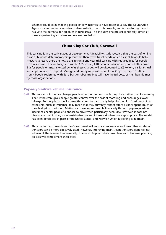schemes could be in enabling people on low incomes to have access to a car. The Countryside Agency is also funding a number of demonstration car club projects, and is monitoring them to evaluate the potential for car clubs in rural areas. This includes one project specifically aimed at those experiencing social exclusion – see box below.

## **China Clay Car Club, Cornwall**

This car club is in the early stages of development. A feasibility study revealed that the cost of joining a car club would deter membership, but that there were travel needs which a car club would help meet. As a result, there are now plans to run a one-year trial car club with reduced fees for people on low incomes. The ordinary fees will be £25 to join, £100 annual subscription, and £100 deposit. But for people on means-tested benefits these charges will be discounted to  $£5$  to join, a  $£25$  annual subscription, and no deposit. Mileage and hourly rates will be kept low (15p per mile; £1.50 per hour). People registered with Sure Start or Jobcentre Plus will have the full costs of membership met by those organisations.

#### **Pay-as-you-drive vehicle insurance**

- **6.44** This model of insurance charges people according to how much they drive, rather than for owning a car. It therefore gives people greater control over the cost of motoring and encourages lower mileage. For people on low incomes this could be particularly helpful – the high fixed costs of car ownership, such as insurance, may mean that they currently cannot afford a car or spend much of their budget on motoring. Making car travel more possible financially through pay-as-you-drive insurance enables people to choose to drive when particularly necessary. However, it does not discourage use of other, more sustainable modes of transport when more appropriate. The model has been developed in parts of the United States, and Norwich Union is piloting it in Britain.
- **6.45** This chapter has shown how the Government will improve bus services and how other modes of transport can be more effectively used. However, improving mainstream transport alone will not address all the barriers to accessibility. The next chapter details how changes to land-use planning policies will complement these steps.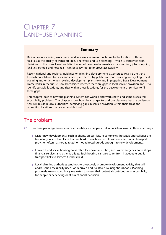# CHAPTER 7 LAND-USE PLANNING

## **Summary**

Difficulties in accessing work places and key services are as much due to the location of those facilities as the quality of transport links. Therefore land-use planning – which is concerned with decisions on the overall level and distribution of new developments such as housing, jobs, shopping facilities, schools and hospitals – can be a key tool to improve accessibility.

Recent national and regional guidance on planning developments attempts to reverse the trend towards out-of-town facilities and inadequate access by public transport, walking and cycling. Local planning authorities, when revising development plans now and in preparing Local Development Frameworks in the future, should consider whether there are gaps in local service provision and, if so, identify suitable locations, and sites within those locations, for the development of services to fill these gaps.

This chapter looks at how the planning system has worked and works now, and some associated accessibility problems. The chapter shows how the changes to land-use planning that are underway now will result in local authorities identifying gaps in service provision within their areas and promoting locations that are accessible to all.

## The problem

- **7.1** Land-use planning can undermine accessibility for people at risk of social exclusion in three main ways:
	- Major new developments, such as shops, offices, leisure complexes, hospitals and colleges are frequently located in places that are hard to reach for people without cars. Public transport provision often has not adapted, or not adapted quickly enough, to new developments.
	- Low-cost and social housing areas often lack basic amenities, such as GP surgeries, food shops, financial services and other facilities. Such housing can also suffer from inadequate public transport links to services further afield.
	- Local planning authorities tend not to proactively promote development activity that will address the accessibility needs of deprived and isolated rural neighbourhoods. Planning proposals are not specifically evaluated to assess their potential contribution to accessibility for people experiencing or at risk of social exclusion.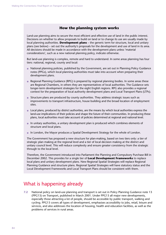## **How the planning system works**

Land-use planning aims to secure the most efficient and effective use of land in the public interest. Decisions on whether to allow proposals to build on land or to change its use are usually made by local planning authorities. **Development plans** – the generic term for structure, local and unitary plans (see below) – set out the authority's proposals for the development and use of land in its area. All decisions should be made in accordance with the development plans unless 'material considerations', such as a new national planning policy, indicate otherwise.

But land-use planning is complex, remote and hard to understand. In some areas planning has four tiers: national, regional, county and local:

- National planning policies, published by the Government, are set out in Planning Policy Guidance notes (PPGs), which local planning authorities must take into account when preparing their development plans.
- Regional Planning Guidance (RPG) is prepared by regional planning bodies. In some areas these are Regional Chambers, in others they are representatives of local authorities. The Guidance sets longer-term development strategies for the eight English regions. RPG also provides a regional context for the preparation of local authority development plans and Local Transport Plans (LTPs).
- Structure plans are produced by county authorities. They address strategic issues such as improvements to transport infrastructure, house building and the broad location of employment sites.
- Local plans, produced by district authorities, are the means by which local authorities express the land-use implications of their policies and shape the future of their communities. In producing these plans, local authorities must take account of policies determined at regional and national level.
- In unitary authorities, a unitary development plan is produced which combines elements of structure and local plans.
- In London, the Mayor produces a Spatial Development Strategy for the whole of London.

The Government has proposed a new structure for plan-making, based on two tiers only: a tier of strategic plan making at the regional level and a tier of local decision making at the district and unitary council level. This will reduce complexity and ensure greater consistency from the strategic through to the local level.

Therefore, the Government introduced into Parliament the Planning and Compulsory Purchase Bill in December 2002. This provides for a single tier of **Local Development Frameworks** to replace local plans and unitary development plans. New Regional Spatial Strategies will replace Regional Planning Guidance and structure plans. Regional Spatial Strategies will have statutory status and the Local Development Frameworks and Local Transport Plans should be consistent with them.

## What is happening already

**7.2** National policy on land-use planning and transport is set out in Policy Planning Guidance note 13 (PPG13) on Transport, published in March 2001. Under PPG13 all major new developments, especially those attracting a lot of people, should be accessible by public transport, walking and cycling. PPG13 covers all types of development, emphasises accessibility to jobs, retail, leisure and services, and also addresses the location of housing, health and education facilities, as well as the problems of services in rural areas.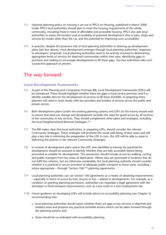- **7.3** National planning policy on housing is set out in PPG3 on Housing, published in March 2000. Under PPG3 local authorities should plan to meet the housing requirements of the whole community, including those in need of affordable and accessible housing. PPG3 also asks local authorities to assess the location and accessibility of potential development sites to jobs, shops and services by modes other than the car, and the potential for improving such accessibility.
- **7.4** In practice, despite the proactive role of local planning authorities in drawing up development plans (see box above), most development emerges through local planning authorities' responses to developers' proposals. Local planning authorities need to be actively involved in determining appropriate levels of services for deprived communities within their area, identifying gaps in provision and seeking to encourage developments to fill these gaps. Too few authorities take such a proactive approach at present.

## The way forward

#### **Local Development Frameworks**

- **7.5** As part of the Planning and Compulsory Purchase Bill, Local Development Frameworks (LDFs) will be introduced. These should highlight whether there are gaps in local service provision and if so identify suitable sites for the development of services to fill these shortfalls. In preparing them, planners will need to work closely with key providers and funders of services across the public and private sectors.
- **7.6** Both development plans (under the existing planning system) and LDFs (in the future) should seek to ensure that land-use change and development includes the need for good access by all sections of the community to key services. They should complement other plans and strategies, including the local Neighbourhood Renewal Strategies.101
- **7.7** The Bill makes clear that local authorities, in preparing LDFs, should consider the relevant Community Strategies. These strategies will promote the social well-being of their areas and will play a key role in informing the preparation of the LDF. In turn, the LDF will be able to assist in delivering the policies in the relevant Community Strategies.
- **7.8** In reviews of development plans and in the LDF, sites identified as having the potential for development should be assessed to identify whether they are fully accessible before being promoted as suitable for development. The assessment should include access by walking, cycling and public transport from key areas of deprivation. Where sites are promoted in locations that do not fulfil this criterion, but are otherwise sustainable, the local planning authority should consider whether it is practical to secure provision of adequate public transport to those areas, including – where appropriate – through 'Section 106'102 planning agreements.
- **7.9** Local planning authorities can use Section 106 agreements as a means of obtaining improvements – especially in terms of access by foot, bicycle or bus – related to developments. For example, as a condition of granting planning permission, authorities can negotiate a legal agreement with the developer to fund transport improvements, such as a bus route to a new employment site.
- **7.10** Future guidance on developing LDFs will include advice on accessibility planning (see Chapter 5) recommending that:
	- local planning authorities should assess whether there are gaps in key services in deprived and isolated areas and propose any practical remedial actions which can be taken forward through the planning system; and
	- these should be co-ordinated with accessibility planning.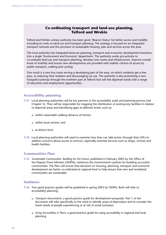## **Co-ordinating transport and land-use planning, Telford and Wrekin**

Telford and Wrekin unitary authority has been given 'Beacon Status' for better access and mobility including its work on land-use and transport planning. The strategy is focused on an integrated transport network and the provision of sustainable housing, jobs and services across the area.

The local authority has integrated land-use planning, transport and economic development functions into a single 'Environment and Economy' department. The authority works pro-actively to co-ordinate land-use and transport planning, develop new routes and infrastructure, improve overall levels of mobility and ensure new developments are provided with realistic choices of access by public transport, walking and cycling.

One result is a new bus route serving a developing part of the area, on which residents get a free pass, so reducing their isolation and discouraging car use. The authority is also promoting a new footpath/cycleway through the northern part of Telford that will link deprived wards with a range of education and employment opportunities.

#### **Accessibility planning**

- **7.11** Local planning authorities will be key partners in the accessibility audit and planning process (see Chapter 5). They will be responsible for mapping the distribution of existing key facilities in relation to deprived areas and identifying gaps at different levels, such as:
	- within reasonable walking distance of homes;
	- within local centres; and
	- at district level.
- **7.12** Local planning authorities will need to examine how they can take action through their LDFs to address concerns about access to services, especially essential services such as shops, schools and health facilities.

#### **Communities Plan**

**7.13** *Sustainable Communities: Building for the Future*, published in February 2003 by the Office of the Deputy Prime Minister (ODPM), reinforces the Government's policies for building successful communities. The Plan will ensure that decisions on housing, planning, transport and economic development are better co-ordinated at regional level to help ensure that new and revitalised communities are sustainable.

### **Guidance**

- **7.14** Two good practice guides will be published in spring 2003 by ODPM. Both will refer to accessibility planning:
	- *Transport Assessments:* a good practice guide for development proposals. Part 1 of the document will refer specifically to the need to identify areas of deprivation and to consider the travel needs of people experiencing or at risk of social exclusion.
	- *Using Accessibility in Plans:* a good practice guide for using accessibility in regional and local planning.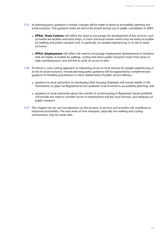- **7.15** As planning policy guidance is revised, changes will be made to factor in accessibility planning and social exclusion. Two guidance notes are due to be revised and go out to public consultation in 2003:
	- **PPG6: Town Centres** will reflect the need to encourage the development of key services, such as healthcare facilities and food shops, in town and local centres where they are easily accessible by walking and public transport and, in particular, for people experiencing or at risk of social exclusion.
	- **PPG4: Employment** will reflect the need to encourage employment developments in locations that are highly accessible by walking, cycling and direct public transport routes from areas of high unemployment, and will link to work on access to jobs.
- **7.16** To ensure a cross-cutting approach to improving access to local services for people experiencing or at risk of social exclusion, revised planning policy guidance will be supported by complementary guidance to frontline practitioners in other related areas of public service delivery:
	- quidance to local authorities on developing their Housing Strategies will include details of the mechanisms in place for Registered Social Landlords to be involved in accessibility planning; and
	- guidance to local authorities about the transfer of social housing to Registered Social Landlords will include the need to consider access to employment and key local services, and adequacy of public transport.
- **7.17** This chapter has set out how decisions on the location of services and activities will contribute to improved accessibility. The next looks at how transport, especially the walking and cycling environment, may be made safer.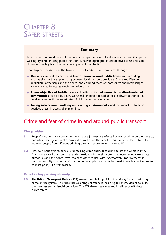# CHAPTER 8 SAFER STREETS

## **Summary**

Fear of crime and road accidents can restrict people's access to local services, because it stops them walking, cycling, or using public transport. Disadvantaged groups and deprived areas also suffer disproportionately from the negative impacts of road traffic.

This chapter describes how the Government will address these problems through:

- **Measures to tackle crime and fear of crime around public transport**, including: encouraging partnership working between local transport providers, Crime and Disorder Reduction Partnerships and the police, and ensuring that transport routes and interchanges are considered in local strategies to tackle crime.
- **A new objective of tackling concentrations of road casualties in disadvantaged communities**, backed by a new £17.6 million fund directed at local highway authorities in deprived areas with the worst rates of child pedestrian casualties.
- **Taking into account walking and cycling environments**, and the impacts of traffic in deprived areas, in accessibility planning.

## Crime and fear of crime in and around public transport

## **The problem**

- **8.1** People's decisions about whether they make a journey are affected by fear of crime on the route to, and while waiting for, public transport as well as on the vehicle. This is a particular problem for women, people from different ethnic groups and those on low incomes.103
- **8.2** However, nobody is responsible for tackling crime and fear of crime across the whole journey from someone's front door to their destination. It is therefore often neglected as operators, local authorities and the police leave it to each other to deal with. Alternatively, improvements in personal security at a bus or rail station, for example, can be undermined if people's walking routes to it are poorly lit or vandalised.

## **What is happening already**

**8.3** The **British Transport Police** (BTP) are responsible for policing the railways<sup>104</sup> and reducing crime on the system. The force tackles a range of offences including terrorism, violent assaults, drunkenness and antisocial behaviour. The BTP shares resources and intelligence with local police forces.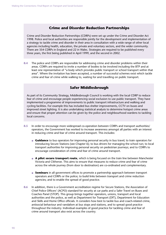## **Crime and Disorder Reduction Partnerships**

Crime and Disorder Reduction Partnerships (CDRPs) were set up under the Crime and Disorder Act 1998. Police and local authorities are responsible jointly for the development and implementation of a strategy to tackle crime and disorder in their area in consultation with a wide range of other local agencies including health, education, the private and voluntary sectors, and the wider community. There are 354 CDRPs in England and 22 in Wales. Strategies are required to be published every three years, the first being published in April 1999, and the second in 2002.

**8.4** The police and CDRPs are responsible for addressing crime and disorder problems within their areas. CDRPs are required to invite a number of bodies to be involved including the BTP and at least one representative of "a body which provides public transport or school transport within that area". Where the invitation has been accepted, a number of successful schemes exist which tackle crime and fear of crime while walking to, waiting for and travelling on public transport.

## **Safer Middlesbrough**

As part of its Community Strategy, Middlesbrough Council is working with the local CDRP to reduce fear of crime and encourage people experiencing social exclusion to use public transport. They have implemented a programme of improvements to public transport infrastructure and walking and cycling facilities. For example this has included bus shelter improvements, CCTV on buses and improved street lighting. It is also undertaking statistical analysis to determine hotspot crime areas and ensure that proper attention can be given by the police and neighbourhood wardens to tackling local concerns.

- **8.5** In order to encourage more widespread co-operation between CDRPs and transport authorities/ operators, the Government has worked to increase awareness amongst all parties with an interest in reducing crime and fear of crime around transport. This includes:
	- **Guidance** to bus operators for improving personal security in bus travel; to train operators for introducing Secure Stations (see Chapter 6); to bus drivers for managing the school run; to local transport authorities for improving personal security on pedestrian journeys; and to CDRPs to encourage consideration of crime and fear of crime around transport.
	- **A pilot secure transport route**, which is being focused on the train line between Manchester Victoria and Clitheroe. This aims to ensure that measures to reduce crime and fear of crime across the whole journey (from door to destination) are co-ordinated and complementary.
	- **Seminars** in all government offices to promote a partnership approach between transport operators and CDRPs or the police; to build links between transport and crime reduction agencies; and to enable the spread of good practice.
- **8.6** In addition, there is a Government accreditation regime for Secure Stations, the Association of Chief Police Officers' (ACPO) standard for security at car parks and a Safer Travel on Buses and Coaches Panel (STOP). This group brings together operators, unions, transport and local authorities and the police, as well as Department for Transport (DfT), Department for Education and Skills and Home Office officials. It considers how best to tackle bus and coach-related crime, antisocial behaviour and vandalism at bus stops and stations, and to spread good practice throughout the industry. Individual examples of good practice for tackling crime and fear of crime around transport also exist across the country.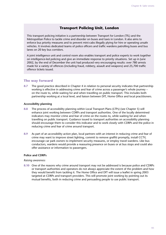## **Transport Policing Unit, London**

This transport policing initiative is a partnership between Transport for London (TfL) and the Metropolitan Police to tackle crime and disorder on buses and taxis in London. It also aims to enforce bus priority measures and to prevent mini-cabs illegally plying for hire or operating unsafe vehicles. It involves dedicated teams of police officers and traffic wardens patrolling buses and bus lanes on 20 key bus corridors.

A joint intelligence unit and control room also enables transport and police experts to work together on intelligence-led policing and give an immediate response to priority situations. Set up in June 2002, by the end of December the unit had produced very encouraging results: over 780 arrests made for a variety of offences (including fraud, robbery, assault and weapons) and 25,700 traffic offence tickets issued.

#### **The way forward**

**8.7** The good practice described in Chapter 4 in relation to personal security indicates that partnership working is effective in addressing crime and fear of crime across a passenger's whole journey – on the route to, while waiting for and when travelling on public transport. This includes both partnership working at a local level, and liaison between DfT, Home Office and local practitioners.

#### **Accessibility planning**

- **8.8** The process of accessibility planning within Local Transport Plans (LTPs) (see Chapter 5) will enhance joint working between CDRPs and transport authorities. One of the locally determined indicators may monitor crime and fear of crime on the routes to, while waiting for and when travelling on public transport. Guidance issued to transport authorities on accessibility planning should encourage them to consider this indicator and to work closely with CDRPs and the police in reducing crime and fear of crime around transport.
- **8.9** As part of an accessibility action plan, local partners with an interest in reducing crime and fear of crime may want to improve street lighting, commit to remove graffiti promptly, install CCTV, encourage car park owners to implement security measures, or employ travel wardens. Like bus conductors, wardens would provide a reassuring presence on buses or at bus stops and could also offer assistance or information to passengers.

#### **Police and CDRPs**

#### *Raising awareness*

**8.10** One of the reasons why crime around transport may not be addressed is because police and CDRPs or transport authorities and operators do not always appreciate the extent of the problem and how they would benefit from tackling it. The Home Office and DfT will issue a leaflet in spring 2003 targeted at CDRPs and transport providers. This will promote joint working by pointing out its mutual benefits, both in reducing crime and persuading people to use public transport.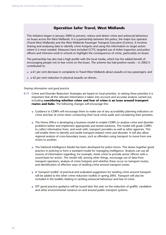## **Operation Safer Travel, West Midlands**

This initiative began in January 2000 to prevent, reduce and detect crime and antisocial behaviour on buses across the West Midlands. It is a partnership between the police, the major bus operator (Travel West Midlands) and the West Midlands Passenger Transport Executive (Centro). It involves sharing and analysing data to identify crime hotspots and using this information to target action where it is most needed. Measures have included CCTV, targeted use of ticket inspection and police officers and intensive work in schools to highlight the consequences of crime, particularly on buses.

The partnership has also had a high profile with the local media, which has the added benefit of encouraging people not to fear crime on the buses. The scheme has had positive results – in 2002 it contributed to:

- a 61 per cent decrease in complaints to Travel West Midlands about assaults on bus passengers; and
- a 42 per cent reduction in physical assaults on drivers.

#### *Sharing information and good practice*

- **8.11** Crime and Disorder Reduction Strategies are based on local priorities. In setting these priorities it is important that all the relevant information is taken into account and accurate analysis carried out, including **considering whether crime and fear of crime is an issue around transport routes and hubs**. The following changes will encourage this:
	- Guidance to CDRPs will encourage them to make use of any accessibility planning indicators on crime and fear of crime when conducting their local crime audit and considering their priorities.
	- The Home Office is developing a business model to enable CDRPs to analyse crime and disorder problems better and implement appropriate and tested solutions. The model will guide CDRPs to collect information from, and work with, transport providers as well as other agencies. This will enable them to identify and tackle transport-related crime and disorder. It will also allow regional analysis of cross-boundary issues, such as offenders using transport to move from one victim to another.
	- The National Intelligence Model has been developed for police forces. This draws together good practice in policing to form a standard model for managing intelligence. Analysts can use all sources of information regarding, for example, street crime to provide senior officers with a sound basis for action. The model will, among other things, encourage use of data from transport operators; analysis of crime hotspots and whether these occur on transport routes; and identification of effective ways of tackling crime around transport routes.
	- A 'transport toolkit' of practical and evaluated suggestions for tackling crime around transport will be added to the other crime reduction toolkits in spring 2003. Transport will also be included in the toolkits relating to tackling antisocial behaviour and fear of crime.
	- DfT good practice guidance will be issued later this year on the reduction of graffiti, vandalism and other environmental nuisance on and around public transport systems.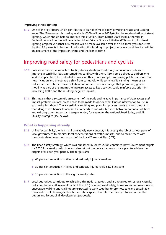#### **Improving street lighting**

**8.12** One of the key factors which contributes to fear of crime is badly lit walking routes and waiting areas. The Government is making available £300 million in 2003/04 for the modernisation of street lighting, which should help to improve this situation. From March 2003 local authorities in England outside London will be able to bid for Private Finance Initiative (PFI) funding for street lighting projects. A further £85 million will be made available over the next three years for street lighting PFI projects in London. In allocating this funding to projects, one key consideration will be an assessment of the impact on crime and the fear of crime.

## Improving road safety for pedestrians and cyclists

- **8.13** Policies to tackle the impacts of traffic, like accidents and pollution, can reinforce policies to improve accessibility, but can sometimes conflict with them. Also, some policies to address one kind of impact have the potential to worsen others. For example, improving public transport can help inclusion and encourage a shift from car travel, while some traffic calming measures can reduce accidents but increase pollution and noise. There is a danger that promoting greater mobility as part of the attempt to increase access to key activities could reinforce exclusion by increasing traffic and the resulting negative impacts.
- **8.14** This means that a systematic assessment of the scale and relative importance of *both* access *and* impact problems in local areas needs to be made to decide what kind of intervention to use in each neighbourhood. The accessibility auditing and planning process needs to take account of road danger as a barrier to access. It also needs to consider tensions between potential solutions and existing commitments and targets under, for example, the national Road Safety and Air Quality strategies (see below).

#### **What is happening already**

- **8.15** Unlike 'accessibility', which is still a relatively new concept, it is *already* the job of various parts of local government to monitor local concentrations of traffic impacts, and to tackle them with transport-related measures, as part of the Local Transport Plan (LTP).
- 8.16 The Road Safety Strategy, which was published in March 2000, contained new Government targets for 2010 for casualty reduction and also set out the policy framework for a plan to achieve the targets over a ten-year period. The targets are:
	- 40 per cent reduction in killed and seriously injured casualties;
	- 50 per cent reduction in killed and seriously injured child casualties; and
	- 10 per cent reduction in the slight casualty rate.
- **8.17** Local authorities contribute to achieving this national target, and are required to set local casualty reduction targets. All relevant parts of the LTP (including road safety, home zones and measures to encourage walking and cycling) are expected to work together to promote safe and sustainable transport. Local planning authorities are also expected to take road safety into account in the design and layout of all development proposals.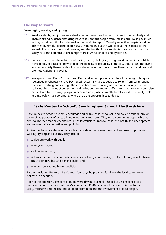#### **The way forward**

#### **Encouraging walking and cycling**

- **8.18** Road accidents, and just as importantly fear of them, need to be considered in accessibility audits. There is strong evidence that dangerous roads prevent people from walking and cycling as much as they could, and this includes walking to public transport. Casualty reduction targets could be achieved by simply keeping people away from roads, but this would be at the expense of the accessibility of local shops and services, and the health of local residents. Improvements to road safety have the potential to encourage more journeys on foot and by bicycle.
- 8.19 Some of the barriers to walking and cycling are psychological, being based on unfair or outdated perceptions, or a lack of knowledge of the benefits or possibility of travel without a car. Improving local accessibility therefore should also include measures to overcome these barriers, and positively promote walking and cycling.
- **8.20** Workplace Travel Plans, School Travel Plans and various personalised travel planning techniques (described in Chapter 4) have been used successfully to get people to switch from car to public transport, walking and cycling. These have been aimed mainly at environmental objectives – reducing the amount of congestion and pollution from motor traffic. Similar approaches could also be explored to encourage people in deprived areas, who currently travel very little, to walk, cycle and use public transport more, where there are opportunities to do so.

## **'Safe Routes to School', Sandringham School, Hertfordshire**

'Safe Routes to School' projects encourage and enable children to walk and cycle to school through a combined package of practical and educational measures. They use a community approach that aims to improve road safety and reduce child casualties, improve children's health and development and reduce traffic congestion and pollution.

At Sandringham, a state secondary school, a wide range of measures has been used to promote walking, cycling and bus use. They include:

- curriculum work with pupils;
- new cycle storage;
- $\bullet$  a school travel plan;
- highway measures school safety zone, cycle lanes, new crossings, traffic calming, new footways, bus shelter, new bus and parking layby; and
- new bus services and better publicity.

Partners included Hertfordshire County Council (who provided funding), the local community; police; bus operators.

Prior to the project 40 per cent of pupils were driven to school. This fell to 28 per cent over a two-year period. The local authority's view is that 30-40 per cent of the success is due to road safety measures and the rest due to good promotion and the involvement of local people.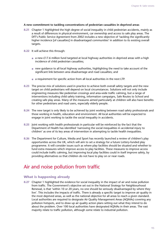#### **A new commitment to tackling concentrations of pedestrian casualties in deprived areas**

- **8.21** Chapter 1 highlighted the high degree of social inequality in child pedestrian accidents, mainly as a result of differences in physical environment, car ownership and access to safe play areas. The DfT's Public Service Agreement from 2002 includes a new objective of 'tackling the significantly higher incidence [of casualties] in disadvantaged communities' in addition to its existing overall targets.
- **8.22** It will achieve this through:
	- a new £17.6 million fund targeted at local highway authorities in deprived areas with a high incidence of child pedestrian casualties;
	- new guidance to all local highway authorities, highlighting the need to take account of the significant link between area disadvantage and road casualties; and
	- a requirement for specific action from all local authorities in the next LTP.
- **8.23** The precise mix of solutions used in practice to achieve both overall safety targets and the new target on child pedestrians will depend on local circumstances. Solutions will not only include engineering measures like pedestrian crossings and area-wide traffic calming, but a range of interventions including child safety training, information campaigns, Safe Routes to School and creating safe play areas. Many of the measures aimed particularly at children will also have benefits for other pedestrians and road users, especially elderly people.
- **8.24** The new target is only likely to be achieved by joint working between road safety professionals and those working in health, education and environment. All local authorities will be expected to engage in joint working to tackle the social inequality in accidents.
- **8.25** Joint working with health professionals in particular will be reinforced by the fact that the Department of Health has identified 'narrowing the social inequalities in accidental injury to children' as one of its key areas of intervention in attempting to tackle health inequalities.
- **8.26** The Department for Culture, Media and Sport has recently launched a review of children's play opportunities across the UK, which will aim to set a strategy for a future Lottery-funded play programme. It will consider issues such as where play facilities should be situated and whether to fund extra measures which improve access to play facilities. These measures to improve access could include traffic calming, but improving local play facilities could in itself improve safety, by providing alternatives so that children do not have to play on or near roads.

## Air and noise pollution from traffic

## **What is happening already**

**8.27** Chapter 1 highlighted the evidence for social inequality in the impact of air and noise pollution from traffic. The Government's objective set out in the National Strategy for Neighbourhood Renewal, is that 'within 10 or 20 years, no one should be seriously disadvantaged by where they live'. This includes the impacts of traffic. There is already a specific target to improve air quality in the most deprived areas, as well as the national objective for all areas to reach a given standard. Local authorities are required to designate Air Quality Management Areas (AQMAs) covering any pollution hotspots, and to draw up air quality action plans setting out what they intend to do about the problem. Over 100 local authorities have designated AQMAs in their areas. The vast majority relate to traffic pollution, although some relate to industrial pollution.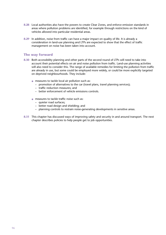- **8.28** Local authorities also have the powers to create Clear Zones, and enforce emission standards in areas where pollution problems are identified, for example through restrictions on the kind of vehicles allowed into particular residential areas.
- **8.29** In addition, noise from traffic can have a major impact on quality of life. It is already a consideration in land-use planning and LTPs are expected to show that the effect of traffic management on noise has been taken into account.

### **The way forward**

- **8.30** Both accessibility planning and other parts of the second round of LTPs will need to take into account their potential effects on air and noise pollution from traffic. Land-use planning activities will also need to consider this. The range of available remedies for limiting the pollution from traffic are already in use, but some could be employed more widely, or could be more explicitly targeted on deprived neighbourhoods. They include:
	- measures to tackle local air pollution such as:
		- promotion of alternatives to the car (travel plans, travel planning services);
		- traffic reduction measures; and
		- better enforcement of vehicle emissions controls.
	- measures to tackle traffic noise such as:
		- quieter road surfaces;
		- better road design and shielding; and
		- planning controls to restrain noise-generating developments in sensitive areas.
- **8.31** This chapter has discussed ways of improving safety and security in and around transport. The next chapter describes policies to help people get to job opportunities.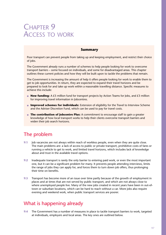# CHAPTER 9 ACCESS TO WORK

## **Summary**

Poor transport can prevent people from taking up and keeping employment, and restrict their choice of jobs.

The Government already runs a number of schemes to help people looking for work to overcome transport barriers – some focused on individuals, and some for disadvantaged areas. This chapter outlines these current policies and how they will be built upon to tackle the problems that remain.

The Government is increasing the amount of help it offers people looking for work to enable them to get to job opportunities. In return, they are expected to expand their travel horizons and be prepared to look for and take up work within a reasonable travelling distance. Specific measures to achieve this include:

- **New funding:** A £5 million fund for transport projects by Action Teams for Jobs, and £3 million for improving travel information in Jobcentres.
- **Improved schemes for individuals:** Extension of eligibility for the Travel to Interview Scheme and the Adviser Discretion Fund, which can be used to pay for travel costs.
- **The contribution of Jobcentre Plus:** A commitment to encourage staff to gain a greater knowledge of how local transport works to help their clients overcome transport barriers and widen their job search horizons.

## The problem

- **9.1** Job vacancies are not always within reach of workless people, even when they are quite close. The main problems are: a lack of access to public or private transport, prohibitive costs of fares or running a vehicle to get to work, and limited travel horizons, which includes lack of knowledge about and trust in the available travel options.
- **9.2** Inadequate transport is rarely the only barrier to entering paid work, or even the most important one, but it can be a significant problem for many. It prevents people attending interviews, limits the range of jobs they can apply for, and forces them to turn down job offers, thus prolonging their time on benefits.
- **9.3** Transport has become more of an issue over time partly because of the growth of employment in places and at times that are not served by public transport, and which are not always close to where unemployed people live. Many of the new jobs created in recent years have been in out-oftown or suburban locations, which can be hard to reach without a car. More jobs also require evening and weekend work, when public transport services are poorer.

## What is happening already

**9.4** The Government has a number of measures in place to tackle transport barriers to work, targeted at individuals, employers and local areas. The key ones are outlined below.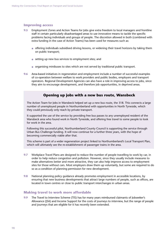#### **Improving access**

- **9.5** Employment Zones and Action Teams for Jobs give extra freedom to local managers and frontline staff in certain particularly disadvantaged areas to use innovative means to tackle the specific problems facing individuals and groups of people. The discretion allowed in both (combined with extra funding in the case of Action Teams) has been used for measures such as:
	- offering individuals subsidised driving lessons, or widening their travel horizons by taking them on public transport;
	- setting up new bus services to employment sites; and
	- organising minibuses to sites which are not served by traditional public transport.
- **9.6** Area-based initiatives in regeneration and employment include a number of successful examples of co-operation between welfare to work providers and public bodies, employers and transport operators. Regional Development Agencies can also have a role in improving access to jobs, since they aim to encourage development, and therefore job opportunities, in deprived areas.

## **Opening up jobs with a new bus route, Wansbeck**

The Action Team for Jobs in Wansbeck helped set up a new bus route, the 318. This connects a large number of unemployed people in Northumberland with opportunities in North Tyneside, which they could previously only reach by private transport.

It supported the use of the service by providing free bus passes to any unemployed resident of the Wansbeck area who found work in North Tyneside, and offering free travel to some people to look for work in the area.

Following this successful pilot, Northumberland County Council is supporting the service through Urban Bus Challenge funding. It will now continue for a further three years, with the hope of becoming commercially viable after that.

This scheme is part of a wider regeneration project linked to Northumberland's Local Transport Plan, which will ultimately see the re-establishment of passenger trains in the area.

- **9.7** Workplace Travel Plans are designed to reduce the number of people travelling to work by car, in order to help reduce congestion and pollution. However, since they usually include measures to make alternatives better and more attractive, they can also help improve access to employment sites for those without cars. Most employers draw them up voluntarily, but some are required to do so as a condition of planning permission for new development.
- **9.8** National planning policy guidance already promotes employment in accessible locations, by ensuring that new business developments that attract large numbers of people, such as offices, are located in town centres or close to public transport interchanges in urban areas.

#### **Making travel to work more affordable**

**9.9** The Travel to Interview Scheme (TIS) has for many years reimbursed claimants of Jobseeker's Allowance (JSA) and Income Support for the costs of journeys to interview, but the range of people and journeys that are eligible for it has recently been extended.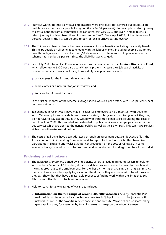- **9.10** Journeys within 'normal daily travelling distance' were previously not covered but could still be prohibitively expensive for people living on JSA (£43–£54 per week). For example, a return journey to central London from a commuter area can often cost £10–£20, and even in small towns, a return journey involving two different buses can be £5–£6. Since April 2002, at the discretion of personal advisers, the TIS can be used to pay for local journeys costing over £4.
- **9.11** The TIS has also been extended to cover claimants of more benefits, including Incapacity Benefit. This helps people on all benefits to engage with the labour market, including people that do not have the obligations to do so placed on JSA claimants. The total number of applications to the scheme has risen by 36 per cent since the eligibility was changed.
- **9.12** Since July 2001, New Deal Personal Advisers have been able to use the **Adviser Discretion Fund**, which allows up to  $£300$  per participant<sup>105</sup> to help them increase their job search activity or overcome barriers to work, including transport. Typical purchases include:
	- $\bullet$  a travel pass for the first month in a new job;
	- work clothes or a new suit for job interviews; and
	- tools and equipment for work.

In the first six months of the scheme, average spend was  $£63$  per person, with 16.5 per cent spent on transport items.

- **9.13** Tax changes in recent years have made it easier for employers to help their staff with travel to work. When employers provide buses to work for staff, or bicycles and motorcycle facilities, they do not have to pay tax on this, as they would with other staff benefits like refunding the costs of petrol. In April 2002, this tax relief was extended to public services – so employers can subsidise bus services which are open to the general public, as well as their own staff. This can make services viable that otherwise would not be.
- **9.14** The costs of rail travel have been addressed through an agreement between Jobcentre Plus, the Association of Train Operating Companies and Transport for London, which offers New Deal participants in England and Wales a 50 per cent reduction on the cost of rail travel. In some locations this agreement extends to bus travel and in London most underground travel is included.

### **Widening travel horizons**

- **9.15** The *Jobseeker's Agreement*, signed by all recipients of JSA, already requires jobseekers to look for work within a 'reasonable' travelling distance – defined as 'one hour either way by a route and means appropriate to the employment'. For the first six months of a claim, claimants can restrict the type of vacancies they apply for, including the distance they are prepared to travel, provided they can show that they have a reasonable prospect of finding work within the limits they set. After six months, these restrictions are reviewed.
- **9.16** Help to search for a wide range of vacancies includes:
	- **Information on the full range of around 400,000 vacancies** held by Jobcentre Plus nationwide can be accessed via touch-screen electronic 'Jobpoints' across the Jobcentre Plus network, as well as the 'Worktrain' telephone line and website. Vacancies can be searched by geographical area, for example, by touching areas of a map on the Jobpoint screen.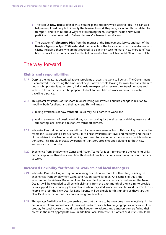- The various **New Deals** offer clients extra help and support while seeking jobs. This can also help unemployed people to identify the barriers to work they face, including those related to transport, and to think about ways of overcoming them. Examples include New Deal participants being referred to 'Wheels to Work' schemes in rural areas.
- The creation of **Jobcentre Plus** from the merger of the Employment Service and part of the Benefits Agency in April 2002 extended the benefits of the Personal Adviser to a wider range of clients including those who are not required to be actively seeking work. New merged offices have been set up in some areas, but the full national roll-out will take until 2006 to complete.

## The way forward

### **Rights and responsibilities**

- **9.17** Despite the measures described above, problems of access to work still persist. The Government is committed to increasing the amount of help it offers people looking for work to enable them to get to job opportunities. In return, individuals are expected to review their travel horizons and, with help from their adviser, be prepared to look for and take up work within a reasonable travelling distance.
- **9.18** This greater awareness of transport in jobsearching will involve a culture change in relation to mobility, both for clients and their advisers. This will mean:
	- raising awareness of how transport issues may be a barrier to work; and
	- raising awareness of possible solutions, such as paying for travel passes or driving lessons and supporting local demand-responsive transport services.
- **9.19** Jobcentre Plus training of advisers will help increase awareness of both. This training is adapted to reflect the issues facing particular areas. It will raise awareness of travel and mobility, and the role of the adviser in challenging and helping customers to overcome barriers to work, which include transport. This should increase awareness of transport problems and solutions for both new entrants and existing staff.
- **9.20** Experience from Employment Zones and Action Teams for Jobs for example the Working Links partnership in Southwark – shows how this kind of practical action can address transport barriers to work.

### **Increased flexibility for frontline workers and local managers**

- **9.21** Jobcentre Plus is looking at ways of increasing discretion for more frontline staff, building on experiences from Employment Zones and Action Teams for Jobs. An example of this is the extension of the Adviser Discretion Fund to new client groups, after successful use on the New Deals. It will be extended to all benefit claimants from the sixth month of their claim, to provide extra support for interviews, job search and when they start work, and can be used for travel costs. People who join the New Deal for Lone Parents will be eligible for this funding as they start the New Deal, whether or not they are claiming any benefits.
- **9.22** This greater flexibility will in turn enable transport barriers to be overcome more effectively. As the nature and relative importance of transport problems vary between geographical areas and client groups, Personal Advisers should have the freedom to address any transport barriers facing their clients in the most appropriate way. In addition, local Jobcentre Plus offices or districts should be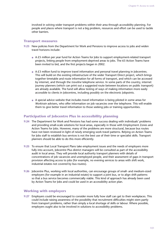involved in solving wider transport problems within their area through accessibility planning. For people and places where transport is not a big problem, resources and effort can be used to tackle other barriers.

#### **Transport measures**

- **9.23** New policies from the Department for Work and Pensions to improve access to jobs and widen travel horizons include:
	- A £5 million per year fund for Action Teams for Jobs to support employment-related transport projects, linking people from employment-deprived areas to jobs. The 63 Action Teams have been invited to bid, and the first projects began in 2002.
	- A £3 million fund to improve travel information and personal travel planning in Jobcentres. This will build on the existing infrastructure of the wider Transport Direct project, which brings together timetable and route information for all forms of transport, and which can be accessed by internet, and through the *traveline* telephone service. In some parts of the country, internet journey planners (which can print out a suggested route between locations on public transport) are already available. The fund will allow testing of ways of making information more easily accessible to clients in Jobcentres, including possibly on the electronic Jobpoints.
	- A special advice website that includes travel information is being piloted in some areas for *Worktrain* advisers, who offer information on job vacancies over the telephone. This will enable them to give better travel information to those seeking jobs or training opportunities.

### **Participation of Jobcentre Plus in accessibility planning**

- **9.24** The Department for Work and Pensions has had some success dealing with individuals' problems and providing small-scale solutions for local areas, especially in those with Employment Zones and Action Teams for Jobs. However, many of the problems are more structural, because bus routes have not been reviewed in light of newly emerging work travel patterns. Relying on Action Teams for Jobs staff to establish bus services is not the best use of their time or specialist skills. Transport planners should be able to do this more efficiently.
- **9.25** To ensure that Local Transport Plans take employment issues and the needs of employers more fully into account, Jobcentre Plus district managers will be consulted as part of the accessibility audit in local areas. They will provide local authority transport planners with details of concentrations of job vacancies and unemployed people, and their assessment of gaps in transport provision affecting access to jobs (for example, no evening services to areas with shift work, industrial estates not covered by bus routes).
- **9.26** Jobcentre Plus, working with local authorities, can encourage groups of small- and medium-sized employers (for example in an industrial estate) to support a joint bus, or to align shift patterns so that a bus service becomes commercially viable. This kind of approach has already been used by Action Teams for Jobs and could be used in an accessibility action plan.

#### **Working with employers**

**9.27** Employers could be encouraged to consider more fully how staff can get to their workplaces. This could include raising awareness of the possibility that recruitment difficulties might stem partly from transport problems, rather than simply a local shortage of skills or labour. Where possible, employers ought also to be involved in solutions to accessibility problems.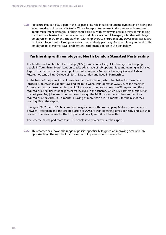**9.28** Jobcentre Plus can play a part in this, as part of its role in tackling unemployment and helping the labour market to function efficiently. Where transport issues arise in discussions with employers about recruitment strategies, officials should discuss with employers possible ways of minimising transport as a barrier to customers getting work. Local Account Managers, who deal with large employers on recruitment, should work with employers to ensure that any travel issues raised are fed back into Jobcentre Plus operations and accessibility planning. An example of joint work with employers to overcome travel problems in recruitment is given in the box below.

## **Partnership with employers, North London Stansted Partnership**

The North London Stansted Partnership (NLSP), has been tackling skills shortages and helping people in Tottenham, North London to take advantage of job opportunities and training at Stansted Airport. The partnership is made up of the British Airports Authority, Haringey Council, Urban Futures, Jobcentre Plus, College of North East London and Reed in Partnership.

At the heart of the project is an innovative transport solution, which has helped to overcome jobseekers' reservations about travelling 40km to work. Train operator WAGN runs the Stansted Express, and was approached by the NLSP to support the programme. WAGN agreed to offer a reduced price rail ticket for all jobseekers involved in the scheme, which key partners subsidise for the first year. Any jobseeker who has been through the NLSP programme is then entitled to a reduced price railcard (£60 a month, a saving of more than  $£150$  a month), for the rest of their working life at the airport.

In August 2002 the NLSP also completed negotiations with bus company Meteor to run services between Tottenham and the airport outside of WAGN's train operating times, for early and late shift workers. The travel is free for the first year and heavily subsidised thereafter.

The scheme has helped more than 190 people into new careers at the airport.

**9.29** This chapter has shown the range of policies specifically targeted at improving access to job opportunities. The next looks at measures to improve access to education.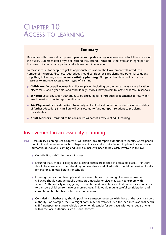# CHAPTER 10 ACCESS TO LEARNING

## **Summary**

Difficulties with transport can prevent people from participating in learning or restrict their choice of the quality, subject matter or type of learning they attend. Transport is therefore an integral part of the drive to increase participation and achievement in education.

To make it easier for people to get to appropriate education, the Government will introduce a number of measures. First, local authorities should consider local problems and potential solutions for getting to learning as part of **accessibility planning**. Alongside this, there will be specific measures to improve access to each type of learning:

- **Childcare:** An overall increase in childcare places, including on the same site as early education places for 3- and 4-year-olds and other family services; new powers to locate childcare in schools.
- **Schools:** Local education authorities to be encouraged to introduce pilot schemes to test wider free home-to-school transport entitlements.
- **16–19-year-olds in education:** New duty on local education authorities to assess accessibility of further education; £14 million will be allocated to fund transport solutions to problems they identify.
- **Adult learners:** Transport to be considered as part of a review of adult learning.

## Involvement in accessibility planning

- **10.1** Accessibility planning (see Chapter 5) will enable local transport authorities to identify where people find it difficult to access schools, colleges or childcare and to put solutions in place. Local education authorities (LEAs) and Learning and Skills Councils will need to be closely involved in this by:
	- Contributing data<sup>106</sup> to the audit stage.
	- Ensuring that schools, colleges and evening classes are located in accessible places. Transport should be considered when deciding on new sites, or adult education could be provided locally, for example, in local libraries or schools.
	- Ensuring that learning takes place at convenient times. The timing of evening classes or childcare should consider public transport timetables or LEAs may want to explore with schools<sup>107</sup> the viability of staggering school start and finish times so that one vehicle can be used to transport children from two or more schools. This would require careful consideration and consultation but has been effective in some areas.
	- Considering whether they should pool their transport resources with those of the local transport authority. For example, the LEA might contribute the vehicles used for special educational needs (SEN) transport to a single vehicle pool or jointly tender for contracts with other departments within the local authority, such as social services.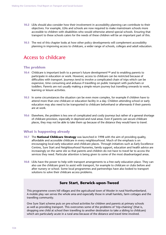- **10.2** LEAs should also consider how their involvement in accessibility planning can contribute to their objectives. For example, LEAs and schools are now required to make mainstream schools more accessible to children with disabilities who would otherwise attend special schools. Ensuring that transport to these schools caters for the needs of these children will be an important part of this.
- **10.3** The rest of this chapter looks at how other policy developments will complement accessibility planning in improving access to childcare, a wider range of schools, colleges and adult education.

## Access to childcare

#### **The problem**

- **10.4** Childcare is important both to a person's future development108 and to enabling parents to participate in education or work. However, access to childcare can be restricted because of difficulties with transport. Journeys tend to involve a complicated chain of trips which can be expensive, time consuming and arduous if travelling on public transport with pushchairs or toddlers. Parents are not usually making a simple return journey but travelling onwards to work, learning or leisure activities.
- **10.5** In some circumstances the situation can be even more complex, for example if children have to attend more than one childcare or education facility in a day. Children attending school or early education may also need to be transported to childcare beforehand or afterwards if their parents are at work.
- **10.6** Elsewhere, the problem is less one of complicated and costly journeys but rather of a general shortage of childcare provision, especially in deprived and rural areas. Even if parents can secure childcare places, they may not be able to take them up because of the distance they would have to travel.

### **What is happening already**

- **10.7** The **National Childcare Strategy** was launched in 1998 with the aim of providing quality, affordable and accessible childcare in every neighbourhood. Much of the emphasis is on encouraging local early education and childcare places. Through initiatives such as Early Excellence Centres, Sure Start and Neighbourhood Nurseries, family support, education and health advice are increasingly on the same site so that parents and children do not have to travel far to access the services they need. Particular attention is being given to some of the most disadvantaged areas.
- **10.8** LEAs have the power to help with transport arrangements to a free early education place. They can also use the childcare grant to assist with transport, for example to childcare or clubs before and after nursery or school. Some local programmes and partnerships have also looked to transport solutions to solve their childcare access problems.

## **Sure Start, Berwick-upon-Tweed**

This programme covers hill villages and the agricultural town of Wooler in rural Northumberland. A mobile play van serves the whole area and especially those in small hamlets, farm cottages and the travelling community.

One Sure Start scheme puts on pre-school activities for children and parents at primary schools as well as providing transport. This overcomes some of the problems of 'trip-chaining' (that is, dropping one child at school then travelling to another destination to take a sibling to childcare) which are particularly acute in a rural area because of the distance and travel time involved.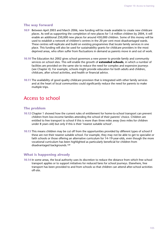#### **The way forward**

- **10.9** Between April 2003 and March 2006, new funding will be made available to create new childcare places. As well as supporting the completion of new places for 1.6 million children by 2004, it will enable an additional 250,000 new places for around 450,000 children. Some of this money will be used to establish a network of children's centres in the 20 per cent most disadvantaged wards. These centres will replicate and build on existing programmes that locate family services in one place. This funding will also be used for sustainability grants for childcare providers in the most deprived areas, who often suffer from fluctuations in demand as parents move in and out of work.
- **10.10** The Education Act 2002 gives school governors a new power to provide family and community services on school sites. This will enable the growth of **extended schools**, in which a number of facilities are provided on the same site to reduce the need for complex and expensive journeys (see Chapter 4). For example, schools might provide education for both adults and children, childcare, after school activities, and health or financial advice.
- **10.11** The availability of good quality childcare provision that is integrated with other family services and at the heart of local communities could significantly reduce the need for parents to make multiple trips.

## Access to school

#### **The problem**

- **10.12** Chapter 1 showed how the current rules of entitlement for home-to-school transport can prevent children from low-income families attending the school of their parents' choice. Children are entitled to free transport to school if this is more than three miles away (two miles for children under 8 years old) but only if this is their 'nearest suitable school'.
- **10.13** This means children may be cut off from the opportunities provided by different types of school if these are not their nearest suitable school. For example, they may not be able to get to specialist or faith schools or those offering an alternative curriculum for 14–19-year-olds, even though the more vocational curriculum has been highlighted as particularly beneficial for children from disadvantaged backgrounds.109

### **What is happening already**

**10.14** In some areas, the local authority uses its discretion to reduce the distance from which free school transport applies or to support initiatives for reduced fares for school journeys. Elsewhere, free transport has been provided to and from schools so that children can attend after-school activities off-site.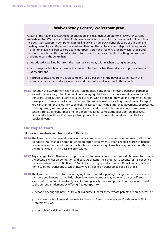## **Wolves Study Centre, Wolverhampton**

As part of the national Department for Education and Skills (DfES) programme *Playing for Success*, Wolverhampton Wanderers Football Club provides an after-school club for local school children. This includes study support in computer training, literacy and numeracy alongside tours of the club and meeting team players. 98 per cent of children attending the centre are from deprived backgrounds. In order to enable children to participate, transport is provided free of charge between schools and the centre, which is in the football stadium. To reduce the significant costs of putting on buses and providing escorts the centre has:

- introduced a walking bus from the most local schools, with teachers acting as escorts;
- encouraged schools which are further away to lay on coaches themselves or to provide teachers as escorts; and
- secured sponsorship from a local company for 50 per cent of the travel costs. In return the company receives advertising in and around the centre and in letters to the schools.
- **10.15** Although the Government has not yet systematically considered removing transport barriers to accessing education, it has invested in encouraging children to use more sustainable modes of transport. Local authorities are now asked to work with schools to draw up and implement school travel plans. These are packages of measures to promote walking, cycling, use of public transport and car-sharing for the journey to school. Measures may include improved pavements or crossings, 'walking buses', secure cycle parking and lockers, and changing bus services – to pass nearer to schools, run at different times or offer discounted fares. Some authorities also run improved, dedicated school buses that have pick-up points close to home, allocated seats, seatbelts and regular drivers.

### **The way forward**

#### **Pilot new home-to-school transport entitlements**

- **10.16** The Government has already embarked on a comprehensive programme of improving all schools. Alongside this, changed home-to-school transport entitlements could enable children to benefit from education in specialist or faith schools, or those offering alternative ways of learning through the more flexible 14–19-year-old curriculum.
- **10.17** Any changes to entitlements to improve access for low-income groups would also need to consider the potential effect on congestion and cost. At present, the school run accounts for 16 per cent of traffic on urban roads at 8.50am.<sup>110</sup> And LEAs currently spend around £530 million per year on home-to-school transport, of which nearly half is spent on transport to special schools.
- **10.18** The Government is therefore encouraging LEAs to consider piloting changes to home-to-school transport entitlement, particularly where low-income groups may otherwise be cut off from successful schools or alternative types of learning locally. For example, an LEA may want to add to the current entitlement by offering free transport to:
	- schools offering the new 14–19-year-old curriculum for those whose parents are on benefits; or
	- any chosen school beyond one mile for those on free school meals and/or those with SEN statements; or
	- after-school activities for all children.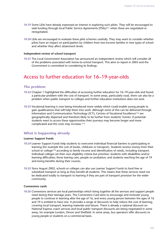- **10.19** Some LEAs have already expressed an interest in exploring such pilots. They will be encouraged to seek funding through local Public Service Agreements (PSAs)111 when these are negotiated or renegotiated.
- **10.20** LEAs are encouraged to evaluate these pilot schemes carefully. They may want to consider whether pilots have an impact on participation by children from low-income families in new types of school and whether they affect attainment levels.

#### **Independent review of school transport**

**10.21** The Local Government Association has announced an independent review which will consider all of the problems associated with home-to-school transport. This aims to report in 2003 and the Government is committed to considering its findings.

## Access to further education for 16–19-year-olds

### **The problem**

- **10.22** Chapter 1 highlighted the difficulties of accessing further education for 16–19-year-olds and found a particular problem with the cost of transport. In some areas, particularly rural, there can also be a problem when public transport to colleges and further education institutions does not exist.
- **10.23** Vocational learning is now being introduced more widely which could enable young people to gain qualifications that will help them into work. Although some of this can be delivered through Information and Communication Technology (ICT), Centres of Vocational Excellence112 are geographically dispersed and therefore likely to be further from students' homes. If potential students want to access these opportunities their journeys may become longer and more complicated and the costs may increase.113

### **What is happening already**

#### **Learner Support Funds**

- **10.24** Learner Support Funds help students to overcome individual financial barriers to participating in learning (for example the cost of books, childcare or transport). Students receive money from their school or college<sup>114</sup> according to family income and identification of needs, including transport. Individual colleges set their own eligibility criteria but prioritise: students with disabilities and/or learning difficulties; those leaving care; people on probation; and students reaching the age of 19 and losing benefits during their courses.
- **10.25** Since August 2002, schools or colleges can also use Learner Support Funds to fund free or subsidised transport as long as they benefit all students. This means that these services need not be dedicated totally to transport to learning if they are part of transport provision for the wider community.

#### **Connexions cards**

**10.26** Connexions services are local partnerships which bring together all the services and support people need during their teenage years. The Connexions Card aims to encourage and motivate young people to continue in learning after the age of 16, and every young person between the ages of 16 and 19 is entitled to have one. It provides a range of discounts to help reduce the cost of learning, covering local transport, learning materials and leisure. There is already a national discount on National Express coach services and local public transport discounts are being negotiated in some areas, for example London, Devon and Sheffield. In some areas, bus operators offer discounts to young people or students on a commercial basis.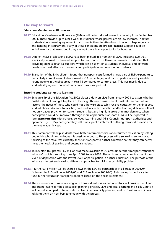#### **The way forward**

#### **Education Maintenance Allowances**

- **10.27** Education Maintenance Allowances (EMAs) will be introduced across the country from September 2004. These provide up to £30 a week to students whose parents are on low incomes. In return, students sign a learning agreement that commits them to attending school or college regularly and handing in coursework. If any of these conditions are broken financial support could be withdrawn for that week, but if they are kept there is an opportunity for bonuses.
- **10.28** Different ways of allocating EMAs have been piloted in a number of LEAs, including two that specifically focused on financial support for transport costs. However, evaluation indicated that providing general financial support, which can be spent on a student's individual and different needs, was most effective in encouraging participation and retention of students.
- **10.29** Evaluation of the EMA pilots<sup>115</sup> found that transport costs formed a large part of EMA expenditure, particularly in rural areas. It also showed a 7.3 percentage point gain in participation by eligible young people in the pilot areas in Year 13 compared to control areas. This was mostly due to students staying on who would otherwise have dropped out.

#### **Ensuring students can get to learning**

- **10.30** Schedule 19 of the Education Act 2002 places a duty on LEAs from January 2003 to assess whether post-16 students can get to places of learning. This needs assessment must take account of five factors: the needs of those who could not otherwise practicably receive education or training; cost; student choice; distance to facilities; and students with disabilities and/or learning difficulties. It will not only gauge provision for current students but also highlight areas of unmet demand, where participation could be improved through more appropriate transport. LEAs will be expected to form **partnerships** with schools, colleges, Learning and Skills Councils, transport authorities and operators. By 31 May each year they will issue a public statement outlining transport provision for the next academic year.
- **10.31** This statement will help students make better informed choices about further education by setting out which schools and colleges it is possible to get to. The process will also lead to an improved focusing of the resources currently spent on transport to further education so that they can better meet the needs of existing and potential students.
- **10.32** To kick-start this process, £9 million was made available to 70 areas under the 'Transport Pathfinder Initiative', which is running from April 2002 to July 2003. These chosen areas combine the highest levels of deprivation with the lowest levels of participation in further education. The purpose of the initiative is to test and develop different approaches to solving accessibility problems.
- **10.33** A further £14 million will be shared between the LEA-led partnerships in all areas in 2003/04 (followed by £13 million in 2004/05 and £12 million in 2005/06). This money is specifically to fund further education transport solutions based on the needs assessment.
- **10.34** The experience of LEAs in working with transport authorities and operators will provide useful and important lessons for the accessibility planning process. LEAs and local Learning and Skills Councils will be well equipped to be actively involved in accessibility planning and DfES will issue a circular advising them on how best to engage with the process.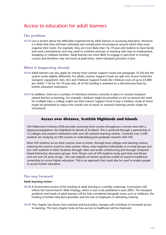## Access to education for adult learners

#### **The problem**

**10.35** Less is known about the difficulties experienced by adult learners in accessing education. However, it is likely that they will have individual and complicated circumstances around which they must organise their travel. For example, they are more likely than 16–19-year-old students to have family and work commitments and may need to combine journeys to learning with trips to employment, shopping or childcare facilities. Adult learners are more likely to engage in part-time or evening courses and therefore may not travel at peak times, when transport provision is best.

#### **What is happening already**

- **10.36** Adult learners can also apply for money from Learner Support Funds (see paragraph 10.24) but the system works slightly differently. For adults, Learner Support Funds are split into Access Funds (for transport, equipment, fees, etc) and Childcare Support Funds (for childcare costs of up to £4,000 per child).116 As for 16–19-year-olds, all of this funding is awarded on a discretionary basis by further education institutions.
- **10.37** In addition, there are a number of individual schemes currently in place to combat transportrelated barriers to learning. For example, childcare might be provided on site to remove the need for multiple trips; a college might use their Learner Support Fund to buy a minibus; study at home might be permitted to reduce the overall cost of travel; or outreach learning centres might be introduced.

## **Access over distance, Scottish Highlands and Islands**

UHI Millennium Institute (UHI) provides university-level courses throughout a remote area with a dispersed population: the Highlands & Islands of Scotland. This is achieved through a partnership of 15 colleges and research institutions with over 50 outreach learning centres. Currently over 5,500 students are studying on UHI courses or undertaking post-graduate research with UHI.

Most UHI students access their courses close to home, through local colleges and learning centres, reducing the need to travel to main centres. Many come together individually or in small groups and join with students in other locations through video and audio conferencing and through computerbased interactive discussion groups. Over 50 per cent of UHI students study part-time and 60 per cent are over 25 years of age – the vast majority of whom would be unable to travel to traditional universities to access higher education. This is an approach that could also be used to enable people to access further education.

### **The way forward**

#### **Adult learning review**

- **10.38** A Government review of the funding of adult learning is currently underway. Conclusions will inform the Government's Skills Strategy, which is due to be published in June 2003. The transport problems and needs of adult learners will be fully considered alongside issues such as childcare, the funding of further education providers and the role of employers in delivering training.
- **10.39** This chapter has shown how national and local policy changes will contribute to increased access to learning. The next chapter looks at how access to healthcare will be improved.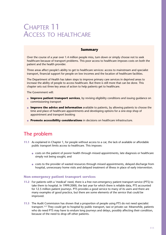# CHAPTER 11 ACCESS TO HEALTHCARE

# **Summary**

Over the course of a year over 1.4 million people miss, turn down or simply choose not to seek healthcare because of transport problems. This poor access to healthcare imposes costs on both the patient and the health provider.

Three areas affect people's ability to get to healthcare services: access to mainstream and specialist transport, financial support for people on low incomes and the location of healthcare facilities.

The Department of Health has taken steps to improve primary care services in deprived areas to increase the ability of people to access healthcare. But there is still more that can be done. This chapter sets out three key areas of action to help patients get to healthcare.

The Government will:

- **Improve patient transport services**, by revising eligibility conditions and issuing quidance on commissioning transport
- **Improve the advice and information** available to patients, by allowing patients to choose the time and place of healthcare appointments and developing options for a one-stop shop of appointment and transport booking
- **Promote accessibility considerations** in decisions on healthcare infrastructure.

# The problem

- **11.1** As explained in Chapter 1, for people without access to a car, the lack of available or affordable public transport limits access to healthcare. This imposes:
	- costs on the patient of poorer health through missed appointments, late diagnosis or healthcare simply not being sought; and
	- costs to the provider of wasted resources through missed appointments, delayed discharge from hospital, unnecessary home visits and delayed treatment of illness in place of early intervention.

#### **Non-emergency patient transport services**

- **11.2** For patients with a 'medical' need, there is a free non-emergency patient transport service (PTS) to take them to hospital. In 1999/2000, the last year for which there is reliable data, PTS accounted for 12.5 million patient journeys. PTS provides a good service to many of its users and there are many examples of good practice, but there are some elements of the service that could be improved.
- **11.3** The Audit Commission has shown that a proportion of people using PTS do not need specialist transport.117 They could get to hospital by public transport, taxi or private car. Meanwhile, patients who do need PTS may have to endure long journeys and delays, possibly affecting their condition, because of the need to drop off other patients.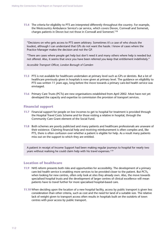**11.4** The criteria for eligibility to PTS are interpreted differently throughout the country. For example, the Westcountry Ambulance Service's car service, which covers Devon, Cornwall and Somerset, charges patients in Devon but not those in Cornwall and Somerset.118

"Decisions on who gets access to PTS seem arbitrary. Sometimes it's a case of who shouts the loudest, although I can understand that GPs do not want the hassle. I know of cases where the Practice Manager makes the decision and not the GP.

"There are cases where people get help but don't need it and many others where help is needed but not offered. Also, it seems that once you have been referred you keep that entitlement indefinitely."

*Accessible Transport Officer, London Borough of Camden*

- **11.5** PTS is not available for healthcare undertaken at primary level such as GPs or dentists. But a lot of healthcare previously given in hospitals is now given at primary level. The guidance on eligibility to PTS was written 11 years ago, long before the move towards a primary care-led health service was envisaged.
- **11.6** Primary Care Trusts (PCTs) are new organisations established from April 2002. Most have not yet developed the capacity and expertise to commission the provision of transport services.

#### **Financial support**

- **11.7** Financial support for people on low incomes to get to hospital for treatment is provided through the Hospital Travel Costs Scheme and for those visiting a relative in hospital, through the Community Care Grant element of the Social Fund.
- **11.8** Both schemes are poorly publicised and many patients and healthcare professionals are unaware of their existence. Claiming financial help and receiving reimbursement is often complex and, like PTS, there is often confusion over whether a patient is eligible for help. As a result many patients miss out on the support to which they are entitled.

A patient in receipt of Income Support had been making regular journeys to hospital for nearly two years without realising he could claim help with his travel expenses.119

#### **Location of healthcare**

- **11.9** NHS reform presents both risks and opportunities for accessibility. The development of a primary care-led health service is enabling more services to be provided closer to the patient. But PCTs, when looking for new centres, often only look at sites they already own. Also, the move towards specialised hospital trusts and the development of larger centres of clinical excellence will mean patients have to travel further for more specialised hospital-based care.
- **11.10** When deciding upon the location of a new hospital facility, access by public transport is given less consideration than other criteria, such as cost and the need for land of a suitable size. The relative lack of weight given to transport access often results in hospitals built on the outskirts of town centres with poor access by public transport.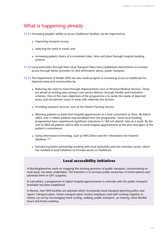# What is happening already

**11.11** Increasing people's ability to access healthcare facilities can be improved by:

- improving transport access;
- $\bullet$  reducing the need to travel; and
- increasing patient choice of a convenient date, time and place through hospital booking systems.
- **11.12** Local authorities through their Local Transport Plans have established interventions to increase access through better provision of, and information about, public transport.
- **11.13** The Department of Health (DH) has also made progress in increasing access to healthcare for deprived areas and communities by:
	- Reducing the need to travel through improvements such as Personal Medical Services. These are aimed at tackling poor primary care service delivery through flexible and innovative schemes. One of the main objectives of the programme is to tackle the needs of deprived areas, and recruitment issues in areas with relatively few doctors.
	- Providing outreach services, such as the District Nursing Service.
	- Allowing patients to book their hospital appointment at a time convenient to them. By March 2002, over 5 million patients had benefited from the programme. Some local booking programmes have experienced significant reductions in 'did not attend' rates as a result. By the end of 2005 all patients will be able to book hospital appointments at the time and place of the patient's convenience.
	- Using information technology, such as NHS Direct and the 'Information for Patients' database.120
	- Introducing better partnership working with local authorities and the voluntary sector, which has resulted in local initiatives to increase access to healthcare.

# **Local accessibility initiatives**

In Buckinghamshire work on mapping the existing provision of public transport, concentrating on rural areas, has been undertaken. The intention is to increase public awareness of travel options and advertise them in GPs' surgeries.

In Lancashire, a programme to adjust hospital appointments to coincide with the public transport timetable has been established.

In Barnet, new NHS facilities are planned which incorporate local transport planning policy and 'green' transport plans. Green transport plans involve employers and staff working together to reduce car use by encouraging more cycling, walking, public transport, car sharing, more flexible hours and home-working.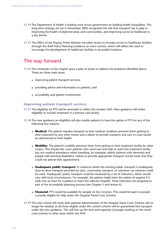- **11.14** The Department of Health is leading work across government on tackling health inequalities. The long-term strategy set out in November 2002 recognised the role that transport has to play in improving the health of deprived areas and communities, and improving access to healthcare is a key theme.
- **11.15** The Office of the Deputy Prime Minister has taken action to increase access to healthcare facilities through the draft Policy Planning Guidance on town centres, which will reflect the need to encourage the development of healthcare facilities in accessible locations.

# The way forward

- **11.16** The remainder of this chapter gives a plan of action to address the problems identified above. There are three main areas:
	- **•** improving patient transport services;
	- providing advice and information to patients; and
	- accessibility and patient involvement.

#### **Improving patient transport services**

- **11.17** The eligibility for PTS will be amended to reflect the modern NHS. New guidance will widen eligibility to include treatment in a primary care facility.
- **11.18** The new guidance on eligibility will also enable patients to have the option of PTS for any of the following four reasons:
	- **Medical:** The patient requires transport as their medical condition prevents them getting to their treatment by any other means and a failure to provide transport and care *en route* would be detrimental to their health.
	- **Mobility:** The patient's mobility prevents them from getting to their treatment facility by other means. This should also cover patients who need care and help to reach the treatment facility but not medical attendance when travelling, for example, elderly patients with dementia and people with learning disabilities. Failure to provide appropriate transport would mean that they could not attend their appointment.
	- **Inadequate public transport:** In instances where the existing public transport is inadequate, door-to-door transport provided by taxis, community transport, or volunteer car schemes could be used. 'Inadequate' public transport could be measured by a set of indicators, which would vary with local circumstances. For example, the patient might have the option of support if it took over an hour for a patient to reach the relevant hospital. These indicators are proposed as part of the accessibility planning process (see Chapter 5 and Annex A).
	- **Financial:** PTS would be available for people on low incomes. This would be open to people currently eligible for help under the Hospital Travel Costs Scheme.
- **11.19** The new criteria will mean that separate administration of the Hospital Travel Costs Scheme will no longer be needed, as all those eligible under the current scheme will be guaranteed free transport under the new guidance. This will free up the time and expertise of people working on the travel costs scheme to other areas within the NHS.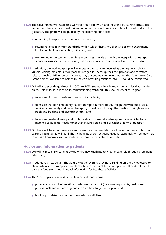- **11.20** The Government will establish a working group led by DH and including PCTs, NHS Trusts, local authorities, strategic health authorities and other transport providers to take forward work on this guidance. The group will be guided by the following principles:
	- organising transport services around the patient;
	- setting national minimum standards, within which there should be an ability to experiment locally and build upon existing initiatives; and
	- maximising opportunities to achieve economies of scale through the integration of transport services across sectors and ensuring patients use mainstream transport wherever possible.
- **11.21** In addition, the working group will investigate the scope for increasing the help available for visitors. Visiting patients is widely acknowledged to speed up their recuperation and therefore release valuable NHS resources. Alternatively, the potential for incorporating the Community Care Grant element available to help with the cost of visiting relations into PTS could be considered.
- **11.22** DH will also provide guidance, in 2003, to PCTs, strategic health authorities and local authorities on the role of PCTs in relation to commissioning transport. This should reflect three goals:
	- to ensure high and consistent standards for patients;
	- to ensure that non-emergency patient transport is more closely integrated with pupil, social services, community and public transport, in particular through the creation of single vehicle pools and booking and dispatch centres; and
	- to ensure greater diversity and contestability. This would enable appropriate vehicles to be matched to patients' needs rather than reliance on a single provider or form of transport.
- **11.23** Guidance will be non-prescriptive and allow for experimentation and the opportunity to build on existing initiatives. It will highlight the benefits of competition. National standards will be drawn up to act as a framework within which PCTs would be expected to operate.

#### **Advice and information to patients**

- **11.24** DH will help to make patients aware of the new eligibility to PTS, for example through prominent advertising.
- **11.25** In addition, a new system should grow out of existing provision. Building on the DH objective to allow patients to book appointments at a time convenient to them, options will be developed to deliver a 'one-stop-shop' in travel information for healthcare facilities.
- **11.26** The 'one-stop-shop' would be easily accessible and would:
	- provide advice and information to whoever requests it (for example patients, healthcare professionals and welfare organisations) on how to get to hospital; and
	- book appropriate transport for those who are eligible.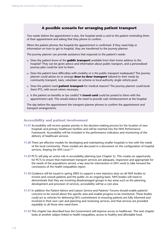# **A possible scenario for arranging patient transport**

Two weeks before the appointment is due, the hospital sends a card to the patient reminding them of their appointment and asking that they phone to confirm.

When the patient phones the hospital the appointment is confirmed. If they need help or information on how to get to hospital, they are transferred to the journey planner.

The journey planner can provide assistance that responds to the patient's needs:

- Does the patient know of the **public transport** available from their home address to the hospital? They can be given advice and information about public transport, and a personalised journey plan could be sent to them.
- Does the patient have difficulties with mobility or is the public transport inadequate? The journey planner could advise on or arrange **door-to-door transport** tailored to their needs by community transport, taxis, volunteer car scheme or local authority single vehicle pool.
- Does the patient need **patient transport** for medical reasons? The journey planner could book them PTS, with escort where necessary.
- Is the patient on benefits or tax credits? A **travel card** could be posted to them with the appointment card. This would reduce the need to provide cash reimbursement at the hospital.

The day before the appointment the transport planner phones to confirm the appointment and transport arrangements.

## **Accessibility and patient involvement**

- **11.27** Accessibility will receive greater priority in the decision-making process for the location of new hospitals and primary healthcare facilities and will be inserted into the NHS Performance Framework. Accessibility will be included in the performance indicators and monitoring of the delivery of healthcare services.
- **11.28** There are effective models for developing and maintaining smaller hospitals in line with the needs of the local community. These models are discussed in a document on the configuration of hospital services, *Keeping the NHS Local*.121
- **11.29** PCTs will play an active role in accessibility planning (see Chapter 5). This creates an opportunity for PCTs to ensure that mainstream transport services are adequate, responsive and appropriate for the needs of the populations served, a key area for intervention in DH's work to take forward the conclusions of the health inequalities report.
- **11.30** Guidance will be issued in spring 2003 to support a new statutory duty on all NHS bodies to involve and consult patients and the public on an ongoing basis. NHS bodies will need to demonstrate that they are involving disadvantaged groups in key areas such as the planning, development and provision of services; accessibility will be a core area.
- **11.31** In addition the Patient Advice and Liaison Service and Patients' Forums should enable patients' concerns to be voiced about this specific area and enable progress to be monitored. These bodies could act as vehicles for delivering DH's commitment to ensuring patients are fully informed and involved in their own care and planning and reviewing services, and that services are provided equitably to all those who need them.
- **11.32** This chapter has described how the Government will improve access to healthcare. The next chapter looks at another subject linked to health inequalities, access to healthy and affordable food.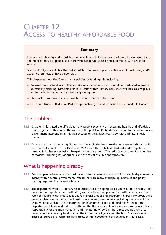# CHAPTER 12 ACCESS TO HEALTHY AFFORDABLE FOOD

## **Summary**

Poor access to healthy and affordable food affects people facing social exclusion, for example elderly and mobility-impaired people and those who live in rural areas or isolated estates with few local services.

A lack of locally available healthy and affordable food means people either need to make long and/or expensive journeys, or have a poor diet.

This chapter sets out the Government's policies for tackling this, including:

- An assessment of food availability and strategies to widen access should be considered as part of accessibility planning. Directors of Public Health within Primary Care Trusts will be asked to play a leading role with other partners in championing this.
- The Small Firms Loan Guarantee will be extended to the retail sector.
- Crime and Disorder Reduction Partnerships are being funded to tackle crime around retail facilities.

# The problem

- **12.1** Chapter 1 illustrated the difficulties many people experience in accessing healthy and affordable food, together with some of the causes of this problem. It also drew attention to the importance of government intervention in this area because of the link between poor diet and future health problems.
- **12.2** One of the major issues it highlighted was the rapid decline of smaller independent shops a 40 per cent reduction between 1986 and 1997 – with the probability that reduced competition has resulted in higher prices being charged by surviving shops. This reduction occurred for a number of reasons, including loss of business and the threat of crime and vandalism.

# What is happening already

- **12.3** Ensuring people have access to healthy and affordable food does not fall to a single department or agency within central government. Instead there are many overlapping initiatives and policymaking responsibilities across Whitehall.
- **12.4** The department with the primary responsibility for developing policies in relation to healthy food access is the Department of Health (DH) – due both to their preventive health agenda and their remit to reduce health inequalities between social groups and geographical areas. However, there are a number of other departments with policy interests in this area, including the Office of the Deputy Prime Minister, the Department for Environment Food and Rural Affairs (Defra); the Department of Trade and Industry (DTI) and the Home Office. In addition, various agencies have responsibility for the implementation and monitoring of policies that affect people's ability to access affordable healthy food, such as the Countryside Agency and the Food Standards Agency. These different policy responsibilities across central government are detailed in Figure 12.1.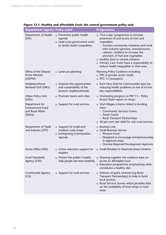| <b>Department/Agency Policy remit</b>                                     |                                                                                                         | <b>Programmes</b>                                                                                                                                                                                                                                                                                                                                                                                |
|---------------------------------------------------------------------------|---------------------------------------------------------------------------------------------------------|--------------------------------------------------------------------------------------------------------------------------------------------------------------------------------------------------------------------------------------------------------------------------------------------------------------------------------------------------------------------------------------------------|
| Department of Health<br>(DH)                                              | • Preventive public health<br>agenda<br>• Lead cross-government work<br>to tackle health inequalities   | 'Five-a-day' programme to increase<br>awareness of and access to fruit and<br>vegetables<br>- includes community initiatives and work<br>with industry (growers, manufacturers,<br>caterers, retailers) to increase the<br>provision of fruit and vegetables<br>• Healthy food in schools initiative<br>Primary Care Trusts have a responsibility to<br>reduce health inequalities in their area |
| Office of the Deputy<br><b>Prime Minister</b><br>(ODPM)                   | • Land-use planning                                                                                     | Planning Policy Guidance including:<br>PPG 6 (private sector retail)<br>PPG 13 (transport)                                                                                                                                                                                                                                                                                                       |
| Neighbourhood<br>Renewal Unit (NRU)                                       | Improve the opportunities<br>and sustainability of the<br>poorest neighbourhoods                        | Each New Deal for Communities area has<br>reducing health problems as one of its five<br>key responsibilities                                                                                                                                                                                                                                                                                    |
| Urban Policy Unit<br>(UPU)                                                | Promote towns and cities                                                                                | Overseeing progress on PAT 13 – Policy<br>Action Team report on shops                                                                                                                                                                                                                                                                                                                            |
| Department for<br><b>Environment Food</b><br>and Rural Affairs<br>(Defra) | Support for rural services                                                                              | • Vital Villages scheme linked to funding<br>from:<br>- Community Services Grants<br>- Parish Grants<br>- Rural Transport Partnerships<br>• 50 per cent rate relief for sole rural services                                                                                                                                                                                                      |
| Department of Trade<br>and Industry (DTI)                                 | • Support for small and<br>medium scale shops<br><b>Enterprising Communities</b><br>$\bullet$<br>agenda | <b>Business Link</b><br><b>Small Business Service</b><br>- Phoenix Fund<br>- Designed to encourage entrepreneurship<br>in deprived areas<br>- Oversee Regional Development Agencies                                                                                                                                                                                                              |
| Home Office (HO)                                                          | • Crime reduction support for<br>retailers                                                              | • Small Retailers in Deprived Areas initiative                                                                                                                                                                                                                                                                                                                                                   |
| <b>Food Standards</b><br>Agency (FSA)                                     | Protect the public's health;<br>help people eat more healthily                                          | Drawing together the evidence base on<br>access to affordable food<br>Education programmes emphasising what<br>$\bullet$<br>constitutes a healthy diet                                                                                                                                                                                                                                           |
| Countryside Agency<br>(CA)                                                | • Support for rural services                                                                            | Delivery of grant schemes (eg Rural<br>$\bullet$<br>Transport Partnerships) to help to fund<br>local services<br>Rural Services Survey which provides data<br>on the availability of food shops in rural<br>areas                                                                                                                                                                                |

# **Figure 12.1: Healthy and affordable food: the central government policy web**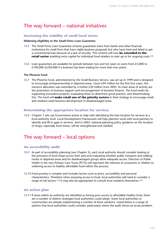# The way forward – national initiatives

# **Increasing the viability of small local stores**

#### **Widening eligibility to the Small Firms Loan Guarantee**

- **12.5** The Small Firms Loan Guarantee scheme guarantees loans from banks and other financial institutions for small firms that have viable business proposals but who have tried and failed to get a conventional loan because of a lack of security. This scheme will now **be extended to the retail sector** enabling extra capital for individual food retailers to start up or for ongoing costs.<sup>122</sup>
- **12.6** Loan guarantees are available for periods between two and ten years on sums from £5,000 to £100,000 (£250,000 if a business has been trading for more than two years).

#### **The Phoenix Fund**

**12.7** The Phoenix Fund, administered by the Small Business Service, was set up in 1999 and is designed to encourage entrepreneurship in deprived areas. Given  $E94$  million for the first four years, this resource allocation was extended by a further £50 million from 2003. Its main areas of activity are the promotion of business support and encouragement of business finance. The fund works by supporting innovative projects, evaluating these to determine good practice, and disseminating this. The fund will **make retail one of the priority sectors** in their strategy to encourage smalland medium-sized business development in disadvantaged areas.

## **Determining the appropriate location for services**

**12.8** Chapter 7 sets out Government action to help with identifying the best location for services at a local authority level. Local Development Frameworks will help planners work with local partners to identify and fill in gaps in services. And in 2003, national planning policy guidance on the location of shops, especially food stores, will be strengthened and clarified.

# The way forward – local options

#### **An accessibility audit**

- **12.9** As part of accessibility planning (see Chapter 5), each local authority should consider looking at the provision of food shops across their area and evaluating whether public transport and walking routes in deprived areas and for disadvantaged groups allow adequate access. Directors of Public Health in the new Primary Care Trusts (PCTs) will represent the interests of consumers in relation to widening access to healthy affordable food within this process.
- **12.10** Food poverty is complex and includes factors such as price, accessibility and personal characteristics. Therefore when assessing access to food, local authorities will need to consider a range of risk factors.<sup>123</sup> It may also be appropriate to consult local residents themselves.<sup>124</sup>

#### **An action plan**

**12.11** If areas within an authority are identified as having poor access to affordable healthy food, there are a number of distinct strategies local authorities could adopt. Some local authorities or communities are already implementing a number of these solutions. Listed below is a range of options that local authorities could consider, particularly where the audit shows an acute problem.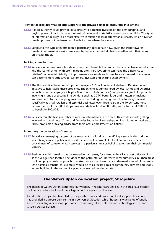#### **Provide tailored information and support to the private sector to encourage investment**

- **12.12** A local authority could provide data directly to potential investors on the demographics and buying power of particular areas, recent crime reduction statistics or new transport links. This type of information is likely to be most effective in relation to large supermarket chains, which have far greater powers of investment and flexibility over where they locate.
- **12.13** Supplying this type of information is particularly appropriate now, given the trend towards greater investment in low-income areas by larger supermarket chains together with their focus on smaller shops.

#### **Tackling crime barriers**

- **12.14** Retailers in deprived neighbourhoods may be vulnerable to criminal damage, violence, racial abuse and the fear of crime. With profit margins often very low, crime can make the difference to retailers' commercial viability. If improvements are made and crime levels addressed, these areas can become more attractive to customers, investors and existing shop owners.
- **12.15** The Home Office therefore set up the three-year £15 million Small Retailers in Deprived Areas initiative to help tackle these problems. The scheme is administered by local Crime and Disorder Reduction Partnerships (see Chapter 8 for more details on these) and provides grants for projects involving a range of security interventions such as CCTV, better locks and shutters or making improvements to the shopping environment including better lighting. The funding is aimed specifically at small retailers and essential businesses over three years in the 10 per cent most deprived areas. Over 3,000 shops have already benefited in 2001/02, with a further 4,500 set to benefit in 2002/03.
- **12.16** Retailers can also take a number of measures themselves in this area. This could include getting involved with their local Crime and Disorder Reduction Partnership; joining with other retailers to tackle problems or taking advice from their local Crime Prevention Officer.

#### **Promoting the co-location of services**

- **12.17** By actively managing patterns of development in a locality identifying a suitable site and then assembling a mix of public and private services – it is possible for local authorities to achieve a critical mass of complementary services in a particular area or building to ensure their commercial viability.
- **12.18** Traditionally this situation has developed in rural areas, for example the village post office serving as the village shop located next door to the petrol station. However, local authorities in urban areas could employ a similar approach to make creative use of empty or under-used sites within a centre. One possible scenario, for example, would be to co-locate a mix of community services and shops in one building in the centre of a poorly connected housing estate.

# **The Waters Upton co-location project, Shropshire**

The parish of Waters Upton comprises four villages. In recent years services in the area have steadily declined including the loss of the village school, shop and post office.

A co-location project has been led by the parish council and has strong local support. The council has provided a purpose-built centre in a convenient location which houses a wide range of public services including a new shop, post office, community office, Information Technology centre and Citizens Advice Bureau.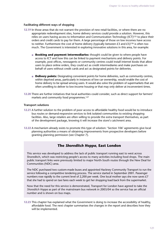#### **Facilitating different ways of shopping**

- **12.19** In those areas that do not warrant the provision of new retail facilities, or where there are no appropriate redevelopment sites, home delivery services could provide a solution. However, this relies on users having access to Information and Communication Technology (ICT)125 to place their orders and credit cards to pay for them. A large percentage of those on low incomes have access to neither. Furthermore the cost of home delivery (typically between  $\pounds 3$  and  $\pounds 5$ )<sup>126</sup> is often too much. The Government is interested in exploring innovative solutions in this area, for example:
	- **Booking and payment intermediaries:** thought could be given to where people have access to ICT and how this can be linked to payment mechanisms and delivery points. For example, post offices, newsagents or community centres could install internet kiosks that allow users to place online orders, they could act as credit intermediaries and make purchases on behalf of users without credit cards and act as designated points for deliveries.
	- **Delivery points:** Designating convenient points for home deliveries, such as community centres, within deprived areas, particularly in instances of low car ownership, would enable the cost of home delivery to be spread among users. It would also solve the problem of supermarkets that are often unwilling to deliver to low-income housing or that may only deliver at inconvenient times.
- **12.20** There are further initiatives that local authorities could consider, such as direct support for farmers' markets and community food programmes.127

#### **Transport solutions**

- **12.21** A further solution to the problem of poor access to affordable healthy food would be to introduce bus routes or demand-responsive services to link isolated communities to existing shopping facilities. Also, large retailers are often willing to provide the extra transport themselves, as part of the development package, knowing it will increase the store's catchment area.
- **12.22** A mechanism already exists to promote this type of solution: 'Section 106' agreements give local planning authorities a means of obtaining improvements from prospective developers before granting planning permission (see Chapter 7).

# **The** *Shoreditch Hoppa***, East London**

This service was developed to address the lack of public transport running east to west across Shoreditch, which was restricting people's access to many activities including food shops. The main public transport links were previously limited to major North-South routes through the New Deal for Communities (NDC) area.

The NDC purchased two custom-made buses and appointed Hackney Community Transport to run the service following a competitive tendering process. The service started in September 2001. Passenger numbers rose rapidly to the current level of 2,200 per week. One local mother says she now saves £7 that she had to spend on taxi fares each week to get her shopping load back from the supermarket.

Now that the need for this service is demonstrated, Transport for London have agreed to take the *Shoreditch Hoppa* as part of the mainstream bus network in 2003/04 so the service has an official number and is shown on bus maps.

**12.23** This chapter has explained what the Government is doing to increase the accessibility of healthy, affordable food. The next chapter summarises the changes in the report and describes how they will be implemented.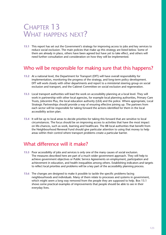# CHAPTER 13 WHAT HAPPENS NEXT?

**13.1** This report has set out the Government's strategy for improving access to jobs and key services to reduce social exclusion. The main policies that make up this strategy are listed below. Some of them are already in place, others have been agreed but have yet to take effect, and others will need further consultation and consideration on how they will be implemented.

# Who will be responsible for making sure that this happens?

- **13.2** At a national level, the Department for Transport (DfT) will have overall responsibility for implementation, monitoring the progress of the strategy, and long-term policy development. DfT will work closely with other departments and report to a ministerial steering group on social exclusion and transport, and the Cabinet Committee on social exclusion and regeneration.
- **13.3** Local transport authorities will lead the work on accessibility planning at a local level. They will work in partnership with other local agencies, for example local planning authorities, Primary Care Trusts, Jobcentre Plus, the local education authority (LEA) and the police. Where appropriate, Local Strategic Partnerships should provide a way of ensuring effective joining up. The partners from each sector will be responsible for taking forward the actions identified for them in the local accessibility action plan.
- **13.4** It will be up to local areas to decide priorities for taking this forward that are sensitive to local circumstances. The focus should be on improving access to activities that have the most impact on life-chances, such as work, learning and healthcare. The 88 local authorities that benefit from the Neighbourhood Renewal Fund should give particular attention to using that money to help areas within their control where transport problems create a particular barrier.

# What difference will it make?

- **13.5** Poor accessibility of jobs and services is only one of the many causes of social exclusion. The measures described here are part of a much wider government approach. They will help to achieve government objectives or Public Service Agreements on employment, participation and achievement in education, and health inequalities among others. Establishing indicators and targets to reflect local priorities and problems will be a key part of the accessibility planning process.
- **13.6** The changes are designed to make it possible to tackle the specific problems facing neighbourhoods and individuals. Many of them relate to processes and systems in government, which might seem a long way removed from the people they are supposed to help. Box 13.1 shows some practical examples of improvements that people should be able to see in their everyday lives.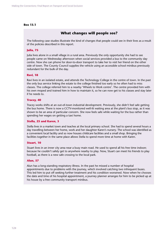#### **Box 13.1**

# **What changes will people see?**

The following case studies illustrate the kind of changes that people could see in their lives as a result of the policies described in this report.

#### **Julia, 75**

Julia lives alone in a small village in a rural area. Previously the only opportunity she had to see people came on Wednesday afternoon when social services provided a bus to the community day centre. Now she can phone for door-to-door transport to take her to visit her friend on the other side of town. The County Council supplies the vehicle using an accessible school minibus previously redundant for the bulk of the day.

#### **Ravi, 18**

Ravi lives in an isolated estate, and attends the Technology College in the centre of town. In the past the only bus service linking the estate to the college finished too early so he often had to miss classes. The college referred him to a nearby 'Wheels to Work centre'. The centre provided him with his own moped and trained him in how to maintain it, so he can now get to his classes and stay later if he needs to.

#### **Tracey, 40**

Tracey works shifts at an out-of-town industrial development. Previously, she didn't feel safe getting the bus home. There is now a CCTV-monitored well-lit waiting area at the plant's bus stop, as it was shown to be an area of particular concern. She now feels safe while waiting for the bus rather than spending her wages on getting a taxi home.

#### **Stella, 25 and Karen, 3**

Stella lives in a market town and teaches at the local primary school. She had to spend several hours a day travelling between her home, work and her daughter Karen's nursery. The school was identified as a convenient local facility and so now houses childcare facilities and a small shop. Bringing the facilities together in the same place allows Stella to spend more time at home with Karen.

#### **Stuart, 10**

Stuart lives in an inner city area near a busy main road. He used to spend all his free time indoors because he couldn't safely get to anywhere nearby to play. Now, Stuart can meet his friends to play football, as there is a new safe crossing to the local park.

#### **Alun, 57**

Alun has a long-standing respiratory illness. In the past he missed a number of hospital appointments due to problems with the journey, which involved catching two infrequent buses. This led him to put off seeking further treatment and his condition worsened. Now when he chooses the date and time of his hospital appointment, a journey planner arranges for him to be picked up at his house by a free community transport minibus.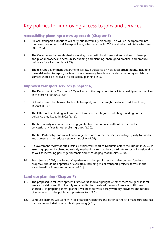# Key policies for improving access to jobs and services

# **Accessibility planning: a new approach (Chapter 5)**

- 1. All local transport authorities will carry out accessibility planning. This will be incorporated into the second round of Local Transport Plans, which are due in 2005, and which will take effect from 2006 (5.5).
- 2. The Government has established a working group with local transport authorities to develop and pilot approaches to accessibility auditing and planning, share good practice, and produce guidance for all authorities (5.33).
- 3. The relevant government departments will issue guidance on how local organisations, including those delivering transport, welfare to work, learning, healthcare, land-use planning and leisure services should be involved in accessibility planning (5.37).

## **Improved transport services (Chapter 6)**

- 4. The Department for Transport (DfT) will amend the regulations to facilitate flexibly-routed services in the first half of 2003 (6.9).
- 5. DfT will assess other barriers to flexible transport, and what might be done to address them, in 2003 (6.13).
- 6. The Office of Fair Trading will produce a template for integrated ticketing, building on the guidance they issued in 2002 (6.16).
- 7. The bus subsidy review is considering greater freedom for local authorities to introduce concessionary fares for other client groups (6.20).
- 8. The Bus Partnership Forum will encourage new forms of partnership, including Quality Networks, and agreements to reduce network instability (6.26).
- 9. A Government review of bus subsidies, which will report to Ministers before the Budget in 2003, is assessing options for changing subsidy mechanisms so that they contribute to social inclusion aims as well as increasing passenger numbers and encouraging modal shift (6.30).
- 10. From January 2003, the Treasury's guidance to other public sector bodies on how funding proposals should be appraised or evaluated, including major transport projects, factors in the *social* benefits of proposed schemes (6.31).

# **Land-use planning (Chapter 7)**

- 11. The proposed Local Development Frameworks should highlight whether there are gaps in local service provision and if so identify suitable sites for the development of services to fill these shortfalls. In preparing them, planners will need to work closely with key providers and funders of services across the public and private sectors (7.5).
- 12. Land-use planners will work with local transport planners and other partners to make sure land-use matters are included in accessibility planning (7.10).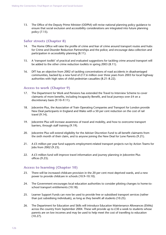13. The Office of the Deputy Prime Minister (ODPM) will revise national planning policy guidance to ensure that social exclusion and accessibility considerations are integrated into future planning policy (7.15).

# **Safer streets (Chapter 8)**

- 14. The Home Office will raise the profile of crime and fear of crime around transport routes and hubs for Crime and Disorder Reduction Partnerships and the police; and encourage data collection and participation in accessibility planning (8.11).
- 15. A 'transport toolkit' of practical and evaluated suggestions for tackling crime around transport will be added to the other crime reduction toolkits in spring 2003 (8.11).
- 16. DfT has an objective from 2002 of tackling concentrations of road accidents in disadvantaged communities, backed by a new fund of  $£17.6$  million over three years from 2003 for local highway authorities with high rates of child pedestrian casualties (8.21–8.22).

## **Access to work (Chapter 9)**

- 17. The Department for Work and Pensions has extended the Travel to Interview Scheme to cover claimants of more benefits, including Incapacity Benefit, and local journeys over  $E_4$  on a discretionary basis (9.10–9.11).
- 18. Jobcentre Plus, the Association of Train Operating Companies and Transport for London provide New Deal participants in England and Wales with a 50 per cent reduction on the cost of rail travel (9.14).
- 19. Jobcentre Plus will increase awareness of travel and mobility, and how to overcome transport barriers, through staff training (9.19).
- 20. Jobcentre Plus will extend eligibility for the Adviser Discretion Fund to all benefit claimants from the sixth month of their claim, and to anyone joining the New Deal for Lone Parents (9.21).
- 21. A £5 million per year fund supports employment-related transport projects run by Action Teams for Jobs from 2002 (9.23).
- 22. A £3 million fund will improve travel information and journey planning in Jobcentre Plus offices (9.23).

## **Access to learning (Chapter 10)**

- 23. There will be increased childcare provision in the 20 per cent most deprived wards, and a new power to provide childcare in schools (10.9–10.10).
- 24. The Government encourages local education authorities to consider piloting changes to home-toschool transport entitlements (10.18).
- 25. Learner Support Funds can now be used to provide free or subsidised transport services (rather than just subsidising individuals), as long as they benefit all students (10.25).
- 26. The Department for Education and Skills will introduce Education Maintenance Allowances (EMAs) across the country from September 2004. These will provide up to £30 a week to students whose parents are on low incomes and may be used to help meet the cost of travelling to education (10.27).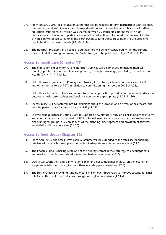- 27. From January 2003, local education authorities will be required to form partnerships with colleges, the Learning and Skills Councils and transport authorities to assess the accessibility of all further education institutions. £9 million was shared between 70 transport pathfinders with high deprivation and low rates of participation in further education to kick-start the process. A further  $£14$  million will be allocated to all the partnerships to fund transport solutions to the problems highlighted in their assessments (10.30–10.34).
- 28. The transport problems and needs of adult learners will be fully considered within the current review of adult learning, informing the Skills Strategy to be published in June 2003 (10.38).

## **Access to healthcare (Chapter 11)**

- 29. The criteria for eligibility for Patient Transport Services will be amended to include medical, mobility, public transport and financial grounds, through a working group led by Department of Health (DH) (11.17–11.18).
- 30. DH will provide guidance to Primary Care Trusts (PCTs), strategic health authorities and local authorities on the role of PCTs in relation to commissioning transport in 2003 (11.22).
- 31. DH will develop options to deliver a one-stop-shop approach to provide information and advice on getting to healthcare facilities and book transport where appropriate (11.25–11.26).
- 32. 'Accessibility' will be factored into DH decisions about the location and delivery of healthcare, and into the performance framework for the NHS (11.27).
- 33. DH will issue guidance in spring 2003 to support a new statutory duty on all NHS bodies to involve and consult patients and the public. NHS bodies will need to demonstrate that they are involving disadvantaged groups in key areas such as the planning, development and provision of services; accessibility will be a core area (11.30).

## **Access to food shops (Chapter 12)**

- 34. From April 2003, the Small Firms Loan Guarantee will be extended to the retail sector enabling retailers with viable business plans but without adequate security to receive credit (12.5).
- 35. The Phoenix Fund is making retail one of the priority sectors in their strategy to encourage smalland medium-sized business development in disadvantaged areas (12.7).
- 36. ODPM will strengthen and clarify national planning policy guidance in 2003 on the location of shops, especially food stores, to strengthen local shopping provisions (12.8).
- 37. The Home Office is providing funding of  $£15$  million over three years to improve security for small retailers in the most deprived areas throughout England and Wales (12.15).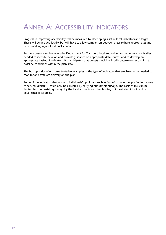# ANNEX A: ACCESSIBILITY INDICATORS

Progress in improving accessibility will be measured by developing a set of local indicators and targets. These will be decided locally, but will have to allow comparison between areas (where appropriate) and benchmarking against national standards.

Further consultation involving the Department for Transport, local authorities and other relevant bodies is needed to identify, develop and provide guidance on appropriate data sources and to develop an appropriate basket of indicators. It is anticipated that targets would be locally determined according to baseline conditions within the plan area.

The box opposite offers some tentative examples of the type of indicators that are likely to be needed to monitor and evaluate delivery on the plan.

Some of the indicators that relate to individuals' opinions – such as fear of crime or people finding access to services difficult – could only be collected by carrying out sample surveys. The costs of this can be limited by using existing surveys by the local authority or other bodies, but inevitably it is difficult to cover small local areas.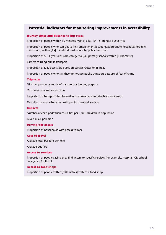# **Potential indicators for monitoring improvements in accessibility**

#### **Journey times and distance to bus stops**

Proportion of people within 10 minutes walk of a [5, 10, 15]-minute bus service

Proportion of people who can get to [key employment locations/appropriate hospital/affordable food shop/] within [45] minutes door-to-door by public transport

Proportion of 5–11-year-olds who can get to [xx] primary schools within [1 kilometre]

Barriers to using public transport

Proportion of fully accessible buses on certain routes or in areas

Proportion of people who say they do not use public transport because of fear of crime

#### **Trip rates**

Trips per person by mode of transport or journey purpose

Customer care and satisfaction

Proportion of transport staff trained in customer care and disability awareness

Overall customer satisfaction with public transport services

#### **Impacts**

Number of child pedestrian casualties per 1,000 children in population

Levels of air pollution

#### **Driving/car access**

Proportion of households with access to cars

#### **Cost of travel**

Average local bus fare per mile

Average bus fare

#### **Access to services**

Proportion of people saying they find access to specific services (for example, hospital, GP, school, college, etc) difficult

#### **Access to food shops**

Proportion of people within [500 metres] walk of a food shop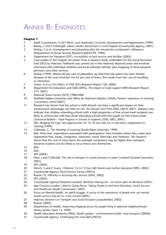# ANNEX B: ENDNOTES

- 1 Audit Commission, *A Life's Work: Local Authorities' Economic Development and Regeneration* (1999)
- 2 Beatty, C and S Fothergill, *Labour market detachment in rural England* (Countryside Agency, 2001)
- 3 McKay, S *et al, Unemployment and jobseeking after the introduction of Jobseeker's Allowance* (Department of Social Security Research Report 99, 1999)
- 4 Department for Transport (DfT), *Accessibility of local services and facilities* (2002)
- 5 Case studies in this chapter are drawn from a research study undertaken for the Social Exclusion Unit (SEU) by Halcrow. Fieldwork was carried out in five relatively deprived areas and involved interviews with individual residents and local authority officials, plus mapping of local transport provision and other services.
- 6 McKay (1999). Almost 40 per cent of jobseekers say that their job search has been limited because of the costs involved. For 63 per cent of them, this results from the cost of travelling to interviews.
- 7 Green, A *et al, First Effects of ONE* (DSS Research Report 126, 2000)
- 8 Department for Education and Skills (DfES), *The impact of study support* (DfES Research Report 273, 2001)
- 9 National Travel Survey (NTS) 1998/2000
- 10 Sheffield Hallam University and Office for National Statistics (ONS), *Parents' experience of choosing a secondary school* (2001)
- 11 Research has shown that the school a child attends can have a significant impact on their achievement (*Knowledge and Skills for Life: First Results from PISA 2000*, OECD 2001). Statistics also indicate that children attending schools with a high proportion of free school meal recipients are likely to achieve less well than those attending schools with few pupils on free school meals (*Statistical Bulletin – Pupil Progress in Schools in England: 2000,* DfES, 2001).
- 12 SEU, *Bridging the Gap: new opportunities for 16-18 year olds not in education, employment or training* (1999)
- 13 Callender, C, *The Hardship of Learning* (South Bank University, 1999)
- 14 Ibid. Note that 'expenditure associated with participation' here includes tuition fees, exam and registration fees, books, computers, stationery, travel, field trips and childcare. The research shows that the cost of some items (for example computers) may be higher than transport, however students are less likely to incur these costs themselves.
- 15 Ibid
- 16 Ibid
- 17 DfT (2002)<br>18 Hine Land
- Hine, J and F Mitchell, *The role of transport in social exclusion in urban Scotland* (Scottish Executive, 2001)
- 19 DfT (2002)<br>20 Dench, S ar
- 20 Dench, S and C Evans, *Childcare, 16 to 19 Year Old Parents and Further Education* (DfES, 2002)
- 21 Countryside Agency, *Rural Services Survey* (2001a)
- 22 Ruston, D, *Difficulty in Accessing Key Services* (ONS, 2002)
- DfT (2002)
- 24 Countryside Agency/Yorkshire Forward, *Bentham Moving On an action plan for Bentham* (2001)
- 25 Age Concern London, cited in *Going Places: Taking People to and from Education, Social Services and Healthcare* (Audit Commission, 2001)
- 26 Focus on Mental Health, *An uphill struggle. A survey of the experiences of people who use mental health services and are on a low income* (2001)
- 27 Halcrow, *Research on Transport and Social Exclusion* (unpublished, 2002)
- 28 Ruston (2002)
- 29 Department of Health, *Improving shopping access for people living in deprived neighbourhoods* (Policy Action Team 13, 1999)
- 30 Health Education Authority (HEA), *Health update environmental health: road transport* (2000a)
- 31 Countryside Agency, *Challenging the rural idyll* (2001b)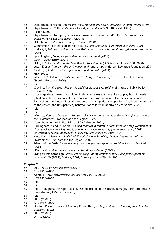- 32 Department of Health, *Low income, food, nutrition and health: strategies for improvement* (1996)
- 33 Department for Culture, Media and Sport, *Arts and Sport* (PAT 10 report, 1999)
- 34 Ruston (2002)
- 35 Department for Transport, Local Government and the Regions (DTLR), *Older People: their transport needs and requirements* (2001a)
- 36 Help the Aged, *Pensioners' Transport Survey* (1998)
- 37 Commission for Integrated Transport (CfIT), *Public Attitudes to Transport in England* (2001)
- 38 Bostock, L, *Pathways of disadvantage? Walking as a mode of transport amongst low income mothers* (2001)
- 39 Sport England, *Young people with a disability and sport* (2001)
- 40 Countryside Agency (2001a)
- 41 Hales, J *et al, Evaluation of the New Deal for Lone Parents* (DSS Research Report 108, 2000)
- 42 Lucas, K *et al, Transport, the environment and social exclusion* (Joseph Rowntree Foundation, 2001)
- 43 Morton, B, *Evidence of the impact of transport on health* (2001)
- 44 HEA (2000a)
- 45 White, D *et al, Road accidents and children living in disadvantaged areas: a literature review* (Scottish Executive, 2000)
- 46 Ibid
- 47 Grayling, T *et al, Streets ahead: safe and liveable streets for children* (Institute of Public Policy Research, 2002)
- 48 Lack of gardens means that children in deprived areas are more likely to play by or in roads (children with no play area at home are over five times more at risk of pedestrian injury). Research for the Scottish Executive suggests that a significant proportion of accidents are related to the unsafe (and unsupervised) behaviour of children in deprived areas (White, 2000).
- 49 Ibid
- 50 Ibid
- 51 MVA Ltd, *Comparative study of European child pedestrian exposure and accidents* (Department of the Environment, Transport and the Regions, 1999)
- 52 Committee on the Medical Effects of Air Pollution (2001)
- 53 Burningham, K and D Thrush, *Pollution concerns in context: a comparison of local perception of the risks associated with living close to a road and a chemical factory* (conference paper, 2001)
- 54 Sir Donald Acheson, *Independent Inquiry into Inequalities in Health* (1998)
- 55 King, K and J Stedman, *Analysis of Air Pollution and Social Deprivation* (Department of the Environment, Transport and the Regions, 2000)
- 56 Friends of the Earth, *Environmental justice: mapping transport and social exclusion in Bradford* (2001)
- 57 HEA, *Health update environment and health: air pollution* (2000b)
- 58 Living Streets Campaign, *Streets are for living: the importance of streets and public spaces for community life* (2001); Bostock, 2001; Burningham and Thrush, 2001.

- 59 DTLR, *Focus on Personal Travel* (2001b)
- 60 NTS 1998–2000
- 61 Noble, B, *Travel characteristics of older people* (ONS, 2000)
- 62 NTS 1998–2000
- 63 Ibid
- 64 Ibid
- 65 Ibid. Throughout this report 'taxi' is used to include both hackney carriages (taxis) and private hire vehicles (PHVs, or 'minicabs').
- 66 Ibid
- 67 DTLR (2001b)
- 68 NTS 1998–2000
- 69 Disabled Persons Transport Advisory Committee (DPTAC), *Attitudes of disabled people to public transport* (2002)
- 70 DTLR (2001b)
- 71 DPTAC (2002)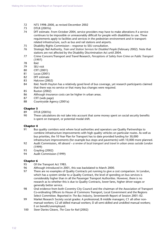- 72 NTS 1998–2000, as revised December 2002
- 73 DTLR (2001b)
- 74 DfT estimate. From October 2004, service providers may have to make alterations if a service continues to be impossible or unreasonably difficult for people with disabilities to use. These requirements apply to facilities and services in the pedestrian environment and in transportrelated infrastructure, such as bus and rail stations and airports.
- 75 Disability Rights Commission response to SEU consultation.
- 76 Strategic Rail Authority, *Train and Station Services for Disabled People* (February 2002). Note that stations are not affected by the Disability Discrimination Act until 2004.
- 77 Crime Concern/Transport and Travel Research*, Perceptions of Safety from Crime on Public Transport* (1997)
- 78 Ibid
- 79 SEU visit
- 80 CfIT (2001)
- 81 Lucas (2001)
- 82 DfT estimate
- 83 Halcrow (2002)
- 84 Ibid. North Huyton has a relatively good level of bus coverage, yet research participants claimed that there was no service or that many bus changes were required.
- 85 Ruston (2002)
- 86 Although insurance costs can be higher in urban areas.
- 87 CfIT (web page)
- 88 Countryside Agency (2001a)

#### **Chapter 3**

- 89 DTLR (2001b)
- 90 These calculations do not take into account that some money spent on social security benefits is spent on transport, or potential modal shift.

#### **Chapter 4**

- 91 Bus quality corridors exist where local authorities and operators use Quality Partnerships to combine infrastructure improvements with high quality vehicles on particular routes. As well as bus priorities, the 10 Year Plan for Transport has to date provided funding for 30,000 infrastructure improvements (for example bus stops and pavements) with 10,000 more planned.
- 92 Audit Commission, *All aboard a review of local transport and travel in urban areas outside London* (1999)
- 93 Grayling (2002)
- 94 Audit Commission (1999)

- 95 Of the Transport Act 1985.
- 96 Although introduced in 2001, this was backdated to March 2000.<br>97 There are no examples of Quality Contracts vet running to give a
- There are no examples of Quality Contracts yet running to give a cost comparison. In London, which has a system similar to a Quality Contract, the level of spending on bus services is considerably higher than in all the Passenger Transport Authorities. However, there is no research as to whether this is due to Quality Contracts, lower fares, higher driver wages or generally better service.
- 98 Oral evidence from both Coventry City Council and the chairman of the Association of Transport Co-ordinating Officers to House of Commons Transport, Local Government and the Regions Select Committee. Reported in *The Bus Industry*, Seventeenth Report of Session 2001–02.
- 99 Market Research Society social grades: A professional; B middle managers; C1 all other nonmanual workers; C2 all skilled manual workers; D all semi-skilled and unskilled manual workers; E on benefit/unemployed.
- 100 Steer Davies Gleave, *The Case for Rail* (2002)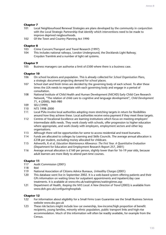## **Chapter 7**

- 101 Local Neighbourhood Renewal Strategies are plans developed by the community in conjunction with the Local Strategic Partnership that identify which interventions need to be made to improve deprived neigbourhoods.
- 102 Of the Town and Country Planning Act 1990

## **Chapter 8**

- 103 Crime Concern/Transport and Travel Research (1997)
- 104 This includes national railways, London Underground, the Docklands Light Railway, Croydon Tramlink and a number of light rail systems.

## **Chapter 9**

105 Business managers can authorise a limit of £500 where there is a business case.

## **Chapter 10**

- 106 On school locations and population. This is already collected for *School Organisation Plans*, a strategic document projecting demand for school places.
- 107 School start and finish times are decided by the governing body of each school. To alter these times the LEA needs to negotiate with each governing body and engage in a period of consultation.
- 108 National Institute of Child Health and Human Development (NICHD) Early Child Care Research Network, "The relation of child care to cognitive and language development", *Child Development* 71, 4 (2000), 960–980
- 109 SEU (1999)<br>110 NTS 1998-2
- NTS 1998-2000
- 111 Local PSAs involve local authorities adopting more stretching targets in return for flexibilities around how they achieve these. Local authorities receive extra payment if they meet these targets.
- 112 Centres of Vocational Excellence are learning institutions which focus on meeting employers' intermediate skills needs. They work closely with schools, offer progression to higher education where appropriate, and work closely with employers, employment sectors and other key organisations.
- 113 Although there will be opportunities for some to access residential and travel bursaries.
- 114 Funds are allocated to colleges by Learning and Skills Councils. The average annual allocation is £238 per student, excluding money allocated for childcare.
- 115 Ashworth, K *et al, Education Maintenance Allowance: The First Year. A Quantitative Evaluation* (Department for Education and Employment Research Report 257, 2001)
- 116 Average annual allocation is £160 per person, slightly lower than for 16–19 year olds, because adult learners are more likely to attend part-time courses.

# **Chapter 11**

- 117 Audit Commission (2001)
- 118 Ibid
- 119 National Association of Citizens Advice Bureaux, *Unhealthy Charges* (2001)
- 120 This database went live in September 2002. It is a web-based system offering patients and their GPs information on waiting times for outpatient appointments and inpatient/day case treatments. It is available at www.nhs.uk/waitingtimes/waitingtimes.asp
- 121 Department of Health, *Keeping the NHS Local: A New Direction of Travel* (2003) is available from www.doh.gov.uk/configuringhospitals

- 122 For information about eligibility for a Small Firms Loan Guarantee see the Small Business Services website www.sbs.gov.uk
- 123 These risk factors might include low car ownership, low-income/high proportion of benefit recipients, young families, minority ethnic population, public transport links and high-rise accommodation. Much of this information will often be readily available, for example from the Census.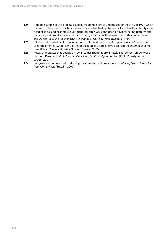- 124 A good example of this process is a pilot mapping exercise undertaken for the NHS in 1999 which focused on two wards which had already been identified by the council and health authority as in need of social and economic investment. Research was conducted on typical eating patterns and dietary aspirations at local community groups, together with interviews outside a supermarket. See Donkin, *A et al, Mapping access to food at a local level* (NHS Executive, 1999)
- 125 89 per cent of adults in low-income households and 86 per cent of people over 65 have never used the internet. 57 per cent of the population as a whole have accessed the internet at some time (ONS, *National Statistics Omnibus Survey*, 2002).
- 126 Research indicates that people on low incomes spend approximately £15 per person per week on food. Downer, E *et al, Poverty bites – food, health and poor families* (Child Poverty Action Group, 2001)
- 127 For guidance on how best to develop these smaller scale measures see *Making links: a toolkit for local food projects* (Sustain, 2000)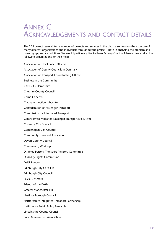# ANNEX C ACKNOWLEDGEMENTS AND CONTACT DETAILS

The SEU project team visited a number of projects and services in the UK. It also drew on the expertise of many different organisations and individuals throughout the project – both in analysing the problem and drawing up practical solutions. We would particularly like to thank Murray Grant of Merseytravel and all the following organisations for their help:

Association of Chief Police Officers Association of County Councils in Denmark Association of Transport Co-ordinating Officers Business in the Community CANGO – Hampshire Cheshire County Council Crime Concern Clapham Junction Jobcentre Confederation of Passenger Transport Commission for Integrated Transport Centro (West Midlands Passenger Transport Executive) Coventry City Council Copenhagen City Council Community Transport Association Devon County Council Connexions, Worksop Disabled Persons Transport Advisory Committee Disability Rights Commission DaRT London Edinburgh City Car Club Edinburgh City Council Falck, Denmark Friends of the Earth Greater Manchester PTE Hastings Borough Council Hertfordshire Integrated Transport Partnership Institute for Public Policy Research Lincolnshire County Council Local Government Association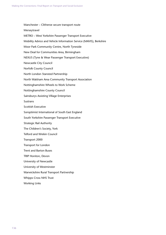Manchester – Clitheroe secure transport route Merseytravel METRO – West Yorkshire Passenger Transport Executive Mobility Advice and Vehicle Information Service (MAVIS), Berkshire Moor Park Community Centre, North Tyneside New Deal for Communities Area, Birmingham NEXUS (Tyne & Wear Passenger Transport Executive) Newcastle City Council Norfolk County Council North London Stansted Partnership North Walsham Area Community Transport Association Nottinghamshire Wheels to Work Scheme Nottinghamshire County Council Sainsburys Assisting Village Enterprises **Sustrans** Scottish Executive Soroptimist International of South East England South Yorkshire Passenger Transport Executive Strategic Rail Authority The Children's Society, York Telford and Wrekin Council Transport 2000 Transport for London Trent and Barton Buses TRIP Honiton, Devon University of Newcastle University of Westminster Warwickshire Rural Transport Partnership Whipps Cross NHS Trust

Working Links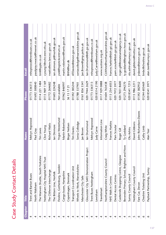| <b>Chapter</b> | Title                                      | Name                  | <b>Phone</b>  | Email                             |
|----------------|--------------------------------------------|-----------------------|---------------|-----------------------------------|
| 4              | Trent and Barton Buses                     | Melvyn Hopwood        | 01773 536313  | mhopwood@trentbuses.co.uk         |
| 4              | North Walsham                              | Paul Gray             | 01692 500840  | paulgray.nwacta@freenet.co.uk     |
| 4              | The Manvers Shuttle, South Yorkshire       | Tim Lewis             | 0114 221 1484 | timl@sypte.co.uk                  |
| 4              | Nottingham City Hospital NHS Trust         | Clive Young           | 01159691169   | cyoung1@ncht.trent.nhs.uk         |
| 4              | The Clitheroe Interchange                  | <b>Richard Watts</b>  | 01772 264682  | rwatts@env.lancscc.gov.uk         |
| 4              | The Bittern Line, Norfolk                  | lan Dinmore           | 01603 224248  | ian.dinmore.pt@norfolk.gov.uk     |
| 4              | Flexline, Gothenburg, Sweden               | Yngve Westerlund      | Not available | ywk@logistickcentrum.se           |
| 4              | Cango buses, Hampshire                     | Martin Robertson      | 01962846997   | martin.robertson@hants.gov.uk     |
| 4              | Copenhagen, Denmark                        | Birger Neilsen        | 36 13 17 21   | <b>BHN@hur.dk</b>                 |
| 4              | Transport Co-ordination Unit               | <b>Tim Davies</b>     | 01392383244   | ATDavies@devon.gov.uk             |
| 4              | Wheels to Work, Warwickshire               | Sonia Colledge        | 01788 337901  | soniacolledge@warwickshire.gov.uk |
| 4              | Manchester City Safe                       | Jan Brown             | 01618563341   | Jan.Brown@gmp.police.uk           |
| 4              | Gloucester City SAFE Demonstration Project | lan Drummond          | 020 7944 2629 | lan.Drummond@dft.gsi.gov.uk       |
| 4              | Trent Buses Nottingham                     | Melvyn Hopwood        | 01773 536313  | mhopwood@trentbuses.co.uk         |
| 4              | Lewisham                                   | Judy Carne            | 02083142190   | Judy.Carne@lewisham.gov.uk        |
| 4              | Travelsmart                                | Information Line      | 01179290888   | www.sustrans.org.uk               |
| 4              | Northamptonshire County Council            | Craig White           | 01604763438   | CLWhite@northamptonshire.gov.uk   |
| 4              | NHS Walk in Centres                        | Frances Harkins       | 01132546053   | frances.harkins@doh.gsi.gov.uk    |
| 4              | Dental Access Centres                      | Pam Scoular           | 02079723977   | pam.scoular@doh.gsi.gov.uk        |
| 4              | Castlemilk Shopping Centre, Glasgow        | Roger Gill            | 02078318600   | roger.gill@estatesandagency.co.uk |
| 4              | Bevenden Primary School, Brighton and Hove | Ty Goddard            | 01273 294270  | ty.goddard@brighton-hove.gov.uk   |
| S              | Surrey County Council                      | Olu Ashiru            | 020 8541 7215 | olu.ashiru@surreycc.gov.uk        |
| 5              | Nottingham County Council                  | David Gibbons         | 0115 986 2211 | david.gibbons@nottscc.gov.uk      |
| ৩              | Fare Car, Devon                            | John Richardson-Dawes | 01392382952   | jrdawes@devon.gov.uk              |
| $\circ$        | Cheshire Ticketing Unit                    | Cathy Limb            | 01244 603469  | limbc@cheshire.gov.uk             |
| P              | Payback Partnership, Surrey                | Alan Teer             | 020 8541 3971 | alan.teer@surreycc.gov.uk         |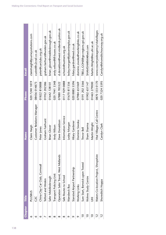| <b>Chapter</b>        | Title                                  | <b>Name</b>                | <b>Phone</b>  | Email                               |
|-----------------------|----------------------------------------|----------------------------|---------------|-------------------------------------|
| ७                     | <b>PLUSBUS</b>                         | Claire Haigh               | 02072401819   | clairehaigh@journeysolutions.com    |
| ७                     | C <sub>2</sub> C                       | Customer Relations Manager | 08456014873   | custrel@c2crail.co.uk               |
| ٥                     | China Clay Car Club, Cornwall          | Peter Jones                | 01822810888   | peter@carclubs.org.uk               |
|                       | Telford and Wrekin                     | Graham Fairhurst           | 01952202386   | graham.fairhurst@wrekin.gov.uk      |
| ∞                     | Safer Middlesbrough                    | <b>Brian Glover</b>        | 01642728101   | brian_glover@middlesbrough.gov.uk   |
| ∞                     | Transport Policing Unit                | Andy Wilson                | 02079413348   | andy.wilson@tfl-buses.co.uk         |
| ∞                     | Operation Safer Travel, West Midlands  | Dave Donaldson             | 07880783322   | d.donaldson@west-midlands.police.uk |
| ∞                     | Safe Routes to School                  | Information Service        | 01179290888   | schools@sustrans.org.uk             |
| σ                     | Wansbeck Bus                           | Lesley Morgan              | 01670811356   | lesley.morgan@jobcentreplus.gov.uk  |
| σ                     | Stansted Airport Partnership           | <b>Hilary Gardener</b>     | 02088855596   | hilary.gardner@reed.co.uk           |
| ᡋ                     | Working Links                          | Dominic Siwoku             | 07984 651069  | dominic.siwoku@workinglinks.co.uk   |
| $\mathbin{\supseteq}$ | Sure Start, Berwick upon Tweed         | Trevor Bell                | 0191 202 3566 | TBELL.CONE@go-regions.gsi.gov.uk    |
| $\mathbin{\supseteq}$ | Wolves Study Centre                    | Sham Sharma                | 01902 651147  | SHAMSHARMA@aol.com                  |
| $\frac{1}{2}$         | 玉                                      | Martin Wright              | 01463 279000  | Martin.Wright@eo.uhi.ac.uk          |
| $\overline{c}$        | Waters Co-location Project, Shropshire | Vital Villages Call Centre | 0870 333 0170 | www.countrysideagency/vitalvillages |
|                       | Shoreditch Hoppa                       | Carolyn Clark              | 02073245595   | Carolyn@shoreditchourway.org.uk     |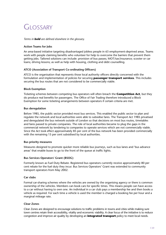# **GLOSSARY**

#### *Terms in bold are defined elsewhere in the glossary.*

#### **Action Teams for Jobs**

An area-based initiative targeting disadvantaged jobless people in 63 employment-deprived areas. Teams work with people claiming benefits who volunteer for help to overcome the barriers that prevent them getting jobs. Tailored solutions can include: provision of bus passes; MOT/tax/insurance; scooter or car loans; driving lessons; as well as help with housing, clothing and debt counselling.

## **ATCO (Association of Transport Co-ordinating Officers)**

ATCO is the organisation that represents those local authority officers directly concerned with the formulation and implementation of policies for securing **passenger transport services**. This includes securing the bus routes that are not considered to be commercially viable.

#### **Block Exemption**

Ticketing schemes between competing bus operators will often breach the **Competition Act**, but they do produce real benefits for passengers. The Office of Fair Trading therefore introduced a Block Exemption for some ticketing arrangements between operators if certain criteria are met.

#### **Bus deregulation**

Before 1985, the public sector provided most bus services. This enabled the public sector to plan and regulate the network and local authorities were able to subsidise fares. The Transport Act 1985 privatised and deregulated the bus network outside of London so that decisions on most bus routes, timetables and fares passed to private companies. The role of local authorities became to plug the gaps in the commercial network by tendering to companies to operate services which are not commercially viable. Since the Act took effect approximately 85 per cent of the bus network has been provided commercially with the remaining 15 per cent subsidised by local authorities.

#### **Bus priority measures**

Measures designed to promote quicker more reliable bus journeys, such as bus lanes and 'bus advance areas' that enable buses to go to the front of the queue at traffic lights.

#### **Bus Services Operators' Grant (BSOG)**

Formerly known as Fuel Duty Rebate. Registered bus operators currently receive approximately 80 per cent rebate for the fuel duty they incur. Bus Services Operators' Grant was extended to community transport operators from May 2002.

#### **Car clubs**

Formal car-sharing schemes where the vehicles are owned by the organising agency or there is common ownership of the vehicles. Members can book cars for specific times. This means people can have access to a car without having to own one. An individual in a car club pays a membership fee and then books a vehicle as required. For each time a vehicle is used the member is charged a booking fee per hour and a marginal mileage rate.

## **Clear Zones**

Clear Zones are designed to encourage solutions to traffic problems in towns and cities while making sure town centres retain their accessibility, vitality and economic viability. A clear focus of the initiative is to reduce congestion and improve air quality by developing an **integrated transport** policy to meet local needs.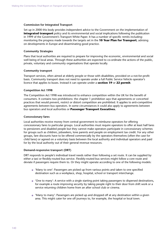#### **Commission for Integrated Transport**

Set up in 2000 this body provides independent advice to the Government on the implementation of **integrated transport** policy and its environmental and social implications following the publication in 1999 of the Government's Transport White Paper. It has a number of specific remits including: monitoring the progress made towards the targets set in the **10 Year Plan for Transport**; advising on developments in Europe and disseminating good practice.

#### **Community Strategies**

Plans that local authorities are required to prepare for improving the economic, environmental and social well being of local areas. Through these authorities are expected to co-ordinate the actions of the public, private, voluntary and community organisations that operate locally.

#### **Community transport**

Transport services, often aimed at elderly people or those with disabilities, provided on a not-for-profit basis. Community transport does not need to operate under a full Public Service Vehicle operator's licence that applies to buses. Instead it can operate under a **section 19** or **22 permit**.

#### **Competition Act 1998**

The Competition Act 1998 was introduced to enhance competition within the UK for the benefit of consumers. It contains two prohibitions: the chapter 1 prohibition says that agreements or concerted practices that would prevent, restrict or distort competition are prohibited. It applies to anti-competitive agreements between bus operators. In some circumstances it could also apply to agreements between bus operators and local authorities or **Passenger Transport Executives.**

#### **Concessionary fares**

Local authorities receive money from central government to reimburse operators for offering concessionary fares to particular groups. Local authorities must require operators to offer at least half fares to pensioners and disabled people but they cannot make operators participate in concessionary schemes for groups such as children, jobseekers, lone parents and people on employment tax credit. For any other groups, fare discounts have to be offered commercially by the operators themselves (often the case for child fares) or agreed on a voluntary basis between the local authority and individual operators and paid for by the local authority out of their general revenue resources.

#### **Demand-responsive transport (DRT)**

DRT responds to people's individual travel needs rather than following a set route. It can be supplied by either a taxi or flexibly-routed bus service. Flexibly-routed bus services might follow a core route and deviate if passengers require them to. Or they might operate according to one of the following models:

- 'Many to one': Passengers are picked up from various points and taken to one specified destination such as a workplace, shop, hospital, school or transport interchange.
- 'One to many': A service with a single starting point taking passengers to dispersed destinations, for example a route improving security by taking people right to their door from shift work or a service returning children home from an after school club or cinema.
- 'Many to many': Passengers are picked up and dropped off at any destination within a given area. This might cater for one off journeys to, for example, the hospital or local town.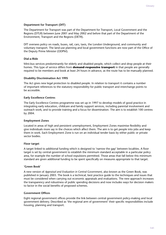#### **Department for Transport (DfT)**

The Department for Transport was part of the Department for Transport, Local Government and the Regions (DTLR) between June 2001 and May 2002 and before that part of the Department of the Environment, Transport and the Regions (DETR).

DfT oversees policy on roads, buses, rail, cars, taxis, the London Underground, and community and voluntary transport. The land-use planning and local government functions are now part of the Office of the Deputy Prime Minister (ODPM).

#### **Dial-a-Ride**

Mini-bus services predominantly for elderly and disabled people, which collect and drop people at their homes. This type of service differs from **demand-responsive transport** in that people are generally required to be members and book at least 24 hours in advance, as the route has to be manually planned.

#### **Disability Discrimination Act 1995**

The Act gives new legal protection to disabled people. In relation to transport it contains a number of important references to the statutory responsibility for public transport and interchange points to be accessible.

#### **Early Excellence Centres**

The Early Excellence Centres programme was set up in 1997 to develop models of good practice in integrating early education, childcare and family support services, including parental involvement and outreach work, and to provide training and a focus for dissemination. The aim is to establish 100 centres by 2004.

#### **Employment Zones**

Located in areas of high and persistent unemployment, Employment Zones maximise flexibility and give individuals more say in the choices which affect them. The aim is to get people into jobs and keep them in work. Each Employment Zone is run on an individual tender basis by either public or private sector bodies.

#### **Floor target**

A target linked to additional funding which is designed to 'narrow the gap' between localities. A floor target is set by central government to establish the minimum standard acceptable in a particular policy area, for example the number of school expulsions permitted. Those areas that fall below this minimum standard are given additional funding to be spent specifically on measures appropriate to that target.

#### **'Green Book'**

A new version of *Appraisal and Evaluation in Central Government*, also known as the Green Book, was published in January 2003. The book is a technical, best practice guide to the techniques and issues that must be considered when carrying out economic appraisals and evaluations. The new approach increases the transparency and robustness of public spending decisions and now includes ways for decision makers to factor in the social benefits of proposed schemes.

#### **Government Offices**

Eight regional government offices provide the link between central government policy-making and local government delivery. Described as 'the regional arm of government' their specific responsibilities include housing, planning and transport.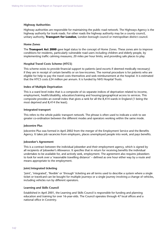#### **Highway Authorities**

Highway authorities are responsible for maintaining the public road network. The Highways Agency is the highway authority for trunk roads. For other roads the highway authority may be a county council, unitary authority, **Transport for London**, London borough council or metropolitan district council.

#### **Home Zones**

The **Transport Act 2000** gave legal status to the concept of Home Zones. These zones aim to improve conditions for residents, particularly vulnerable road users including children and elderly people, by implementing traffic calming measures; 20 miles per hour limits; and providing safe places to play.

#### **Hospital Travel Costs Scheme (HTCS)**

This scheme exists to provide financial support to patients (and escorts if deemed medically necessary) if they are in receipt of certain benefits or on low-incomes. The normal procedure is for patients who are eligible for help to pay the travel costs themselves and seek reimbursement at the hospital. It is estimated that the HTCS costs £24 million per annum. It is funded by NHS Hospital Trusts.

#### **Index of Multiple Deprivation**

This is a ward level index that is a composite of six separate indices of deprivation related to income, employment, health/disability, education/training and housing/geographical access to services. This composite provides an overall index that gives a rank for all the 8,414 wards in England (1 being the most deprived and 8,414 the least).

#### **Integrated transport**

This refers to the whole public transport network. The phrase is often used to indicate a wish to see greater co-ordination between the different modes and operators working within the same mode.

#### **Jobcentre Plus**

Jobcentre Plus was formed in April 2002 from the merger of the Employment Service and the Benefits Agency. It takes job vacancies from employers, places unemployed people into work, and pays benefits.

#### **Jobseeker's Agreement**

This is a contract between the individual jobseeker and their employment agency, which is signed by all recipients of Jobseeker's Allowance. It specifies that in return for receiving benefits the individual undertakes to be available for, and actively seek, employment. The agreement also requires jobseekers to look for work over a 'reasonable travelling distance' – defined as one hour either way by a route and means appropriate to the employment.

#### **Joint/integrated ticketing**

'Joint', 'integrated', 'flexible' or 'through' ticketing are all terms used to describe a system where a single ticket or travelcard can be bought for multiple journeys or a single journey involving a change of vehicles, including vehicles run by different operators.

#### **Learning and Skills Council**

Established in April 2001, the Learning and Skills Council is responsible for funding and planning education and training for over 16-year-olds. The Council operates through 47 local offices and a national office in Coventry.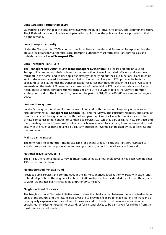#### **Local Strategic Partnerships (LSP)**

Overarching partnership at the local level involving the public, private, voluntary and community sectors. The LSP develops ways to involve local people in shaping how the public services are provided in their neighbourhood.

#### **Local transport authority**

Under the Transport Act 2000, county councils, unitary authorities and Passenger Transport Authorities are also local transport authorities. Local transport authorities must formulate transport policies and publish them as a **Local Transport Plan**.

#### **Local Transport Plans (LTPs)**

The **Transport Act 2000** requires **local transport authorities** to prepare and publish a Local Transport Plan setting out their policies for the promotion of safe, integrated, efficient and economic transport in their area, and to develop a bus strategy for carrying out their bus functions. Plans must be kept under review, altered if necessary and last no longer than five years. LTPs provide the basis for allocating to local authorities the transport capital resources they need to deliver their plans. Allocations are made on the basis of Government's assessment of the individual LTPs and a consideration of local need. Inside London, boroughs submit plans similar to LTPs but which reflect the Mayor's Transport strategy for London. The first full LTPs, covering the period 2001/02 to 2005/06 were submitted in July 2000.

#### **London's bus system**

London's bus system is different from the rest of England, with the routing, frequency of services and fares determined by **Transport for London** (TfL) and the Mayor. The efficiency, reliability and safety of buses is managed through contracts with the bus operators. Almost all local bus services are run by private companies under contract to London Bus Services Ltd, which is part of TfL. All new contracts and many existing ones are 'gross cost' contracts, which involve operators bidding to run a service at a fixed cost with the revenue being retained by TfL. Any increase in revenue can be used by TfL to reinvest into the bus network.

#### **Mainstream transport**

The term refers to all transport modes available for general usage. It excludes transport restricted to specific groups within the population, for example patient, school or social services transport.

#### **National Travel Survey (NTS)**

The NTS is the national travel survey in Britain conducted at a household level. It has been running since 1988 on an annual basis.

#### **Neighbourhood Renewal Fund**

Provides public services and communities in the 88 most deprived local authority areas with extra funds to tackle deprivation. The original allocation of £900 million has been extended for a further three years to 2005/06 and has been increased by a further £975 million.

#### **Neighbourhood Nurseries**

The Neighbourhood Nurseries Initiative aims to close the childcare gap between the most disadvantaged areas of the country and the rest. Its objectives are to provide childcare to enable parents to work and a good quality experience for the children. It provides start up funds to help new nurseries become established, or existing nurseries to expand, or for existing places to be earmarked for children from the most disadvantaged wards.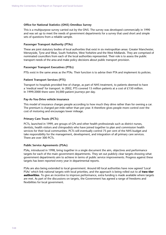#### **Office for National Statistics (ONS) Omnibus Survey**

This is a multipurpose survey carried out by the ONS. The survey was developed commercially in 1990 and was set up to meet the needs of government departments for a survey that used short and simple sets of questions from a reliable sample.

#### **Passenger Transport Authority (PTAs)**

These are joint statutory bodies of local authorities that exist in six metropolitan areas: Greater Manchester, Merseyside, Tyne and Wear, South Yorkshire, West Yorkshire and the West Midlands. They are comprised of nominated councillors from each of the local authorities represented. Their role is to assess the public transport needs of the area and make policy decisions about public transport provision.

#### **Passenger Transport Executives (PTEs)**

PTEs exist in the same areas as the PTAs. Their function is to advise their PTA and implement its policies.

#### **Patient Transport Services (PTS)**

Transport to hospitals provided free of charge, as part of NHS treatment, to patients deemed to have a 'medical need' for transport. In 2002, PTS covered 15 million patients at a cost of  $£150$  million. In 1999/2000 there were 34,000 patient journeys per day.

#### **Pay-As-You-Drive vehicle insurance**

This model of insurance charges people according to how much they drive rather than for owning a car. The premium is charged per-mile rather than per-year. It therefore gives people more control over the cost of motoring and encourages lower mileage.

#### **Primary Care Trusts (PCTs)**

PCTs, launched in 1999, are groups of GPs and other health professionals such as district nurses, dentists, health visitors and chiropodists who have joined together to plan and commission health services for their local communities. PCTs will eventually control 75 per cent of the NHS budget and take responsibility for the management, development, and integration of all primary care services. There are over 300 PCTs.

#### **Public Service Agreements (PSAs)**

PSAs, introduced in 1998, bring together in a single document the aim, objectives and performance targets for each of the main government departments. They set out publicly clear targets showing what government departments aim to achieve in terms of public service improvements. Progress against these targets has been reported every year in departmental reports.

PSAs are also being extended to local government. Around 60 local authorities have now agreed 'Local PSAs' which link national targets with local priorities, and the approach is being rolled out to all **two-tier authorities**. To give an incentive to improve performance, extra funding is made available where targets are met. As part of the discussions on targets, the Government has agreed a range of freedoms and flexibilities for local government.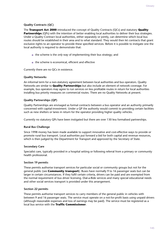#### **Quality Contracts (QC)**

The **Transport Act 2000** introduced the concept of Quality Contracts (QCs) and statutory **Quality Partnerships** (QPs) with the intention of better enabling local authorities to deliver their bus strategies. Under a Quality Contract local authorities, either separately or jointly, can determine which local bus routes should be established in their area and to what standard. They would then let contracts that grant exclusive rights to an operator to provide these specified services. Before it is possible to instigate one the local authority is required to demonstrate that:

- the scheme is the *only* way of implementing their bus strategy; and
- the scheme is economical, efficient and effective

Currently there are no QCs in existence.

#### **Quality Networks**

An informal term for a non-statutory agreement between local authorities and bus operators. Quality Networks are similar to **Quality Partnerships** but also include an element of network coverage. For example, bus operators may agree to run services on less profitable routes in return for local authorities installing bus priority measures on commercial routes. There are no Quality Networks at present.

#### **Quality Partnerships (QP)**

Quality Partnerships are envisaged as formal contracts between a bus operator and an authority primarily concerned with capital-investment. Under a QP the authority would commit to providing certain facilities such as new shelters or lanes in return for the operator providing higher quality vehicles.

Currently no statutory QPs have been instigated but there are over 130 less formalised partnerships.

#### **Rural Bus Challenge**

Since 1998 money has been made available to support innovative and cost-effective ways to provide or promote rural bus transport. Local authorities put forward a bid for both capital and revenue resources, which is then judged by the Department for Transport and approved by the Secretary of State.

#### **Secondary Care**

Specialist care, typically provided in a hospital setting or following referral from a primary or community health professional.

#### **Section 19 permits**

These permits authorise transport services for particular social or community groups but not for the general public (see **Community transport**). Buses have normally 9 to 16 passenger seats but can be larger in certain circumstances. If they fulfil certain criteria, drivers can be paid and are exempted from the normal requirement of bus driver licensing. Dial-a-Ride services and many special educational needs and other social services transport is provided under this arrangement.

#### **Section 22 permits**

These permits authorise transport services to carry members of the general public in vehicles with between 9 and 16 passenger seats. The service must operate on a not-for-profit basis using unpaid drivers (although reasonable expenses and loss of earnings may be paid). The service must be registered as a local bus service with the **Traffic Commissioner**.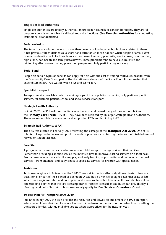#### **Single-tier local authorities**

Single tier authorities are unitary authorities, metropolitan councils or London boroughs. They are 'allpurpose' councils responsible for all local authority functions. (See **Two-tier authorities** for contrasting institutional arrangements.)

#### **Social exclusion**

The term 'social exclusion' refers to more than poverty or low income, but is closely related to them. It has previously been defined as 'a short-hand term for what can happen when people or areas suffer from a combination of linked problems such as unemployment, poor skills, low incomes, poor housing, high crime, bad health and family breakdown'. These problems tend to have a cumulative and reinforcing effect on each other, preventing people from fully participating in society.

#### **Social Fund**

People on certain types of benefits can apply for help with the cost of visiting relatives in hospital from the Community Care Grant, part of the discretionary element of the Social Fund. It is estimated that expenditure in 2001/02 was between £1.5 and £2 million.

#### **Specialist transport**

Transport services available only to certain groups of the population or serving only particular public services, for example patient, school and social services transport

#### **Strategic Health Authority**

In April 2002 the 95 Health Authorities ceased to exist and passed many of their responsibilities to the **Primary Care Trusts (PCTs)**. They have been replaced by 28 larger Strategic Health Authorities. These are responsible for managing and supporting PCTs and NHS Hospital Trusts.

#### **Strategic Rail Authority (SRA)**

The SRA was created in February 2001 following the passage of the **Transport Act 2000**. One of its roles is to keep under review and publish a code of practice for protecting the interest of disabled users of railway or station facilities.

#### **Sure Start**

A programme focused on early interventions for children up to the age of 4 and their families. Rather than providing a specific service the initiative aims to improve existing services on a local basis. Programmes offer enhanced childcare, play and early learning opportunities and better access to health services – from antenatal and baby clinics to specialist services for children with special needs.

#### **Taxi-buses**

Taxi-buses originate in Britain from the 1985 Transport Act which effectively allowed taxis to become buses for all or part of their period of operation. A taxi-bus is a vehicle of eight passenger seats or less which has a registered start and finish point and a core route with a timetable. It must also have at least one stopping point within the taxi-licensing district. Vehicles licensed as taxi-buses can only display a 'Bus' sign and not a 'Taxi' sign. Taxi-buses usually qualify for **Bus Services Operators' Grant**.

#### **10 Year Plan for Transport: 2000–2010**

Published in July 2000 the plan provides the resources and powers to implement the 1998 Transport White Paper. It was designed to secure long-term investment in the transport infrastructure by setting the transport priorities, with quantifiable targets where appropriate, for the next ten years.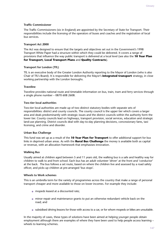#### **Traffic Commissioner**

The Traffic Commissioners (six in England) are appointed by the Secretary of State for Transport. Their responsibilities include the licensing of the operators of buses and coaches and the registration of local bus services.

#### **Transport Act 2000**

The Act was designed to ensure that the targets and objectives set out in the Government's 1998 Transport White Paper had a structure within which they could be delivered. It covers a range of provisions that influence the way public transport is delivered at a local level (see also the **10 Year Plan for Transport, Local Transport Plans** and **Quality Contracts**).

#### **Transport for London (TfL)**

TfL is an executive body of the Greater London Authority reporting to the Mayor of London (who is also Chair of TfL's Board). It is responsible for delivering the Mayor's **integrated transport** strategy, in close working partnership with the London boroughs.

#### **Traveline**

Traveline provides national route and timetable information on bus, train, tram and ferry services through a single phone number – 0870 608 2608.

#### **Two-tier local authorities**

Two-tier local authorities are made up of two distinct statutory bodies with separate sets of responsibilities: district and county councils. The county council is the upper tier which covers a larger area and deals predominantly with strategic issues and the district councils within the authority form the lower tier. County councils lead on highways, transport provision, social services, education and strategic land-use planning. District councils deal with day-to-day planning decisions, concessionary fares, taxi licensing, and crime and disorder.

#### **Urban Bus Challenge**

This fund was set up as a result of the **10 Year Plan for Transport** to offer additional support for bus links in deprived urban areas. As with the **Rural Bus Challenge** the money is available both as capital or revenue, with an allocation framework that emphasises innovation.

#### **Walking Bus**

Usually aimed at children aged between 5 and 11 years old, the walking bus is a safe and healthy way for children to walk to and from school. Each bus has an adult volunteer 'driver' at the front and 'conductor' at the back. The bus follows a set route, based on where the children live and assessed by a road safety officer, and picks up children at pre-arranged 'bus stops'.

#### **Wheels to Work schemes**

This is an umbrella term for the variety of programmes across the country that make a range of personal transport cheaper and more available to those on lower incomes. For example they include:

- mopeds leased at a discounted rate:
- minor repair and maintenance grants to put an otherwise redundant vehicle back on the road; and
- subsidised driving lessons for those with access to a car, or for whom mopeds or bikes are unsuitable.

In the majority of cases, these types of solutions have been aimed at helping younger people obtain employment although there are examples of where they have been used to help people access learning wheels to learning schemes.